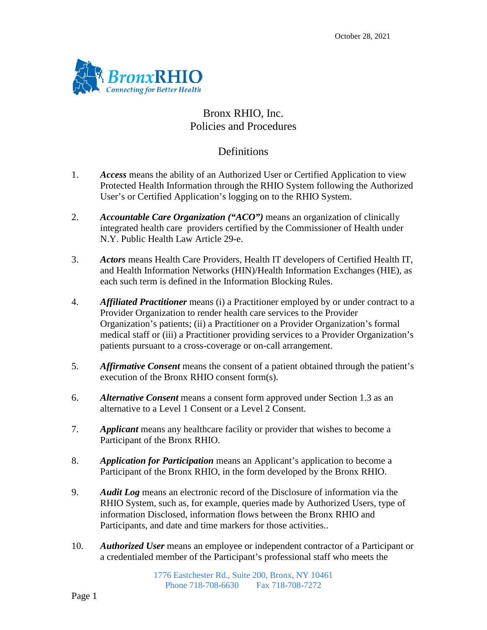

# Bronx RHIO, Inc. Policies and Procedures

### **Definitions**

- 1. *Access* means the ability of an Authorized User or Certified Application to view Protected Health Information through the RHIO System following the Authorized User's or Certified Application's logging on to the RHIO System.
- 2. *Accountable Care Organization ("ACO")* means an organization of clinically integrated health care providers certified by the Commissioner of Health under N.Y. Public Health Law Article 29-e.
- 3. *Actors* means Health Care Providers, Health IT developers of Certified Health IT, and Health Information Networks (HIN)/Health Information Exchanges (HIE), as each such term is defined in the Information Blocking Rules.
- 4. *Affiliated Practitioner* means (i) a Practitioner employed by or under contract to a Provider Organization to render health care services to the Provider Organization's patients; (ii) a Practitioner on a Provider Organization's formal medical staff or (iii) a Practitioner providing services to a Provider Organization's patients pursuant to a cross-coverage or on-call arrangement.
- 5. *Affirmative Consent* means the consent of a patient obtained through the patient's execution of the Bronx RHIO consent form(s).
- 6. *Alternative Consent* means a consent form approved under Section 1.3 as an alternative to a Level 1 Consent or a Level 2 Consent.
- 7. *Applicant* means any healthcare facility or provider that wishes to become a Participant of the Bronx RHIO.
- 8. *Application for Participation* means an Applicant's application to become a Participant of the Bronx RHIO, in the form developed by the Bronx RHIO.
- 9. *Audit Log* means an electronic record of the Disclosure of information via the RHIO System, such as, for example, queries made by Authorized Users, type of information Disclosed, information flows between the Bronx RHIO and Participants, and date and time markers for those activities..
- 10. *Authorized User* means an employee or independent contractor of a Participant or a credentialed member of the Participant's professional staff who meets the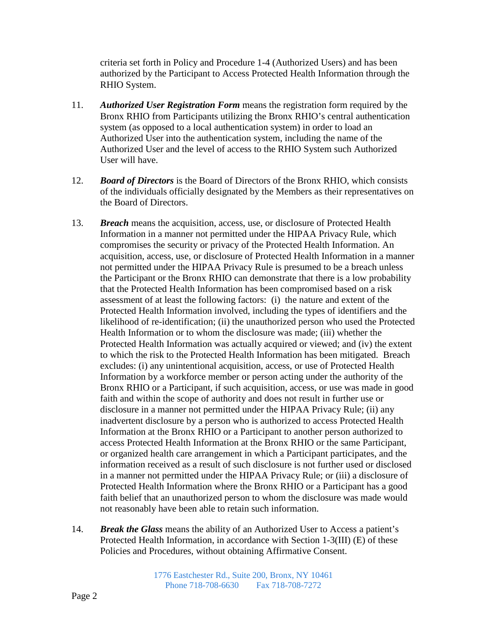criteria set forth in Policy and Procedure 1-4 (Authorized Users) and has been authorized by the Participant to Access Protected Health Information through the RHIO System.

- 11. *Authorized User Registration Form* means the registration form required by the Bronx RHIO from Participants utilizing the Bronx RHIO's central authentication system (as opposed to a local authentication system) in order to load an Authorized User into the authentication system, including the name of the Authorized User and the level of access to the RHIO System such Authorized User will have.
- 12. *Board of Directors* is the Board of Directors of the Bronx RHIO, which consists of the individuals officially designated by the Members as their representatives on the Board of Directors.
- 13. *Breach* means the acquisition, access, use, or disclosure of Protected Health Information in a manner not permitted under the HIPAA Privacy Rule, which compromises the security or privacy of the Protected Health Information. An acquisition, access, use, or disclosure of Protected Health Information in a manner not permitted under the HIPAA Privacy Rule is presumed to be a breach unless the Participant or the Bronx RHIO can demonstrate that there is a low probability that the Protected Health Information has been compromised based on a risk assessment of at least the following factors: (i) the nature and extent of the Protected Health Information involved, including the types of identifiers and the likelihood of re-identification; (ii) the unauthorized person who used the Protected Health Information or to whom the disclosure was made; (iii) whether the Protected Health Information was actually acquired or viewed; and (iv) the extent to which the risk to the Protected Health Information has been mitigated. Breach excludes: (i) any unintentional acquisition, access, or use of Protected Health Information by a workforce member or person acting under the authority of the Bronx RHIO or a Participant, if such acquisition, access, or use was made in good faith and within the scope of authority and does not result in further use or disclosure in a manner not permitted under the HIPAA Privacy Rule; (ii) any inadvertent disclosure by a person who is authorized to access Protected Health Information at the Bronx RHIO or a Participant to another person authorized to access Protected Health Information at the Bronx RHIO or the same Participant, or organized health care arrangement in which a Participant participates, and the information received as a result of such disclosure is not further used or disclosed in a manner not permitted under the HIPAA Privacy Rule; or (iii) a disclosure of Protected Health Information where the Bronx RHIO or a Participant has a good faith belief that an unauthorized person to whom the disclosure was made would not reasonably have been able to retain such information.
- 14. *Break the Glass* means the ability of an Authorized User to Access a patient's Protected Health Information, in accordance with Section 1-3(III) (E) of these Policies and Procedures, without obtaining Affirmative Consent.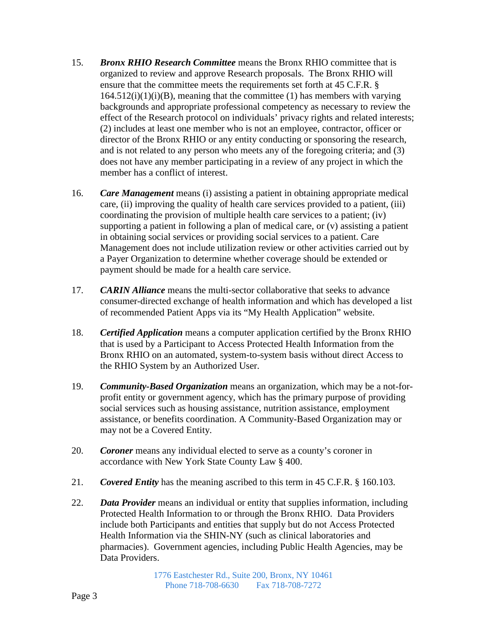- 15. *Bronx RHIO Research Committee* means the Bronx RHIO committee that is organized to review and approve Research proposals. The Bronx RHIO will ensure that the committee meets the requirements set forth at 45 C.F.R. §  $164.512(i)(1)(i)(B)$ , meaning that the committee (1) has members with varying backgrounds and appropriate professional competency as necessary to review the effect of the Research protocol on individuals' privacy rights and related interests; (2) includes at least one member who is not an employee, contractor, officer or director of the Bronx RHIO or any entity conducting or sponsoring the research, and is not related to any person who meets any of the foregoing criteria; and (3) does not have any member participating in a review of any project in which the member has a conflict of interest.
- 16. *Care Management* means (i) assisting a patient in obtaining appropriate medical care, (ii) improving the quality of health care services provided to a patient, (iii) coordinating the provision of multiple health care services to a patient; (iv) supporting a patient in following a plan of medical care, or (v) assisting a patient in obtaining social services or providing social services to a patient. Care Management does not include utilization review or other activities carried out by a Payer Organization to determine whether coverage should be extended or payment should be made for a health care service.
- 17. *CARIN Alliance* means the multi-sector collaborative that seeks to advance consumer-directed exchange of health information and which has developed a list of recommended Patient Apps via its "My Health Application" website.
- 18. *Certified Application* means a computer application certified by the Bronx RHIO that is used by a Participant to Access Protected Health Information from the Bronx RHIO on an automated, system-to-system basis without direct Access to the RHIO System by an Authorized User.
- 19. *Community-Based Organization* means an organization, which may be a not-forprofit entity or government agency, which has the primary purpose of providing social services such as housing assistance, nutrition assistance, employment assistance, or benefits coordination. A Community-Based Organization may or may not be a Covered Entity.
- 20. *Coroner* means any individual elected to serve as a county's coroner in accordance with New York State County Law § 400.
- 21. *Covered Entity* has the meaning ascribed to this term in 45 C.F.R. § 160.103.
- 22. *Data Provider* means an individual or entity that supplies information, including Protected Health Information to or through the Bronx RHIO. Data Providers include both Participants and entities that supply but do not Access Protected Health Information via the SHIN-NY (such as clinical laboratories and pharmacies). Government agencies, including Public Health Agencies, may be Data Providers.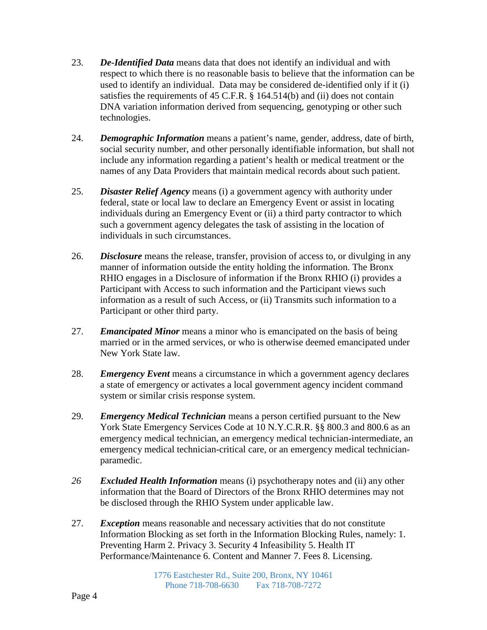- 23. *De-Identified Data* means data that does not identify an individual and with respect to which there is no reasonable basis to believe that the information can be used to identify an individual. Data may be considered de-identified only if it (i) satisfies the requirements of 45 C.F.R. § 164.514(b) and (ii) does not contain DNA variation information derived from sequencing, genotyping or other such technologies.
- 24. *Demographic Information* means a patient's name, gender, address, date of birth, social security number, and other personally identifiable information, but shall not include any information regarding a patient's health or medical treatment or the names of any Data Providers that maintain medical records about such patient.
- 25. *Disaster Relief Agency* means (i) a government agency with authority under federal, state or local law to declare an Emergency Event or assist in locating individuals during an Emergency Event or (ii) a third party contractor to which such a government agency delegates the task of assisting in the location of individuals in such circumstances.
- 26. *Disclosure* means the release, transfer, provision of access to, or divulging in any manner of information outside the entity holding the information. The Bronx RHIO engages in a Disclosure of information if the Bronx RHIO (i) provides a Participant with Access to such information and the Participant views such information as a result of such Access, or (ii) Transmits such information to a Participant or other third party.
- 27. *Emancipated Minor* means a minor who is emancipated on the basis of being married or in the armed services, or who is otherwise deemed emancipated under New York State law.
- 28. *Emergency Event* means a circumstance in which a government agency declares a state of emergency or activates a local government agency incident command system or similar crisis response system.
- 29. *Emergency Medical Technician* means a person certified pursuant to the New York State Emergency Services Code at 10 N.Y.C.R.R. §§ 800.3 and 800.6 as an emergency medical technician, an emergency medical technician-intermediate, an emergency medical technician-critical care, or an emergency medical technicianparamedic.
- *26 Excluded Health Information* means (i) psychotherapy notes and (ii) any other information that the Board of Directors of the Bronx RHIO determines may not be disclosed through the RHIO System under applicable law.
- 27. *Exception* means reasonable and necessary activities that do not constitute Information Blocking as set forth in the Information Blocking Rules, namely: 1. Preventing Harm 2. Privacy 3. Security 4 Infeasibility 5. Health IT Performance/Maintenance 6. Content and Manner 7. Fees 8. Licensing.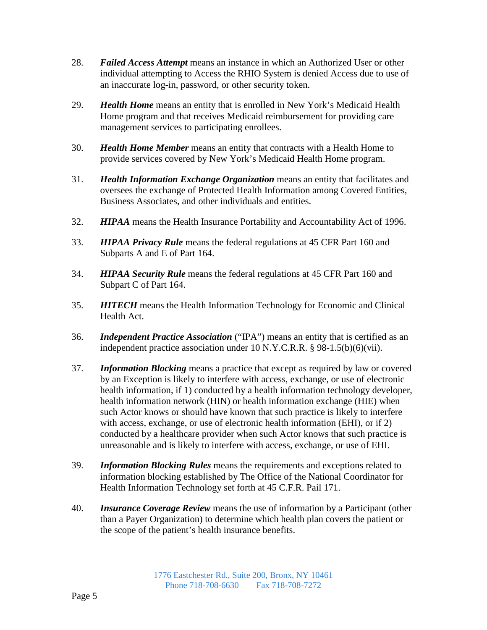- 28. *Failed Access Attempt* means an instance in which an Authorized User or other individual attempting to Access the RHIO System is denied Access due to use of an inaccurate log-in, password, or other security token.
- 29. *Health Home* means an entity that is enrolled in New York's Medicaid Health Home program and that receives Medicaid reimbursement for providing care management services to participating enrollees.
- 30. *Health Home Member* means an entity that contracts with a Health Home to provide services covered by New York's Medicaid Health Home program.
- 31. *Health Information Exchange Organization* means an entity that facilitates and oversees the exchange of Protected Health Information among Covered Entities, Business Associates, and other individuals and entities.
- 32. *HIPAA* means the Health Insurance Portability and Accountability Act of 1996.
- 33. *HIPAA Privacy Rule* means the federal regulations at 45 CFR Part 160 and Subparts A and E of Part 164.
- 34. *HIPAA Security Rule* means the federal regulations at 45 CFR Part 160 and Subpart C of Part 164.
- 35. *HITECH* means the Health Information Technology for Economic and Clinical Health Act.
- 36. *Independent Practice Association* ("IPA") means an entity that is certified as an independent practice association under 10 N.Y.C.R.R. § 98-1.5(b)(6)(vii).
- 37. *Information Blocking* means a practice that except as required by law or covered by an Exception is likely to interfere with access, exchange, or use of electronic health information, if 1) conducted by a health information technology developer, health information network (HIN) or health information exchange (HIE) when such Actor knows or should have known that such practice is likely to interfere with access, exchange, or use of electronic health information (EHI), or if 2) conducted by a healthcare provider when such Actor knows that such practice is unreasonable and is likely to interfere with access, exchange, or use of EHI.
- 39. *Information Blocking Rules* means the requirements and exceptions related to information blocking established by The Office of the National Coordinator for Health Information Technology set forth at 45 C.F.R. Pail 171.
- 40. *Insurance Coverage Review* means the use of information by a Participant (other than a Payer Organization) to determine which health plan covers the patient or the scope of the patient's health insurance benefits.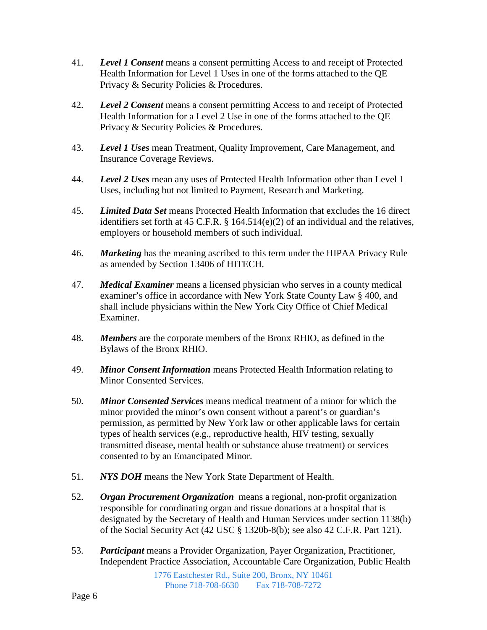- 41. *Level 1 Consent* means a consent permitting Access to and receipt of Protected Health Information for Level 1 Uses in one of the forms attached to the QE Privacy & Security Policies & Procedures.
- 42. *Level 2 Consent* means a consent permitting Access to and receipt of Protected Health Information for a Level 2 Use in one of the forms attached to the QE Privacy & Security Policies & Procedures.
- 43. *Level 1 Uses* mean Treatment, Quality Improvement, Care Management, and Insurance Coverage Reviews.
- 44. *Level 2 Uses* mean any uses of Protected Health Information other than Level 1 Uses, including but not limited to Payment, Research and Marketing.
- 45. *Limited Data Set* means Protected Health Information that excludes the 16 direct identifiers set forth at 45 C.F.R. § 164.514(e)(2) of an individual and the relatives, employers or household members of such individual.
- 46. *Marketing* has the meaning ascribed to this term under the HIPAA Privacy Rule as amended by Section 13406 of HITECH.
- 47. *Medical Examiner* means a licensed physician who serves in a county medical examiner's office in accordance with New York State County Law § 400, and shall include physicians within the New York City Office of Chief Medical Examiner.
- 48. *Members* are the corporate members of the Bronx RHIO, as defined in the Bylaws of the Bronx RHIO.
- 49. *Minor Consent Information* means Protected Health Information relating to Minor Consented Services.
- 50. *Minor Consented Services* means medical treatment of a minor for which the minor provided the minor's own consent without a parent's or guardian's permission, as permitted by New York law or other applicable laws for certain types of health services (e.g., reproductive health, HIV testing, sexually transmitted disease, mental health or substance abuse treatment) or services consented to by an Emancipated Minor.
- 51. *NYS DOH* means the New York State Department of Health.
- 52. *Organ Procurement Organization* means a regional, non-profit organization responsible for coordinating organ and tissue donations at a hospital that is designated by the Secretary of Health and Human Services under section 1138(b) of the Social Security Act (42 USC § 1320b-8(b); see also 42 C.F.R. Part 121).
- 53. *Participant* means a Provider Organization, Payer Organization, Practitioner, Independent Practice Association, Accountable Care Organization, Public Health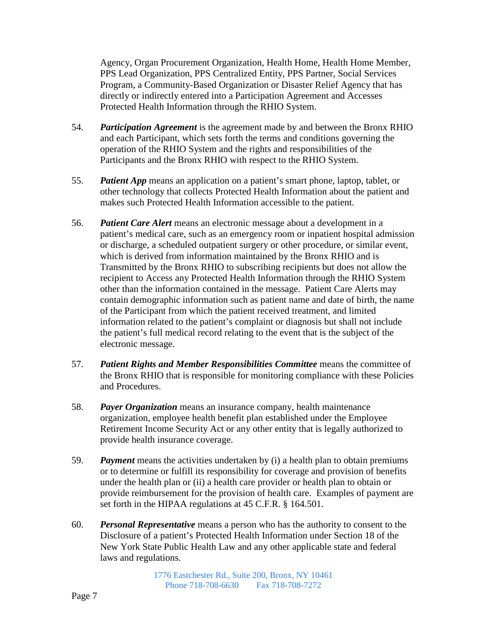Agency, Organ Procurement Organization, Health Home, Health Home Member, PPS Lead Organization, PPS Centralized Entity, PPS Partner, Social Services Program, a Community-Based Organization or Disaster Relief Agency that has directly or indirectly entered into a Participation Agreement and Accesses Protected Health Information through the RHIO System.

- 54. *Participation Agreement* is the agreement made by and between the Bronx RHIO and each Participant, which sets forth the terms and conditions governing the operation of the RHIO System and the rights and responsibilities of the Participants and the Bronx RHIO with respect to the RHIO System.
- 55. *Patient App* means an application on a patient's smart phone, laptop, tablet, or other technology that collects Protected Health Information about the patient and makes such Protected Health Information accessible to the patient.
- 56. *Patient Care Alert* means an electronic message about a development in a patient's medical care, such as an emergency room or inpatient hospital admission or discharge, a scheduled outpatient surgery or other procedure, or similar event, which is derived from information maintained by the Bronx RHIO and is Transmitted by the Bronx RHIO to subscribing recipients but does not allow the recipient to Access any Protected Health Information through the RHIO System other than the information contained in the message. Patient Care Alerts may contain demographic information such as patient name and date of birth, the name of the Participant from which the patient received treatment, and limited information related to the patient's complaint or diagnosis but shall not include the patient's full medical record relating to the event that is the subject of the electronic message.
- 57. *Patient Rights and Member Responsibilities Committee* means the committee of the Bronx RHIO that is responsible for monitoring compliance with these Policies and Procedures.
- 58. *Payer Organization* means an insurance company, health maintenance organization, employee health benefit plan established under the Employee Retirement Income Security Act or any other entity that is legally authorized to provide health insurance coverage.
- 59. *Payment* means the activities undertaken by (i) a health plan to obtain premiums or to determine or fulfill its responsibility for coverage and provision of benefits under the health plan or (ii) a health care provider or health plan to obtain or provide reimbursement for the provision of health care. Examples of payment are set forth in the HIPAA regulations at 45 C.F.R. § 164.501.
- 60. *Personal Representative* means a person who has the authority to consent to the Disclosure of a patient's Protected Health Information under Section 18 of the New York State Public Health Law and any other applicable state and federal laws and regulations.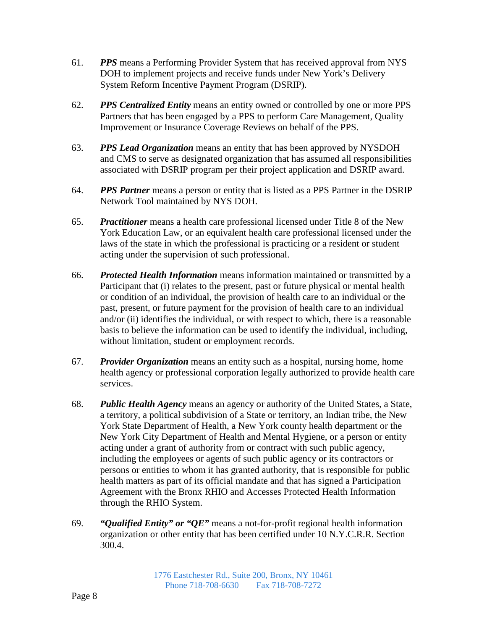- 61. *PPS* means a Performing Provider System that has received approval from NYS DOH to implement projects and receive funds under New York's Delivery System Reform Incentive Payment Program (DSRIP).
- 62. *PPS Centralized Entity* means an entity owned or controlled by one or more PPS Partners that has been engaged by a PPS to perform Care Management, Quality Improvement or Insurance Coverage Reviews on behalf of the PPS.
- 63. *PPS Lead Organization* means an entity that has been approved by NYSDOH and CMS to serve as designated organization that has assumed all responsibilities associated with DSRIP program per their project application and DSRIP award.
- 64. *PPS Partner* means a person or entity that is listed as a PPS Partner in the DSRIP Network Tool maintained by NYS DOH.
- 65. *Practitioner* means a health care professional licensed under Title 8 of the New York Education Law, or an equivalent health care professional licensed under the laws of the state in which the professional is practicing or a resident or student acting under the supervision of such professional.
- 66. *Protected Health Information* means information maintained or transmitted by a Participant that (i) relates to the present, past or future physical or mental health or condition of an individual, the provision of health care to an individual or the past, present, or future payment for the provision of health care to an individual and/or (ii) identifies the individual, or with respect to which, there is a reasonable basis to believe the information can be used to identify the individual, including, without limitation, student or employment records.
- 67. *Provider Organization* means an entity such as a hospital, nursing home, home health agency or professional corporation legally authorized to provide health care services.
- 68. *Public Health Agency* means an agency or authority of the United States, a State, a territory, a political subdivision of a State or territory, an Indian tribe, the New York State Department of Health, a New York county health department or the New York City Department of Health and Mental Hygiene, or a person or entity acting under a grant of authority from or contract with such public agency, including the employees or agents of such public agency or its contractors or persons or entities to whom it has granted authority, that is responsible for public health matters as part of its official mandate and that has signed a Participation Agreement with the Bronx RHIO and Accesses Protected Health Information through the RHIO System.
- 69. *"Qualified Entity" or "QE"* means a not-for-profit regional health information organization or other entity that has been certified under 10 N.Y.C.R.R. Section 300.4.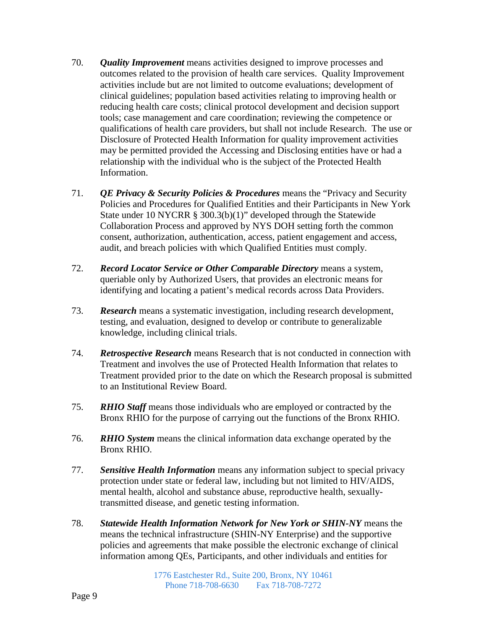- 70. *Quality Improvement* means activities designed to improve processes and outcomes related to the provision of health care services. Quality Improvement activities include but are not limited to outcome evaluations; development of clinical guidelines; population based activities relating to improving health or reducing health care costs; clinical protocol development and decision support tools; case management and care coordination; reviewing the competence or qualifications of health care providers, but shall not include Research. The use or Disclosure of Protected Health Information for quality improvement activities may be permitted provided the Accessing and Disclosing entities have or had a relationship with the individual who is the subject of the Protected Health Information.
- 71. *QE Privacy & Security Policies & Procedures* means the "Privacy and Security Policies and Procedures for Qualified Entities and their Participants in New York State under 10 NYCRR § 300.3(b)(1)" developed through the Statewide Collaboration Process and approved by NYS DOH setting forth the common consent, authorization, authentication, access, patient engagement and access, audit, and breach policies with which Qualified Entities must comply.
- 72. *Record Locator Service or Other Comparable Directory* means a system, queriable only by Authorized Users, that provides an electronic means for identifying and locating a patient's medical records across Data Providers.
- 73. *Research* means a systematic investigation, including research development, testing, and evaluation, designed to develop or contribute to generalizable knowledge, including clinical trials.
- 74. *Retrospective Research* means Research that is not conducted in connection with Treatment and involves the use of Protected Health Information that relates to Treatment provided prior to the date on which the Research proposal is submitted to an Institutional Review Board.
- 75. *RHIO Staff* means those individuals who are employed or contracted by the Bronx RHIO for the purpose of carrying out the functions of the Bronx RHIO.
- 76. *RHIO System* means the clinical information data exchange operated by the Bronx RHIO.
- 77. *Sensitive Health Information* means any information subject to special privacy protection under state or federal law, including but not limited to HIV/AIDS, mental health, alcohol and substance abuse, reproductive health, sexuallytransmitted disease, and genetic testing information.
- 78. *Statewide Health Information Network for New York or SHIN-NY* means the means the technical infrastructure (SHIN-NY Enterprise) and the supportive policies and agreements that make possible the electronic exchange of clinical information among QEs, Participants, and other individuals and entities for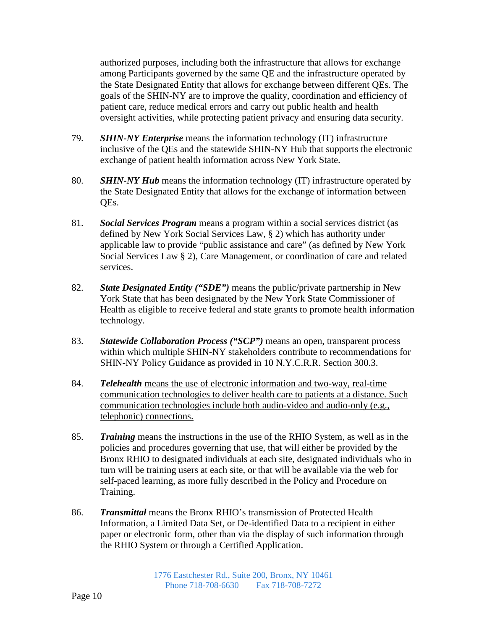authorized purposes, including both the infrastructure that allows for exchange among Participants governed by the same QE and the infrastructure operated by the State Designated Entity that allows for exchange between different QEs. The goals of the SHIN-NY are to improve the quality, coordination and efficiency of patient care, reduce medical errors and carry out public health and health oversight activities, while protecting patient privacy and ensuring data security.

- 79. *SHIN-NY Enterprise* means the information technology (IT) infrastructure inclusive of the QEs and the statewide SHIN-NY Hub that supports the electronic exchange of patient health information across New York State.
- 80. *SHIN-NY Hub* means the information technology (IT) infrastructure operated by the State Designated Entity that allows for the exchange of information between QEs.
- 81. *Social Services Program* means a program within a social services district (as defined by New York Social Services Law, § 2) which has authority under applicable law to provide "public assistance and care" (as defined by New York Social Services Law § 2), Care Management, or coordination of care and related services.
- 82. *State Designated Entity ("SDE")* means the public/private partnership in New York State that has been designated by the New York State Commissioner of Health as eligible to receive federal and state grants to promote health information technology.
- 83. *Statewide Collaboration Process ("SCP")* means an open, transparent process within which multiple SHIN-NY stakeholders contribute to recommendations for SHIN-NY Policy Guidance as provided in 10 N.Y.C.R.R. Section 300.3.
- 84. *Telehealth* means the use of electronic information and two-way, real-time communication technologies to deliver health care to patients at a distance. Such communication technologies include both audio-video and audio-only (e.g., telephonic) connections.
- 85. *Training* means the instructions in the use of the RHIO System, as well as in the policies and procedures governing that use, that will either be provided by the Bronx RHIO to designated individuals at each site, designated individuals who in turn will be training users at each site, or that will be available via the web for self-paced learning, as more fully described in the Policy and Procedure on Training.
- 86. *Transmittal* means the Bronx RHIO's transmission of Protected Health Information, a Limited Data Set, or De-identified Data to a recipient in either paper or electronic form, other than via the display of such information through the RHIO System or through a Certified Application.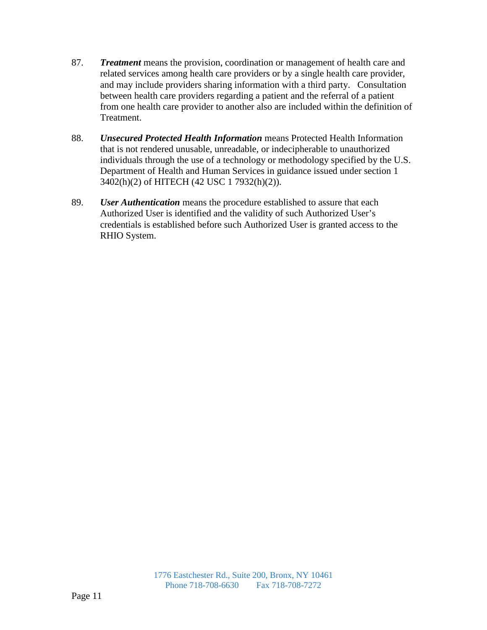- 87. *Treatment* means the provision, coordination or management of health care and related services among health care providers or by a single health care provider, and may include providers sharing information with a third party. Consultation between health care providers regarding a patient and the referral of a patient from one health care provider to another also are included within the definition of Treatment.
- 88. *Unsecured Protected Health Information* means Protected Health Information that is not rendered unusable, unreadable, or indecipherable to unauthorized individuals through the use of a technology or methodology specified by the U.S. Department of Health and Human Services in guidance issued under section 1 3402(h)(2) of HITECH (42 USC 1 7932(h)(2)).
- 89. *User Authentication* means the procedure established to assure that each Authorized User is identified and the validity of such Authorized User's credentials is established before such Authorized User is granted access to the RHIO System.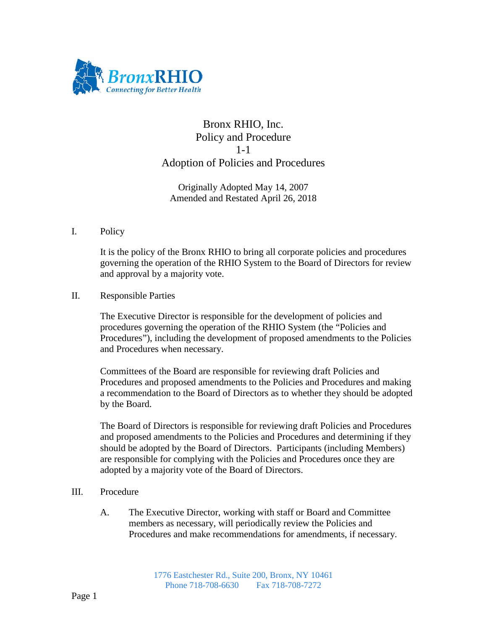

### Bronx RHIO, Inc. Policy and Procedure 1-1 Adoption of Policies and Procedures

Originally Adopted May 14, 2007 Amended and Restated April 26, 2018

I. Policy

It is the policy of the Bronx RHIO to bring all corporate policies and procedures governing the operation of the RHIO System to the Board of Directors for review and approval by a majority vote.

II. Responsible Parties

The Executive Director is responsible for the development of policies and procedures governing the operation of the RHIO System (the "Policies and Procedures"), including the development of proposed amendments to the Policies and Procedures when necessary.

Committees of the Board are responsible for reviewing draft Policies and Procedures and proposed amendments to the Policies and Procedures and making a recommendation to the Board of Directors as to whether they should be adopted by the Board.

The Board of Directors is responsible for reviewing draft Policies and Procedures and proposed amendments to the Policies and Procedures and determining if they should be adopted by the Board of Directors. Participants (including Members) are responsible for complying with the Policies and Procedures once they are adopted by a majority vote of the Board of Directors.

- III. Procedure
	- A. The Executive Director, working with staff or Board and Committee members as necessary, will periodically review the Policies and Procedures and make recommendations for amendments, if necessary.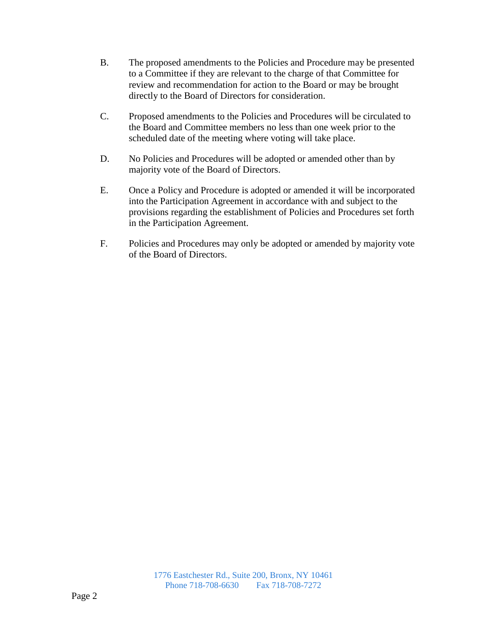- B. The proposed amendments to the Policies and Procedure may be presented to a Committee if they are relevant to the charge of that Committee for review and recommendation for action to the Board or may be brought directly to the Board of Directors for consideration.
- C. Proposed amendments to the Policies and Procedures will be circulated to the Board and Committee members no less than one week prior to the scheduled date of the meeting where voting will take place.
- D. No Policies and Procedures will be adopted or amended other than by majority vote of the Board of Directors.
- E. Once a Policy and Procedure is adopted or amended it will be incorporated into the Participation Agreement in accordance with and subject to the provisions regarding the establishment of Policies and Procedures set forth in the Participation Agreement.
- F. Policies and Procedures may only be adopted or amended by majority vote of the Board of Directors.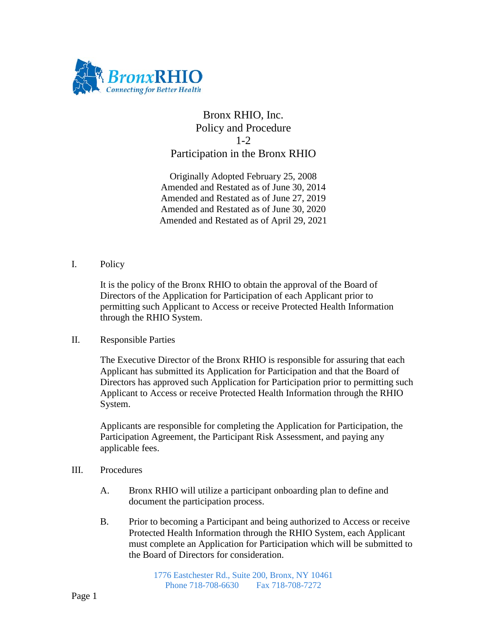

## Bronx RHIO, Inc. Policy and Procedure 1-2 Participation in the Bronx RHIO

Originally Adopted February 25, 2008 Amended and Restated as of June 30, 2014 Amended and Restated as of June 27, 2019 Amended and Restated as of June 30, 2020 Amended and Restated as of April 29, 2021

#### I. Policy

It is the policy of the Bronx RHIO to obtain the approval of the Board of Directors of the Application for Participation of each Applicant prior to permitting such Applicant to Access or receive Protected Health Information through the RHIO System.

### II. Responsible Parties

The Executive Director of the Bronx RHIO is responsible for assuring that each Applicant has submitted its Application for Participation and that the Board of Directors has approved such Application for Participation prior to permitting such Applicant to Access or receive Protected Health Information through the RHIO System.

Applicants are responsible for completing the Application for Participation, the Participation Agreement, the Participant Risk Assessment, and paying any applicable fees.

- III. Procedures
	- A. Bronx RHIO will utilize a participant onboarding plan to define and document the participation process.
	- B. Prior to becoming a Participant and being authorized to Access or receive Protected Health Information through the RHIO System, each Applicant must complete an Application for Participation which will be submitted to the Board of Directors for consideration.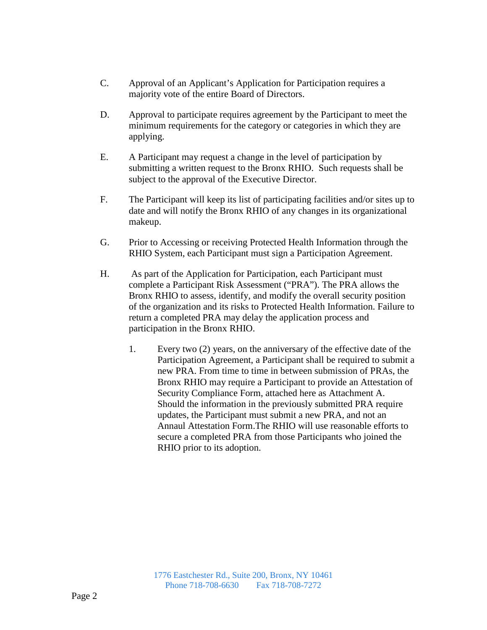- C. Approval of an Applicant's Application for Participation requires a majority vote of the entire Board of Directors.
- D. Approval to participate requires agreement by the Participant to meet the minimum requirements for the category or categories in which they are applying.
- E. A Participant may request a change in the level of participation by submitting a written request to the Bronx RHIO. Such requests shall be subject to the approval of the Executive Director.
- F. The Participant will keep its list of participating facilities and/or sites up to date and will notify the Bronx RHIO of any changes in its organizational makeup.
- G. Prior to Accessing or receiving Protected Health Information through the RHIO System, each Participant must sign a Participation Agreement.
- H. As part of the Application for Participation, each Participant must complete a Participant Risk Assessment ("PRA"). The PRA allows the Bronx RHIO to assess, identify, and modify the overall security position of the organization and its risks to Protected Health Information. Failure to return a completed PRA may delay the application process and participation in the Bronx RHIO.
	- 1. Every two (2) years, on the anniversary of the effective date of the Participation Agreement, a Participant shall be required to submit a new PRA. From time to time in between submission of PRAs, the Bronx RHIO may require a Participant to provide an Attestation of Security Compliance Form, attached here as Attachment A. Should the information in the previously submitted PRA require updates, the Participant must submit a new PRA, and not an Annaul Attestation Form.The RHIO will use reasonable efforts to secure a completed PRA from those Participants who joined the RHIO prior to its adoption.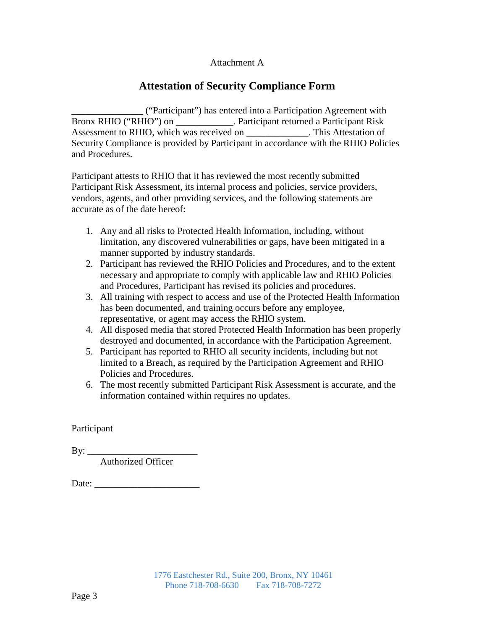#### Attachment A

## **Attestation of Security Compliance Form**

\_\_\_\_\_\_\_\_\_\_\_\_\_\_\_ ("Participant") has entered into a Participation Agreement with Bronx RHIO ("RHIO") on \_\_\_\_\_\_\_\_\_\_\_\_. Participant returned a Participant Risk Assessment to RHIO, which was received on This Attestation of Security Compliance is provided by Participant in accordance with the RHIO Policies and Procedures.

Participant attests to RHIO that it has reviewed the most recently submitted Participant Risk Assessment, its internal process and policies, service providers, vendors, agents, and other providing services, and the following statements are accurate as of the date hereof:

- 1. Any and all risks to Protected Health Information, including, without limitation, any discovered vulnerabilities or gaps, have been mitigated in a manner supported by industry standards.
- 2. Participant has reviewed the RHIO Policies and Procedures, and to the extent necessary and appropriate to comply with applicable law and RHIO Policies and Procedures, Participant has revised its policies and procedures.
- 3. All training with respect to access and use of the Protected Health Information has been documented, and training occurs before any employee, representative, or agent may access the RHIO system.
- 4. All disposed media that stored Protected Health Information has been properly destroyed and documented, in accordance with the Participation Agreement.
- 5. Participant has reported to RHIO all security incidents, including but not limited to a Breach, as required by the Participation Agreement and RHIO Policies and Procedures.
- 6. The most recently submitted Participant Risk Assessment is accurate, and the information contained within requires no updates.

Participant

 $By:$ 

Authorized Officer

Date: \_\_\_\_\_\_\_\_\_\_\_\_\_\_\_\_\_\_\_\_\_\_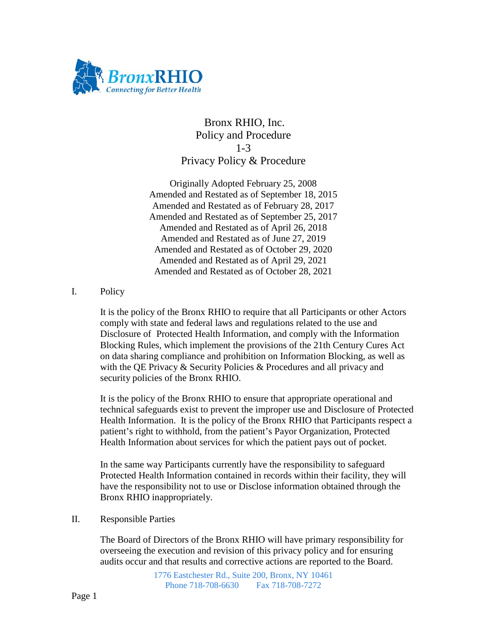

## Bronx RHIO, Inc. Policy and Procedure 1-3 Privacy Policy & Procedure

Originally Adopted February 25, 2008 Amended and Restated as of September 18, 2015 Amended and Restated as of February 28, 2017 Amended and Restated as of September 25, 2017 Amended and Restated as of April 26, 2018 Amended and Restated as of June 27, 2019 Amended and Restated as of October 29, 2020 Amended and Restated as of April 29, 2021 Amended and Restated as of October 28, 2021

### I. Policy

It is the policy of the Bronx RHIO to require that all Participants or other Actors comply with state and federal laws and regulations related to the use and Disclosure of Protected Health Information, and comply with the Information Blocking Rules, which implement the provisions of the 21th Century Cures Act on data sharing compliance and prohibition on Information Blocking, as well as with the QE Privacy & Security Policies & Procedures and all privacy and security policies of the Bronx RHIO.

It is the policy of the Bronx RHIO to ensure that appropriate operational and technical safeguards exist to prevent the improper use and Disclosure of Protected Health Information. It is the policy of the Bronx RHIO that Participants respect a patient's right to withhold, from the patient's Payor Organization, Protected Health Information about services for which the patient pays out of pocket.

In the same way Participants currently have the responsibility to safeguard Protected Health Information contained in records within their facility, they will have the responsibility not to use or Disclose information obtained through the Bronx RHIO inappropriately.

II. Responsible Parties

The Board of Directors of the Bronx RHIO will have primary responsibility for overseeing the execution and revision of this privacy policy and for ensuring audits occur and that results and corrective actions are reported to the Board.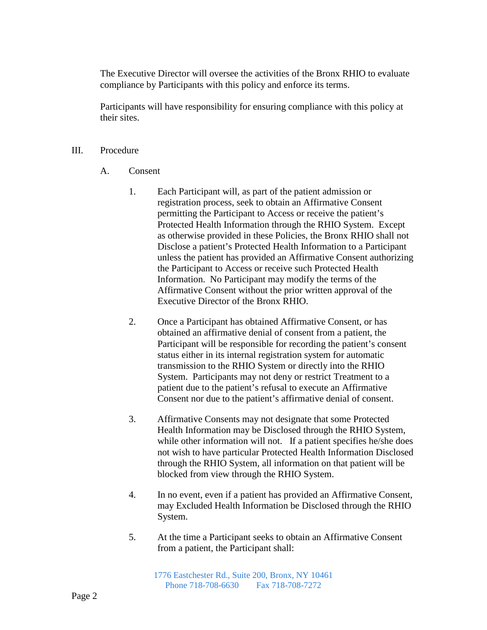The Executive Director will oversee the activities of the Bronx RHIO to evaluate compliance by Participants with this policy and enforce its terms.

Participants will have responsibility for ensuring compliance with this policy at their sites.

#### III. Procedure

- A. Consent
	- 1. Each Participant will, as part of the patient admission or registration process, seek to obtain an Affirmative Consent permitting the Participant to Access or receive the patient's Protected Health Information through the RHIO System. Except as otherwise provided in these Policies, the Bronx RHIO shall not Disclose a patient's Protected Health Information to a Participant unless the patient has provided an Affirmative Consent authorizing the Participant to Access or receive such Protected Health Information. No Participant may modify the terms of the Affirmative Consent without the prior written approval of the Executive Director of the Bronx RHIO.
	- 2. Once a Participant has obtained Affirmative Consent, or has obtained an affirmative denial of consent from a patient, the Participant will be responsible for recording the patient's consent status either in its internal registration system for automatic transmission to the RHIO System or directly into the RHIO System. Participants may not deny or restrict Treatment to a patient due to the patient's refusal to execute an Affirmative Consent nor due to the patient's affirmative denial of consent.
	- 3. Affirmative Consents may not designate that some Protected Health Information may be Disclosed through the RHIO System, while other information will not. If a patient specifies he/she does not wish to have particular Protected Health Information Disclosed through the RHIO System, all information on that patient will be blocked from view through the RHIO System.
	- 4. In no event, even if a patient has provided an Affirmative Consent, may Excluded Health Information be Disclosed through the RHIO System.
	- 5. At the time a Participant seeks to obtain an Affirmative Consent from a patient, the Participant shall: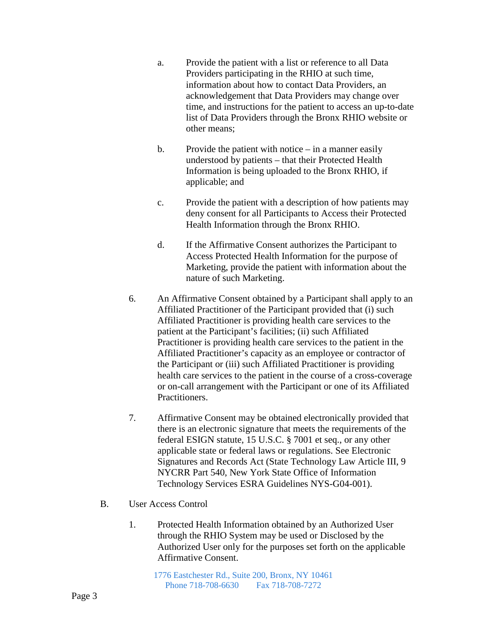- a. Provide the patient with a list or reference to all Data Providers participating in the RHIO at such time, information about how to contact Data Providers, an acknowledgement that Data Providers may change over time, and instructions for the patient to access an up-to-date list of Data Providers through the Bronx RHIO website or other means;
- b. Provide the patient with notice  $-\text{ in a manner easily}$ understood by patients – that their Protected Health Information is being uploaded to the Bronx RHIO, if applicable; and
- c. Provide the patient with a description of how patients may deny consent for all Participants to Access their Protected Health Information through the Bronx RHIO.
- d. If the Affirmative Consent authorizes the Participant to Access Protected Health Information for the purpose of Marketing, provide the patient with information about the nature of such Marketing.
- 6. An Affirmative Consent obtained by a Participant shall apply to an Affiliated Practitioner of the Participant provided that (i) such Affiliated Practitioner is providing health care services to the patient at the Participant's facilities; (ii) such Affiliated Practitioner is providing health care services to the patient in the Affiliated Practitioner's capacity as an employee or contractor of the Participant or (iii) such Affiliated Practitioner is providing health care services to the patient in the course of a cross-coverage or on-call arrangement with the Participant or one of its Affiliated Practitioners.
- 7. Affirmative Consent may be obtained electronically provided that there is an electronic signature that meets the requirements of the federal ESIGN statute, 15 U.S.C. § 7001 et seq., or any other applicable state or federal laws or regulations. See Electronic Signatures and Records Act (State Technology Law Article III, 9 NYCRR Part 540, New York State Office of Information Technology Services ESRA Guidelines NYS-G04-001).
- B. User Access Control
	- 1. Protected Health Information obtained by an Authorized User through the RHIO System may be used or Disclosed by the Authorized User only for the purposes set forth on the applicable Affirmative Consent.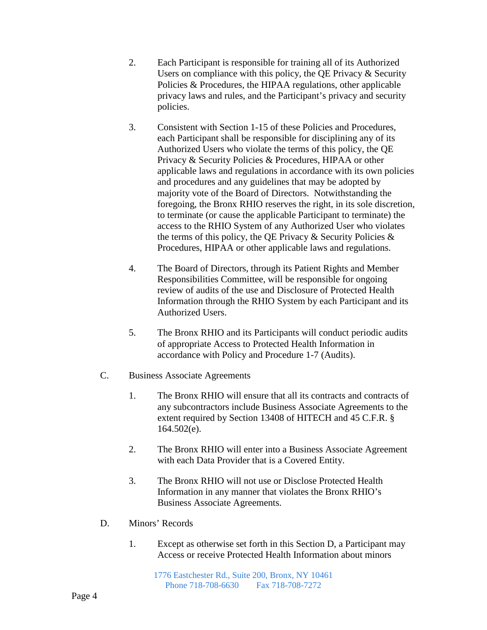- 2. Each Participant is responsible for training all of its Authorized Users on compliance with this policy, the QE Privacy & Security Policies & Procedures, the HIPAA regulations, other applicable privacy laws and rules, and the Participant's privacy and security policies.
- 3. Consistent with Section 1-15 of these Policies and Procedures, each Participant shall be responsible for disciplining any of its Authorized Users who violate the terms of this policy, the QE Privacy & Security Policies & Procedures, HIPAA or other applicable laws and regulations in accordance with its own policies and procedures and any guidelines that may be adopted by majority vote of the Board of Directors. Notwithstanding the foregoing, the Bronx RHIO reserves the right, in its sole discretion, to terminate (or cause the applicable Participant to terminate) the access to the RHIO System of any Authorized User who violates the terms of this policy, the QE Privacy  $\&$  Security Policies  $\&$ Procedures, HIPAA or other applicable laws and regulations.
- 4. The Board of Directors, through its Patient Rights and Member Responsibilities Committee, will be responsible for ongoing review of audits of the use and Disclosure of Protected Health Information through the RHIO System by each Participant and its Authorized Users.
- 5. The Bronx RHIO and its Participants will conduct periodic audits of appropriate Access to Protected Health Information in accordance with Policy and Procedure 1-7 (Audits).
- C. Business Associate Agreements
	- 1. The Bronx RHIO will ensure that all its contracts and contracts of any subcontractors include Business Associate Agreements to the extent required by Section 13408 of HITECH and 45 C.F.R. § 164.502(e).
	- 2. The Bronx RHIO will enter into a Business Associate Agreement with each Data Provider that is a Covered Entity.
	- 3. The Bronx RHIO will not use or Disclose Protected Health Information in any manner that violates the Bronx RHIO's Business Associate Agreements.
- D. Minors' Records
	- 1. Except as otherwise set forth in this Section D, a Participant may Access or receive Protected Health Information about minors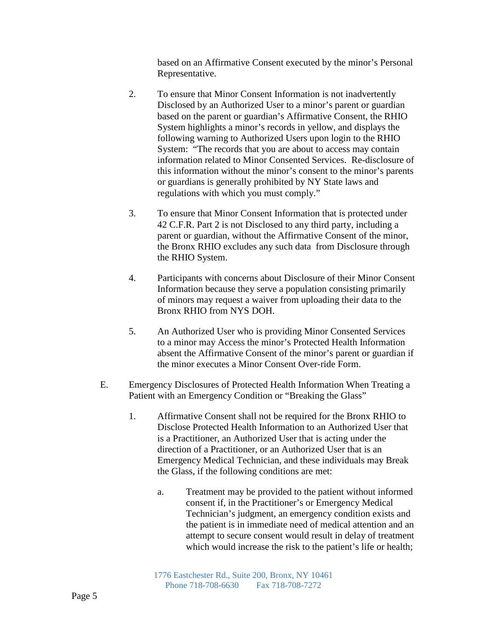based on an Affirmative Consent executed by the minor's Personal Representative.

- 2. To ensure that Minor Consent Information is not inadvertently Disclosed by an Authorized User to a minor's parent or guardian based on the parent or guardian's Affirmative Consent, the RHIO System highlights a minor's records in yellow, and displays the following warning to Authorized Users upon login to the RHIO System: "The records that you are about to access may contain information related to Minor Consented Services. Re-disclosure of this information without the minor's consent to the minor's parents or guardians is generally prohibited by NY State laws and regulations with which you must comply."
- 3. To ensure that Minor Consent Information that is protected under 42 C.F.R. Part 2 is not Disclosed to any third party, including a parent or guardian, without the Affirmative Consent of the minor, the Bronx RHIO excludes any such data from Disclosure through the RHIO System.
- 4. Participants with concerns about Disclosure of their Minor Consent Information because they serve a population consisting primarily of minors may request a waiver from uploading their data to the Bronx RHIO from NYS DOH.
- 5. An Authorized User who is providing Minor Consented Services to a minor may Access the minor's Protected Health Information absent the Affirmative Consent of the minor's parent or guardian if the minor executes a Minor Consent Over-ride Form.
- E. Emergency Disclosures of Protected Health Information When Treating a Patient with an Emergency Condition or "Breaking the Glass"
	- 1. Affirmative Consent shall not be required for the Bronx RHIO to Disclose Protected Health Information to an Authorized User that is a Practitioner, an Authorized User that is acting under the direction of a Practitioner, or an Authorized User that is an Emergency Medical Technician, and these individuals may Break the Glass, if the following conditions are met:
		- a. Treatment may be provided to the patient without informed consent if, in the Practitioner's or Emergency Medical Technician's judgment, an emergency condition exists and the patient is in immediate need of medical attention and an attempt to secure consent would result in delay of treatment which would increase the risk to the patient's life or health;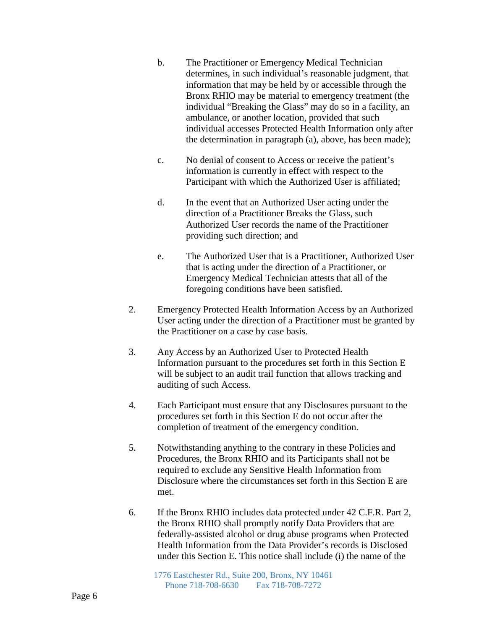- b. The Practitioner or Emergency Medical Technician determines, in such individual's reasonable judgment, that information that may be held by or accessible through the Bronx RHIO may be material to emergency treatment (the individual "Breaking the Glass" may do so in a facility, an ambulance, or another location, provided that such individual accesses Protected Health Information only after the determination in paragraph (a), above, has been made);
- c. No denial of consent to Access or receive the patient's information is currently in effect with respect to the Participant with which the Authorized User is affiliated;
- d. In the event that an Authorized User acting under the direction of a Practitioner Breaks the Glass, such Authorized User records the name of the Practitioner providing such direction; and
- e. The Authorized User that is a Practitioner, Authorized User that is acting under the direction of a Practitioner, or Emergency Medical Technician attests that all of the foregoing conditions have been satisfied.
- 2. Emergency Protected Health Information Access by an Authorized User acting under the direction of a Practitioner must be granted by the Practitioner on a case by case basis.
- 3. Any Access by an Authorized User to Protected Health Information pursuant to the procedures set forth in this Section E will be subject to an audit trail function that allows tracking and auditing of such Access.
- 4. Each Participant must ensure that any Disclosures pursuant to the procedures set forth in this Section E do not occur after the completion of treatment of the emergency condition.
- 5. Notwithstanding anything to the contrary in these Policies and Procedures, the Bronx RHIO and its Participants shall not be required to exclude any Sensitive Health Information from Disclosure where the circumstances set forth in this Section E are met.
- 6. If the Bronx RHIO includes data protected under 42 C.F.R. Part 2, the Bronx RHIO shall promptly notify Data Providers that are federally-assisted alcohol or drug abuse programs when Protected Health Information from the Data Provider's records is Disclosed under this Section E. This notice shall include (i) the name of the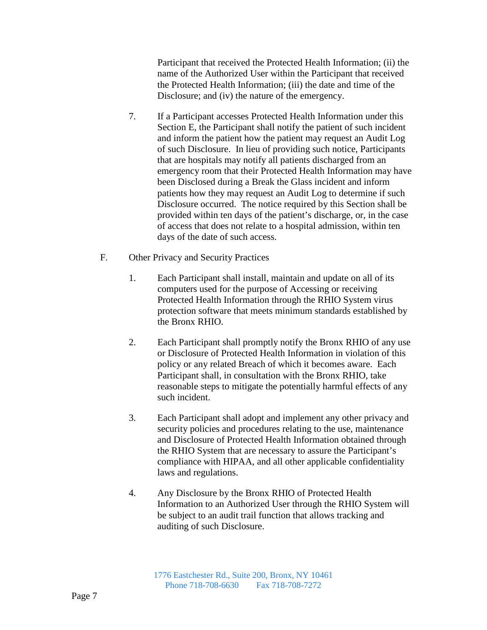Participant that received the Protected Health Information; (ii) the name of the Authorized User within the Participant that received the Protected Health Information; (iii) the date and time of the Disclosure; and (iv) the nature of the emergency.

- 7. If a Participant accesses Protected Health Information under this Section E, the Participant shall notify the patient of such incident and inform the patient how the patient may request an Audit Log of such Disclosure. In lieu of providing such notice, Participants that are hospitals may notify all patients discharged from an emergency room that their Protected Health Information may have been Disclosed during a Break the Glass incident and inform patients how they may request an Audit Log to determine if such Disclosure occurred. The notice required by this Section shall be provided within ten days of the patient's discharge, or, in the case of access that does not relate to a hospital admission, within ten days of the date of such access.
- F. Other Privacy and Security Practices
	- 1. Each Participant shall install, maintain and update on all of its computers used for the purpose of Accessing or receiving Protected Health Information through the RHIO System virus protection software that meets minimum standards established by the Bronx RHIO.
	- 2. Each Participant shall promptly notify the Bronx RHIO of any use or Disclosure of Protected Health Information in violation of this policy or any related Breach of which it becomes aware. Each Participant shall, in consultation with the Bronx RHIO, take reasonable steps to mitigate the potentially harmful effects of any such incident.
	- 3. Each Participant shall adopt and implement any other privacy and security policies and procedures relating to the use, maintenance and Disclosure of Protected Health Information obtained through the RHIO System that are necessary to assure the Participant's compliance with HIPAA, and all other applicable confidentiality laws and regulations.
	- 4. Any Disclosure by the Bronx RHIO of Protected Health Information to an Authorized User through the RHIO System will be subject to an audit trail function that allows tracking and auditing of such Disclosure.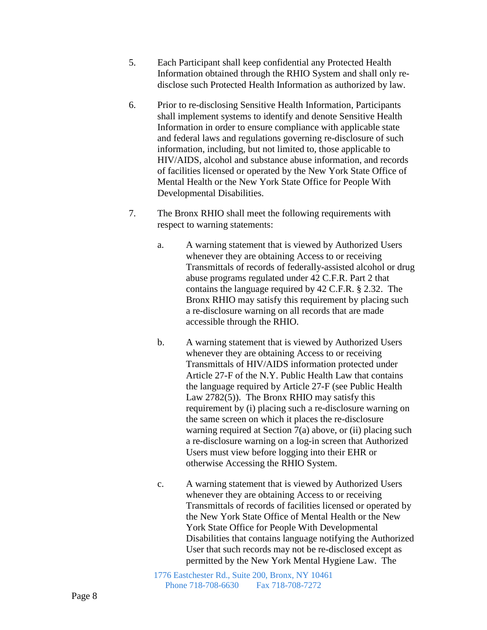- 5. Each Participant shall keep confidential any Protected Health Information obtained through the RHIO System and shall only redisclose such Protected Health Information as authorized by law.
- 6. Prior to re-disclosing Sensitive Health Information, Participants shall implement systems to identify and denote Sensitive Health Information in order to ensure compliance with applicable state and federal laws and regulations governing re-disclosure of such information, including, but not limited to, those applicable to HIV/AIDS, alcohol and substance abuse information, and records of facilities licensed or operated by the New York State Office of Mental Health or the New York State Office for People With Developmental Disabilities.
- 7. The Bronx RHIO shall meet the following requirements with respect to warning statements:
	- a. A warning statement that is viewed by Authorized Users whenever they are obtaining Access to or receiving Transmittals of records of federally-assisted alcohol or drug abuse programs regulated under 42 C.F.R. Part 2 that contains the language required by 42 C.F.R. § 2.32. The Bronx RHIO may satisfy this requirement by placing such a re-disclosure warning on all records that are made accessible through the RHIO.
	- b. A warning statement that is viewed by Authorized Users whenever they are obtaining Access to or receiving Transmittals of HIV/AIDS information protected under Article 27-F of the N.Y. Public Health Law that contains the language required by Article 27-F (see Public Health Law 2782(5)). The Bronx RHIO may satisfy this requirement by (i) placing such a re-disclosure warning on the same screen on which it places the re-disclosure warning required at Section  $7(a)$  above, or (ii) placing such a re-disclosure warning on a log-in screen that Authorized Users must view before logging into their EHR or otherwise Accessing the RHIO System.
	- c. A warning statement that is viewed by Authorized Users whenever they are obtaining Access to or receiving Transmittals of records of facilities licensed or operated by the New York State Office of Mental Health or the New York State Office for People With Developmental Disabilities that contains language notifying the Authorized User that such records may not be re-disclosed except as permitted by the New York Mental Hygiene Law. The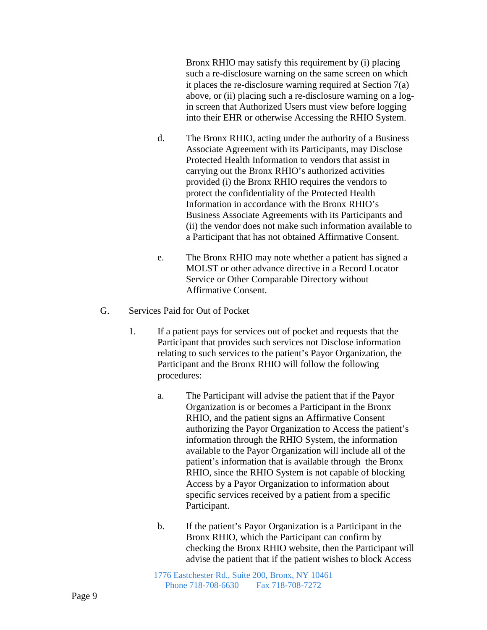Bronx RHIO may satisfy this requirement by (i) placing such a re-disclosure warning on the same screen on which it places the re-disclosure warning required at Section 7(a) above, or (ii) placing such a re-disclosure warning on a login screen that Authorized Users must view before logging into their EHR or otherwise Accessing the RHIO System.

- d. The Bronx RHIO, acting under the authority of a Business Associate Agreement with its Participants, may Disclose Protected Health Information to vendors that assist in carrying out the Bronx RHIO's authorized activities provided (i) the Bronx RHIO requires the vendors to protect the confidentiality of the Protected Health Information in accordance with the Bronx RHIO's Business Associate Agreements with its Participants and (ii) the vendor does not make such information available to a Participant that has not obtained Affirmative Consent.
- e. The Bronx RHIO may note whether a patient has signed a MOLST or other advance directive in a Record Locator Service or Other Comparable Directory without Affirmative Consent.
- G. Services Paid for Out of Pocket
	- 1. If a patient pays for services out of pocket and requests that the Participant that provides such services not Disclose information relating to such services to the patient's Payor Organization, the Participant and the Bronx RHIO will follow the following procedures:
		- a. The Participant will advise the patient that if the Payor Organization is or becomes a Participant in the Bronx RHIO, and the patient signs an Affirmative Consent authorizing the Payor Organization to Access the patient's information through the RHIO System, the information available to the Payor Organization will include all of the patient's information that is available through the Bronx RHIO, since the RHIO System is not capable of blocking Access by a Payor Organization to information about specific services received by a patient from a specific Participant.
		- b. If the patient's Payor Organization is a Participant in the Bronx RHIO, which the Participant can confirm by checking the Bronx RHIO website, then the Participant will advise the patient that if the patient wishes to block Access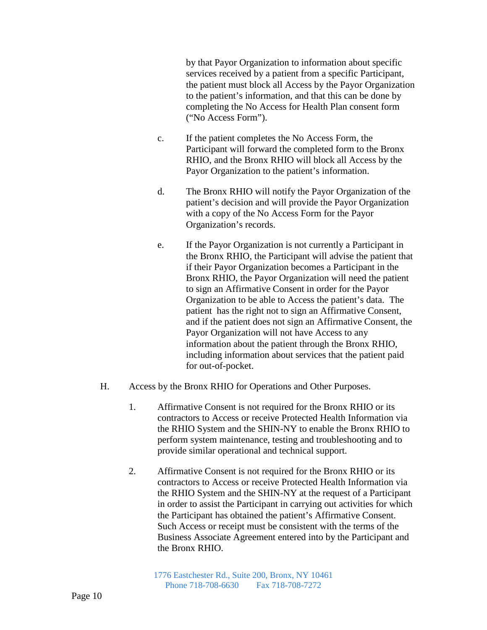by that Payor Organization to information about specific services received by a patient from a specific Participant, the patient must block all Access by the Payor Organization to the patient's information, and that this can be done by completing the No Access for Health Plan consent form ("No Access Form").

- c. If the patient completes the No Access Form, the Participant will forward the completed form to the Bronx RHIO, and the Bronx RHIO will block all Access by the Payor Organization to the patient's information.
- d. The Bronx RHIO will notify the Payor Organization of the patient's decision and will provide the Payor Organization with a copy of the No Access Form for the Payor Organization's records.
- e. If the Payor Organization is not currently a Participant in the Bronx RHIO, the Participant will advise the patient that if their Payor Organization becomes a Participant in the Bronx RHIO, the Payor Organization will need the patient to sign an Affirmative Consent in order for the Payor Organization to be able to Access the patient's data. The patient has the right not to sign an Affirmative Consent, and if the patient does not sign an Affirmative Consent, the Payor Organization will not have Access to any information about the patient through the Bronx RHIO, including information about services that the patient paid for out-of-pocket.
- H. Access by the Bronx RHIO for Operations and Other Purposes.
	- 1. Affirmative Consent is not required for the Bronx RHIO or its contractors to Access or receive Protected Health Information via the RHIO System and the SHIN-NY to enable the Bronx RHIO to perform system maintenance, testing and troubleshooting and to provide similar operational and technical support.
	- 2. Affirmative Consent is not required for the Bronx RHIO or its contractors to Access or receive Protected Health Information via the RHIO System and the SHIN-NY at the request of a Participant in order to assist the Participant in carrying out activities for which the Participant has obtained the patient's Affirmative Consent. Such Access or receipt must be consistent with the terms of the Business Associate Agreement entered into by the Participant and the Bronx RHIO.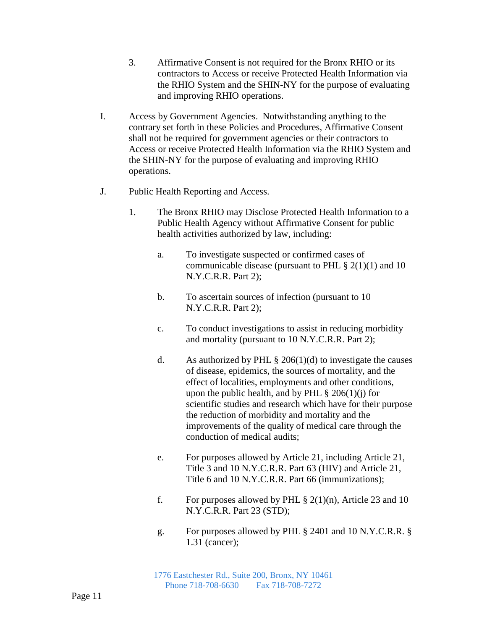- 3. Affirmative Consent is not required for the Bronx RHIO or its contractors to Access or receive Protected Health Information via the RHIO System and the SHIN-NY for the purpose of evaluating and improving RHIO operations.
- I. Access by Government Agencies. Notwithstanding anything to the contrary set forth in these Policies and Procedures, Affirmative Consent shall not be required for government agencies or their contractors to Access or receive Protected Health Information via the RHIO System and the SHIN-NY for the purpose of evaluating and improving RHIO operations.
- J. Public Health Reporting and Access.
	- 1. The Bronx RHIO may Disclose Protected Health Information to a Public Health Agency without Affirmative Consent for public health activities authorized by law, including:
		- a. To investigate suspected or confirmed cases of communicable disease (pursuant to PHL  $\S 2(1)(1)$  and 10 N.Y.C.R.R. Part 2);
		- b. To ascertain sources of infection (pursuant to 10 N.Y.C.R.R. Part 2);
		- c. To conduct investigations to assist in reducing morbidity and mortality (pursuant to 10 N.Y.C.R.R. Part 2);
		- d. As authorized by PHL  $\S 206(1)(d)$  to investigate the causes of disease, epidemics, the sources of mortality, and the effect of localities, employments and other conditions, upon the public health, and by PHL  $\S 206(1)(i)$  for scientific studies and research which have for their purpose the reduction of morbidity and mortality and the improvements of the quality of medical care through the conduction of medical audits;
		- e. For purposes allowed by Article 21, including Article 21, Title 3 and 10 N.Y.C.R.R. Part 63 (HIV) and Article 21, Title 6 and 10 N.Y.C.R.R. Part 66 (immunizations);
		- f. For purposes allowed by PHL  $\S 2(1)(n)$ , Article 23 and 10 N.Y.C.R.R. Part 23 (STD);
		- g. For purposes allowed by PHL § 2401 and 10 N.Y.C.R.R. § 1.31 (cancer);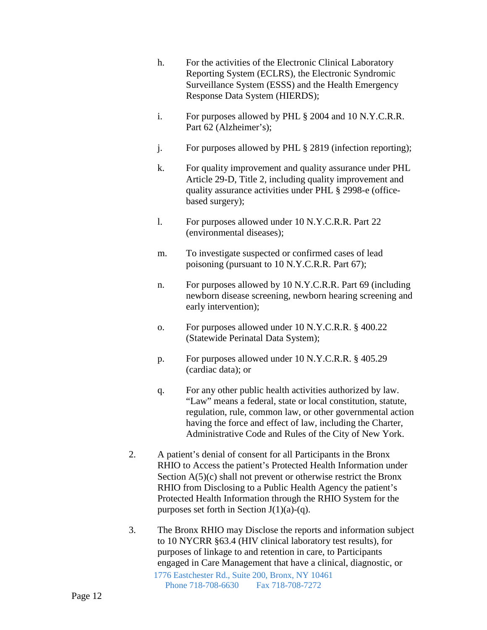- h. For the activities of the Electronic Clinical Laboratory Reporting System (ECLRS), the Electronic Syndromic Surveillance System (ESSS) and the Health Emergency Response Data System (HIERDS);
- i. For purposes allowed by PHL § 2004 and 10 N.Y.C.R.R. Part 62 (Alzheimer's);
- j. For purposes allowed by PHL § 2819 (infection reporting);
- k. For quality improvement and quality assurance under PHL Article 29-D, Title 2, including quality improvement and quality assurance activities under PHL § 2998-e (officebased surgery);
- l. For purposes allowed under 10 N.Y.C.R.R. Part 22 (environmental diseases);
- m. To investigate suspected or confirmed cases of lead poisoning (pursuant to 10 N.Y.C.R.R. Part 67);
- n. For purposes allowed by 10 N.Y.C.R.R. Part 69 (including newborn disease screening, newborn hearing screening and early intervention);
- o. For purposes allowed under 10 N.Y.C.R.R. § 400.22 (Statewide Perinatal Data System);
- p. For purposes allowed under 10 N.Y.C.R.R. § 405.29 (cardiac data); or
- q. For any other public health activities authorized by law. "Law" means a federal, state or local constitution, statute, regulation, rule, common law, or other governmental action having the force and effect of law, including the Charter, Administrative Code and Rules of the City of New York.
- 2. A patient's denial of consent for all Participants in the Bronx RHIO to Access the patient's Protected Health Information under Section  $A(5)(c)$  shall not prevent or otherwise restrict the Bronx RHIO from Disclosing to a Public Health Agency the patient's Protected Health Information through the RHIO System for the purposes set forth in Section  $J(1)(a)-(q)$ .
- 1776 Eastchester Rd., Suite 200, Bronx, NY 10461 Phone 718-708-6630 Fax 718-708-7272 3. The Bronx RHIO may Disclose the reports and information subject to 10 NYCRR §63.4 (HIV clinical laboratory test results), for purposes of linkage to and retention in care, to Participants engaged in Care Management that have a clinical, diagnostic, or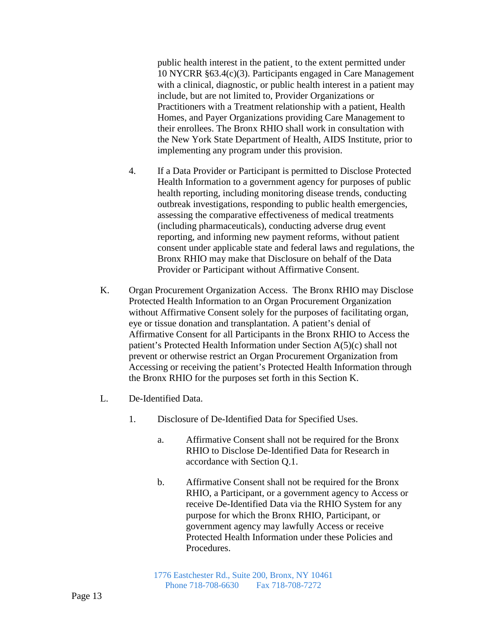public health interest in the patient¸ to the extent permitted under 10 NYCRR §63.4(c)(3). Participants engaged in Care Management with a clinical, diagnostic, or public health interest in a patient may include, but are not limited to, Provider Organizations or Practitioners with a Treatment relationship with a patient, Health Homes, and Payer Organizations providing Care Management to their enrollees. The Bronx RHIO shall work in consultation with the New York State Department of Health, AIDS Institute, prior to implementing any program under this provision.

- 4. If a Data Provider or Participant is permitted to Disclose Protected Health Information to a government agency for purposes of public health reporting, including monitoring disease trends, conducting outbreak investigations, responding to public health emergencies, assessing the comparative effectiveness of medical treatments (including pharmaceuticals), conducting adverse drug event reporting, and informing new payment reforms, without patient consent under applicable state and federal laws and regulations, the Bronx RHIO may make that Disclosure on behalf of the Data Provider or Participant without Affirmative Consent.
- K. Organ Procurement Organization Access. The Bronx RHIO may Disclose Protected Health Information to an Organ Procurement Organization without Affirmative Consent solely for the purposes of facilitating organ, eye or tissue donation and transplantation. A patient's denial of Affirmative Consent for all Participants in the Bronx RHIO to Access the patient's Protected Health Information under Section A(5)(c) shall not prevent or otherwise restrict an Organ Procurement Organization from Accessing or receiving the patient's Protected Health Information through the Bronx RHIO for the purposes set forth in this Section K.
- L. De-Identified Data.
	- 1. Disclosure of De-Identified Data for Specified Uses.
		- a. Affirmative Consent shall not be required for the Bronx RHIO to Disclose De-Identified Data for Research in accordance with Section Q.1.
		- b. Affirmative Consent shall not be required for the Bronx RHIO, a Participant, or a government agency to Access or receive De-Identified Data via the RHIO System for any purpose for which the Bronx RHIO, Participant, or government agency may lawfully Access or receive Protected Health Information under these Policies and Procedures.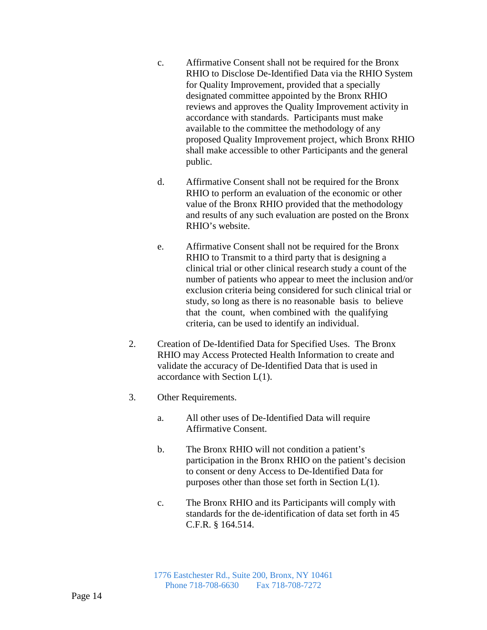- c. Affirmative Consent shall not be required for the Bronx RHIO to Disclose De-Identified Data via the RHIO System for Quality Improvement, provided that a specially designated committee appointed by the Bronx RHIO reviews and approves the Quality Improvement activity in accordance with standards. Participants must make available to the committee the methodology of any proposed Quality Improvement project, which Bronx RHIO shall make accessible to other Participants and the general public.
- d. Affirmative Consent shall not be required for the Bronx RHIO to perform an evaluation of the economic or other value of the Bronx RHIO provided that the methodology and results of any such evaluation are posted on the Bronx RHIO's website.
- e. Affirmative Consent shall not be required for the Bronx RHIO to Transmit to a third party that is designing a clinical trial or other clinical research study a count of the number of patients who appear to meet the inclusion and/or exclusion criteria being considered for such clinical trial or study, so long as there is no reasonable basis to believe that the count, when combined with the qualifying criteria, can be used to identify an individual.
- 2. Creation of De-Identified Data for Specified Uses. The Bronx RHIO may Access Protected Health Information to create and validate the accuracy of De-Identified Data that is used in accordance with Section L(1).
- 3. Other Requirements.
	- a. All other uses of De-Identified Data will require Affirmative Consent.
	- b. The Bronx RHIO will not condition a patient's participation in the Bronx RHIO on the patient's decision to consent or deny Access to De-Identified Data for purposes other than those set forth in Section L(1).
	- c. The Bronx RHIO and its Participants will comply with standards for the de-identification of data set forth in 45 C.F.R. § 164.514.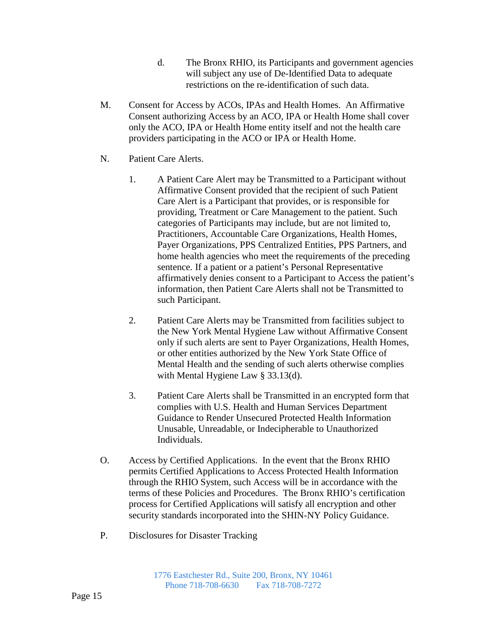- d. The Bronx RHIO, its Participants and government agencies will subject any use of De-Identified Data to adequate restrictions on the re-identification of such data.
- M. Consent for Access by ACOs, IPAs and Health Homes. An Affirmative Consent authorizing Access by an ACO, IPA or Health Home shall cover only the ACO, IPA or Health Home entity itself and not the health care providers participating in the ACO or IPA or Health Home.
- N. Patient Care Alerts.
	- 1. A Patient Care Alert may be Transmitted to a Participant without Affirmative Consent provided that the recipient of such Patient Care Alert is a Participant that provides, or is responsible for providing, Treatment or Care Management to the patient. Such categories of Participants may include, but are not limited to, Practitioners, Accountable Care Organizations, Health Homes, Payer Organizations, PPS Centralized Entities, PPS Partners, and home health agencies who meet the requirements of the preceding sentence. If a patient or a patient's Personal Representative affirmatively denies consent to a Participant to Access the patient's information, then Patient Care Alerts shall not be Transmitted to such Participant.
	- 2. Patient Care Alerts may be Transmitted from facilities subject to the New York Mental Hygiene Law without Affirmative Consent only if such alerts are sent to Payer Organizations, Health Homes, or other entities authorized by the New York State Office of Mental Health and the sending of such alerts otherwise complies with Mental Hygiene Law § 33.13(d).
	- 3. Patient Care Alerts shall be Transmitted in an encrypted form that complies with U.S. Health and Human Services Department Guidance to Render Unsecured Protected Health Information Unusable, Unreadable, or Indecipherable to Unauthorized Individuals.
- O. Access by Certified Applications. In the event that the Bronx RHIO permits Certified Applications to Access Protected Health Information through the RHIO System, such Access will be in accordance with the terms of these Policies and Procedures. The Bronx RHIO's certification process for Certified Applications will satisfy all encryption and other security standards incorporated into the SHIN-NY Policy Guidance.
- P. Disclosures for Disaster Tracking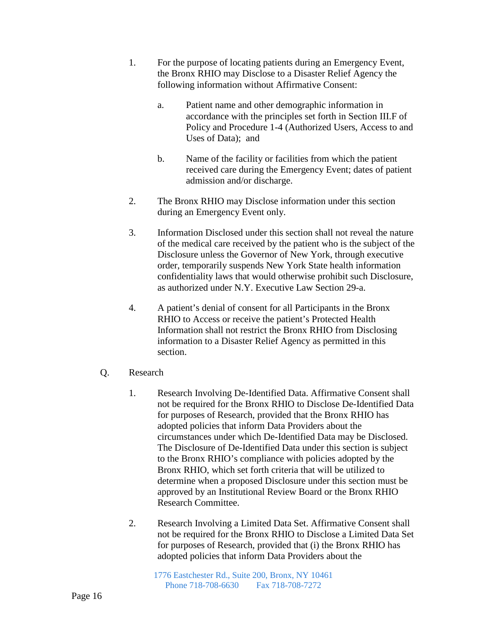- 1. For the purpose of locating patients during an Emergency Event, the Bronx RHIO may Disclose to a Disaster Relief Agency the following information without Affirmative Consent:
	- a. Patient name and other demographic information in accordance with the principles set forth in Section III.F of Policy and Procedure 1-4 (Authorized Users, Access to and Uses of Data); and
	- b. Name of the facility or facilities from which the patient received care during the Emergency Event; dates of patient admission and/or discharge.
- 2. The Bronx RHIO may Disclose information under this section during an Emergency Event only.
- 3. Information Disclosed under this section shall not reveal the nature of the medical care received by the patient who is the subject of the Disclosure unless the Governor of New York, through executive order, temporarily suspends New York State health information confidentiality laws that would otherwise prohibit such Disclosure, as authorized under N.Y. Executive Law Section 29-a.
- 4. A patient's denial of consent for all Participants in the Bronx RHIO to Access or receive the patient's Protected Health Information shall not restrict the Bronx RHIO from Disclosing information to a Disaster Relief Agency as permitted in this section.
- Q. Research
	- 1. Research Involving De-Identified Data. Affirmative Consent shall not be required for the Bronx RHIO to Disclose De-Identified Data for purposes of Research, provided that the Bronx RHIO has adopted policies that inform Data Providers about the circumstances under which De-Identified Data may be Disclosed. The Disclosure of De-Identified Data under this section is subject to the Bronx RHIO's compliance with policies adopted by the Bronx RHIO, which set forth criteria that will be utilized to determine when a proposed Disclosure under this section must be approved by an Institutional Review Board or the Bronx RHIO Research Committee.
	- 2. Research Involving a Limited Data Set. Affirmative Consent shall not be required for the Bronx RHIO to Disclose a Limited Data Set for purposes of Research, provided that (i) the Bronx RHIO has adopted policies that inform Data Providers about the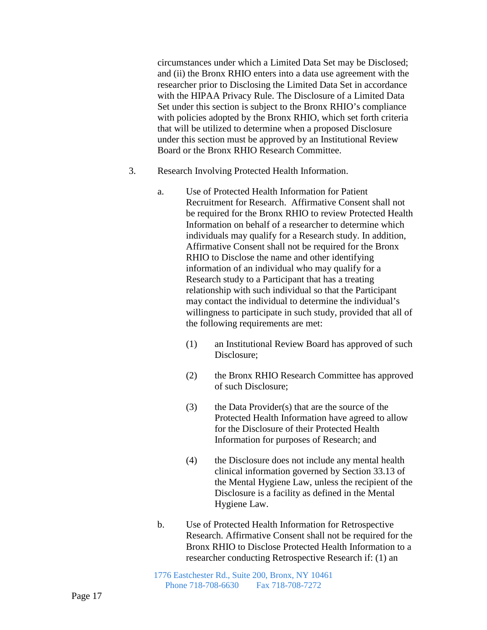circumstances under which a Limited Data Set may be Disclosed; and (ii) the Bronx RHIO enters into a data use agreement with the researcher prior to Disclosing the Limited Data Set in accordance with the HIPAA Privacy Rule. The Disclosure of a Limited Data Set under this section is subject to the Bronx RHIO's compliance with policies adopted by the Bronx RHIO, which set forth criteria that will be utilized to determine when a proposed Disclosure under this section must be approved by an Institutional Review Board or the Bronx RHIO Research Committee.

- 3. Research Involving Protected Health Information.
	- a. Use of Protected Health Information for Patient Recruitment for Research. Affirmative Consent shall not be required for the Bronx RHIO to review Protected Health Information on behalf of a researcher to determine which individuals may qualify for a Research study. In addition, Affirmative Consent shall not be required for the Bronx RHIO to Disclose the name and other identifying information of an individual who may qualify for a Research study to a Participant that has a treating relationship with such individual so that the Participant may contact the individual to determine the individual's willingness to participate in such study, provided that all of the following requirements are met:
		- (1) an Institutional Review Board has approved of such Disclosure;
		- (2) the Bronx RHIO Research Committee has approved of such Disclosure;
		- (3) the Data Provider(s) that are the source of the Protected Health Information have agreed to allow for the Disclosure of their Protected Health Information for purposes of Research; and
		- (4) the Disclosure does not include any mental health clinical information governed by Section 33.13 of the Mental Hygiene Law, unless the recipient of the Disclosure is a facility as defined in the Mental Hygiene Law.
	- b. Use of Protected Health Information for Retrospective Research. Affirmative Consent shall not be required for the Bronx RHIO to Disclose Protected Health Information to a researcher conducting Retrospective Research if: (1) an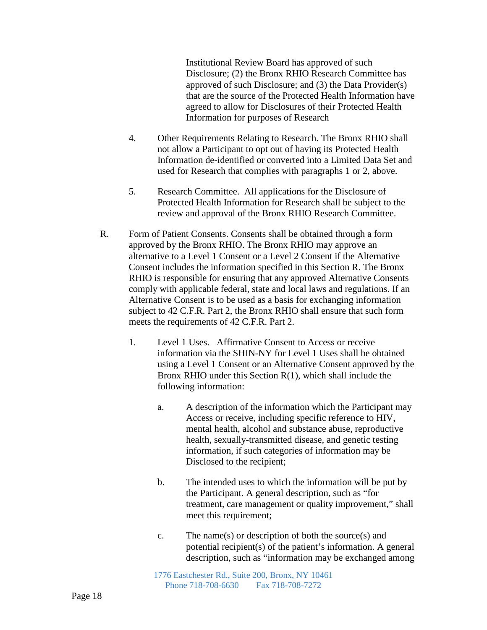Institutional Review Board has approved of such Disclosure; (2) the Bronx RHIO Research Committee has approved of such Disclosure; and (3) the Data Provider(s) that are the source of the Protected Health Information have agreed to allow for Disclosures of their Protected Health Information for purposes of Research

- 4. Other Requirements Relating to Research. The Bronx RHIO shall not allow a Participant to opt out of having its Protected Health Information de-identified or converted into a Limited Data Set and used for Research that complies with paragraphs 1 or 2, above.
- 5. Research Committee. All applications for the Disclosure of Protected Health Information for Research shall be subject to the review and approval of the Bronx RHIO Research Committee.
- R. Form of Patient Consents. Consents shall be obtained through a form approved by the Bronx RHIO. The Bronx RHIO may approve an alternative to a Level 1 Consent or a Level 2 Consent if the Alternative Consent includes the information specified in this Section R. The Bronx RHIO is responsible for ensuring that any approved Alternative Consents comply with applicable federal, state and local laws and regulations. If an Alternative Consent is to be used as a basis for exchanging information subject to 42 C.F.R. Part 2, the Bronx RHIO shall ensure that such form meets the requirements of 42 C.F.R. Part 2.
	- 1. Level 1 Uses. Affirmative Consent to Access or receive information via the SHIN-NY for Level 1 Uses shall be obtained using a Level 1 Consent or an Alternative Consent approved by the Bronx RHIO under this Section R(1), which shall include the following information:
		- a. A description of the information which the Participant may Access or receive, including specific reference to HIV, mental health, alcohol and substance abuse, reproductive health, sexually-transmitted disease, and genetic testing information, if such categories of information may be Disclosed to the recipient;
		- b. The intended uses to which the information will be put by the Participant. A general description, such as "for treatment, care management or quality improvement," shall meet this requirement;
		- c. The name(s) or description of both the source(s) and potential recipient(s) of the patient's information. A general description, such as "information may be exchanged among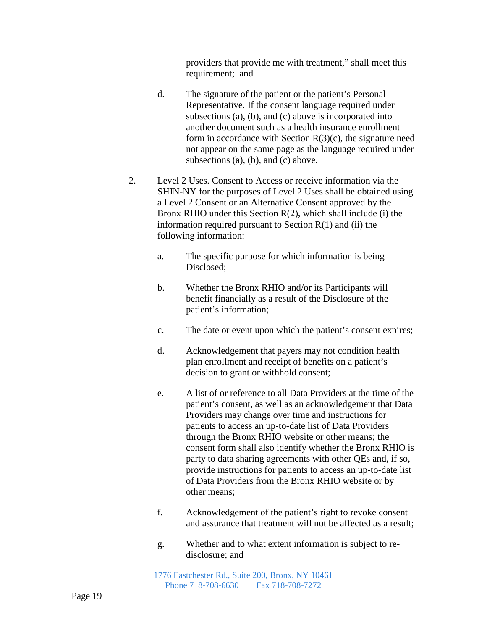providers that provide me with treatment," shall meet this requirement; and

- d. The signature of the patient or the patient's Personal Representative. If the consent language required under subsections (a), (b), and (c) above is incorporated into another document such as a health insurance enrollment form in accordance with Section  $R(3)(c)$ , the signature need not appear on the same page as the language required under subsections (a), (b), and (c) above.
- 2. Level 2 Uses. Consent to Access or receive information via the SHIN-NY for the purposes of Level 2 Uses shall be obtained using a Level 2 Consent or an Alternative Consent approved by the Bronx RHIO under this Section  $R(2)$ , which shall include (i) the information required pursuant to Section  $R(1)$  and (ii) the following information:
	- a. The specific purpose for which information is being Disclosed;
	- b. Whether the Bronx RHIO and/or its Participants will benefit financially as a result of the Disclosure of the patient's information;
	- c. The date or event upon which the patient's consent expires;
	- d. Acknowledgement that payers may not condition health plan enrollment and receipt of benefits on a patient's decision to grant or withhold consent;
	- e. A list of or reference to all Data Providers at the time of the patient's consent, as well as an acknowledgement that Data Providers may change over time and instructions for patients to access an up-to-date list of Data Providers through the Bronx RHIO website or other means; the consent form shall also identify whether the Bronx RHIO is party to data sharing agreements with other QEs and, if so, provide instructions for patients to access an up-to-date list of Data Providers from the Bronx RHIO website or by other means;
	- f. Acknowledgement of the patient's right to revoke consent and assurance that treatment will not be affected as a result;
	- g. Whether and to what extent information is subject to redisclosure; and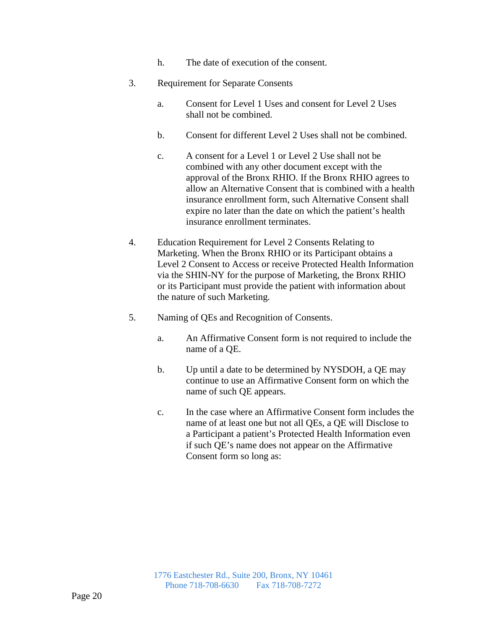- h. The date of execution of the consent.
- 3. Requirement for Separate Consents
	- a. Consent for Level 1 Uses and consent for Level 2 Uses shall not be combined.
	- b. Consent for different Level 2 Uses shall not be combined.
	- c. A consent for a Level 1 or Level 2 Use shall not be combined with any other document except with the approval of the Bronx RHIO. If the Bronx RHIO agrees to allow an Alternative Consent that is combined with a health insurance enrollment form, such Alternative Consent shall expire no later than the date on which the patient's health insurance enrollment terminates.
- 4. Education Requirement for Level 2 Consents Relating to Marketing. When the Bronx RHIO or its Participant obtains a Level 2 Consent to Access or receive Protected Health Information via the SHIN-NY for the purpose of Marketing, the Bronx RHIO or its Participant must provide the patient with information about the nature of such Marketing.
- 5. Naming of QEs and Recognition of Consents.
	- a. An Affirmative Consent form is not required to include the name of a QE.
	- b. Up until a date to be determined by NYSDOH, a QE may continue to use an Affirmative Consent form on which the name of such QE appears.
	- c. In the case where an Affirmative Consent form includes the name of at least one but not all QEs, a QE will Disclose to a Participant a patient's Protected Health Information even if such QE's name does not appear on the Affirmative Consent form so long as: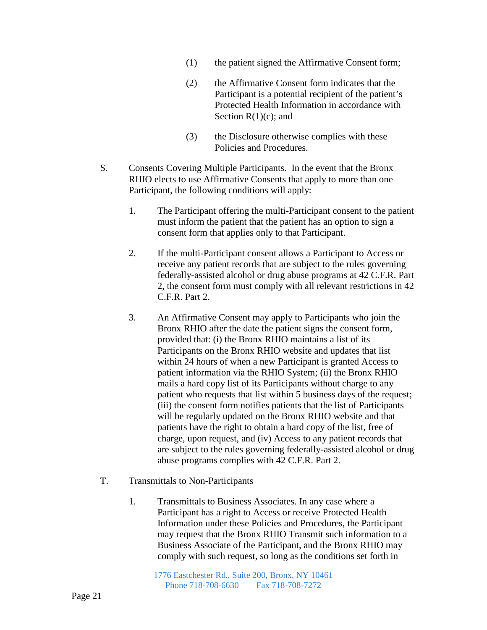- (1) the patient signed the Affirmative Consent form;
- (2) the Affirmative Consent form indicates that the Participant is a potential recipient of the patient's Protected Health Information in accordance with Section  $R(1)(c)$ ; and
- (3) the Disclosure otherwise complies with these Policies and Procedures.
- S. Consents Covering Multiple Participants. In the event that the Bronx RHIO elects to use Affirmative Consents that apply to more than one Participant, the following conditions will apply:
	- 1. The Participant offering the multi-Participant consent to the patient must inform the patient that the patient has an option to sign a consent form that applies only to that Participant.
	- 2. If the multi-Participant consent allows a Participant to Access or receive any patient records that are subject to the rules governing federally-assisted alcohol or drug abuse programs at 42 C.F.R. Part 2, the consent form must comply with all relevant restrictions in 42 C.F.R. Part 2.
	- 3. An Affirmative Consent may apply to Participants who join the Bronx RHIO after the date the patient signs the consent form, provided that: (i) the Bronx RHIO maintains a list of its Participants on the Bronx RHIO website and updates that list within 24 hours of when a new Participant is granted Access to patient information via the RHIO System; (ii) the Bronx RHIO mails a hard copy list of its Participants without charge to any patient who requests that list within 5 business days of the request; (iii) the consent form notifies patients that the list of Participants will be regularly updated on the Bronx RHIO website and that patients have the right to obtain a hard copy of the list, free of charge, upon request, and (iv) Access to any patient records that are subject to the rules governing federally-assisted alcohol or drug abuse programs complies with 42 C.F.R. Part 2.
- T. Transmittals to Non-Participants
	- 1. Transmittals to Business Associates. In any case where a Participant has a right to Access or receive Protected Health Information under these Policies and Procedures, the Participant may request that the Bronx RHIO Transmit such information to a Business Associate of the Participant, and the Bronx RHIO may comply with such request, so long as the conditions set forth in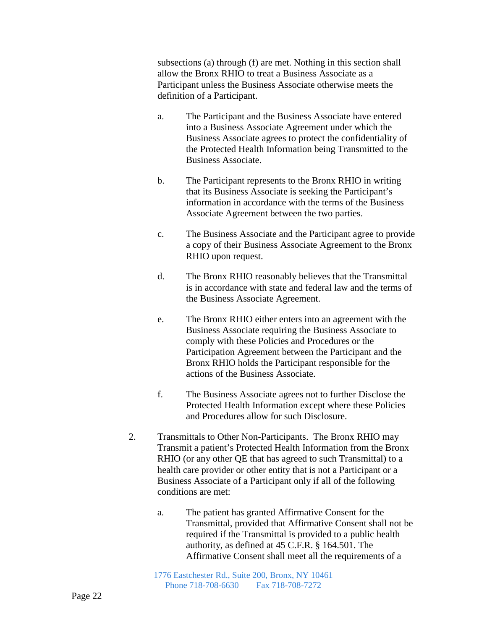subsections (a) through (f) are met. Nothing in this section shall allow the Bronx RHIO to treat a Business Associate as a Participant unless the Business Associate otherwise meets the definition of a Participant.

- a. The Participant and the Business Associate have entered into a Business Associate Agreement under which the Business Associate agrees to protect the confidentiality of the Protected Health Information being Transmitted to the Business Associate.
- b. The Participant represents to the Bronx RHIO in writing that its Business Associate is seeking the Participant's information in accordance with the terms of the Business Associate Agreement between the two parties.
- c. The Business Associate and the Participant agree to provide a copy of their Business Associate Agreement to the Bronx RHIO upon request.
- d. The Bronx RHIO reasonably believes that the Transmittal is in accordance with state and federal law and the terms of the Business Associate Agreement.
- e. The Bronx RHIO either enters into an agreement with the Business Associate requiring the Business Associate to comply with these Policies and Procedures or the Participation Agreement between the Participant and the Bronx RHIO holds the Participant responsible for the actions of the Business Associate.
- f. The Business Associate agrees not to further Disclose the Protected Health Information except where these Policies and Procedures allow for such Disclosure.
- 2. Transmittals to Other Non-Participants. The Bronx RHIO may Transmit a patient's Protected Health Information from the Bronx RHIO (or any other QE that has agreed to such Transmittal) to a health care provider or other entity that is not a Participant or a Business Associate of a Participant only if all of the following conditions are met:
	- a. The patient has granted Affirmative Consent for the Transmittal, provided that Affirmative Consent shall not be required if the Transmittal is provided to a public health authority, as defined at 45 C.F.R. § 164.501. The Affirmative Consent shall meet all the requirements of a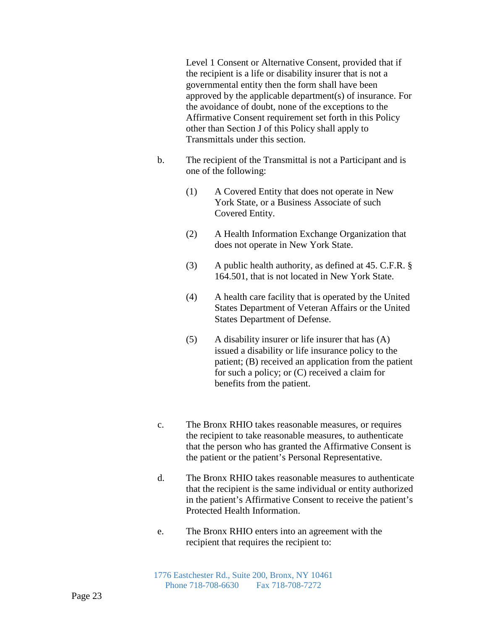Level 1 Consent or Alternative Consent, provided that if the recipient is a life or disability insurer that is not a governmental entity then the form shall have been approved by the applicable department(s) of insurance. For the avoidance of doubt, none of the exceptions to the Affirmative Consent requirement set forth in this Policy other than Section J of this Policy shall apply to Transmittals under this section.

- b. The recipient of the Transmittal is not a Participant and is one of the following:
	- (1) A Covered Entity that does not operate in New York State, or a Business Associate of such Covered Entity.
	- (2) A Health Information Exchange Organization that does not operate in New York State.
	- (3) A public health authority, as defined at 45. C.F.R. § 164.501, that is not located in New York State.
	- (4) A health care facility that is operated by the United States Department of Veteran Affairs or the United States Department of Defense.
	- (5) A disability insurer or life insurer that has (A) issued a disability or life insurance policy to the patient; (B) received an application from the patient for such a policy; or (C) received a claim for benefits from the patient.
- c. The Bronx RHIO takes reasonable measures, or requires the recipient to take reasonable measures, to authenticate that the person who has granted the Affirmative Consent is the patient or the patient's Personal Representative.
- d. The Bronx RHIO takes reasonable measures to authenticate that the recipient is the same individual or entity authorized in the patient's Affirmative Consent to receive the patient's Protected Health Information.
- e. The Bronx RHIO enters into an agreement with the recipient that requires the recipient to: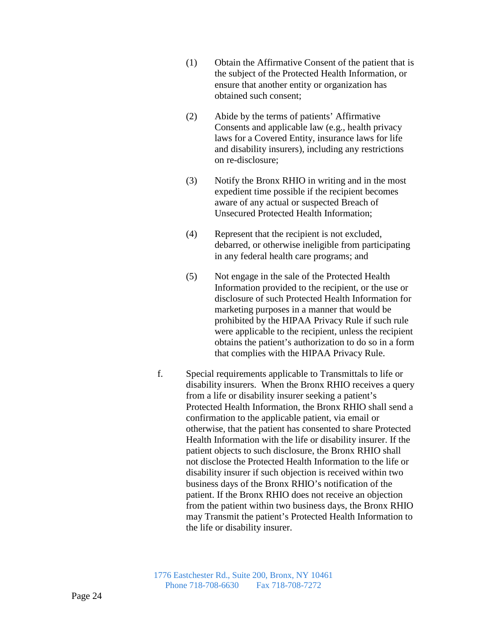- (1) Obtain the Affirmative Consent of the patient that is the subject of the Protected Health Information, or ensure that another entity or organization has obtained such consent;
- (2) Abide by the terms of patients' Affirmative Consents and applicable law (e.g., health privacy laws for a Covered Entity, insurance laws for life and disability insurers), including any restrictions on re-disclosure;
- (3) Notify the Bronx RHIO in writing and in the most expedient time possible if the recipient becomes aware of any actual or suspected Breach of Unsecured Protected Health Information;
- (4) Represent that the recipient is not excluded, debarred, or otherwise ineligible from participating in any federal health care programs; and
- (5) Not engage in the sale of the Protected Health Information provided to the recipient, or the use or disclosure of such Protected Health Information for marketing purposes in a manner that would be prohibited by the HIPAA Privacy Rule if such rule were applicable to the recipient, unless the recipient obtains the patient's authorization to do so in a form that complies with the HIPAA Privacy Rule.
- f. Special requirements applicable to Transmittals to life or disability insurers. When the Bronx RHIO receives a query from a life or disability insurer seeking a patient's Protected Health Information, the Bronx RHIO shall send a confirmation to the applicable patient, via email or otherwise, that the patient has consented to share Protected Health Information with the life or disability insurer. If the patient objects to such disclosure, the Bronx RHIO shall not disclose the Protected Health Information to the life or disability insurer if such objection is received within two business days of the Bronx RHIO's notification of the patient. If the Bronx RHIO does not receive an objection from the patient within two business days, the Bronx RHIO may Transmit the patient's Protected Health Information to the life or disability insurer.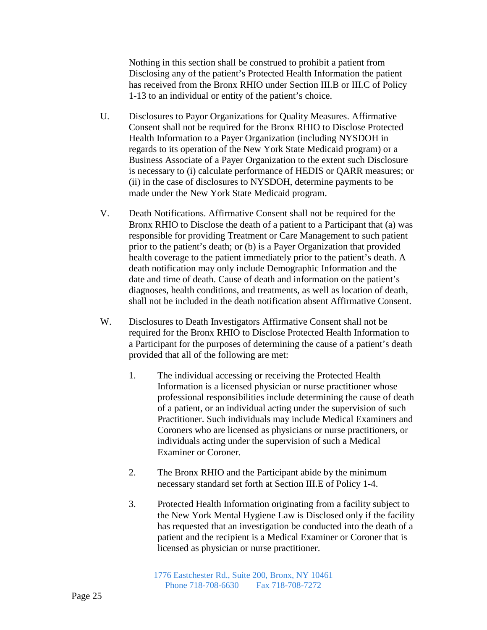Nothing in this section shall be construed to prohibit a patient from Disclosing any of the patient's Protected Health Information the patient has received from the Bronx RHIO under Section III.B or III.C of Policy 1-13 to an individual or entity of the patient's choice.

- U. Disclosures to Payor Organizations for Quality Measures. Affirmative Consent shall not be required for the Bronx RHIO to Disclose Protected Health Information to a Payer Organization (including NYSDOH in regards to its operation of the New York State Medicaid program) or a Business Associate of a Payer Organization to the extent such Disclosure is necessary to (i) calculate performance of HEDIS or QARR measures; or (ii) in the case of disclosures to NYSDOH, determine payments to be made under the New York State Medicaid program.
- V. Death Notifications. Affirmative Consent shall not be required for the Bronx RHIO to Disclose the death of a patient to a Participant that (a) was responsible for providing Treatment or Care Management to such patient prior to the patient's death; or (b) is a Payer Organization that provided health coverage to the patient immediately prior to the patient's death. A death notification may only include Demographic Information and the date and time of death. Cause of death and information on the patient's diagnoses, health conditions, and treatments, as well as location of death, shall not be included in the death notification absent Affirmative Consent.
- W. Disclosures to Death Investigators Affirmative Consent shall not be required for the Bronx RHIO to Disclose Protected Health Information to a Participant for the purposes of determining the cause of a patient's death provided that all of the following are met:
	- 1. The individual accessing or receiving the Protected Health Information is a licensed physician or nurse practitioner whose professional responsibilities include determining the cause of death of a patient, or an individual acting under the supervision of such Practitioner. Such individuals may include Medical Examiners and Coroners who are licensed as physicians or nurse practitioners, or individuals acting under the supervision of such a Medical Examiner or Coroner.
	- 2. The Bronx RHIO and the Participant abide by the minimum necessary standard set forth at Section III.E of Policy 1-4.
	- 3. Protected Health Information originating from a facility subject to the New York Mental Hygiene Law is Disclosed only if the facility has requested that an investigation be conducted into the death of a patient and the recipient is a Medical Examiner or Coroner that is licensed as physician or nurse practitioner.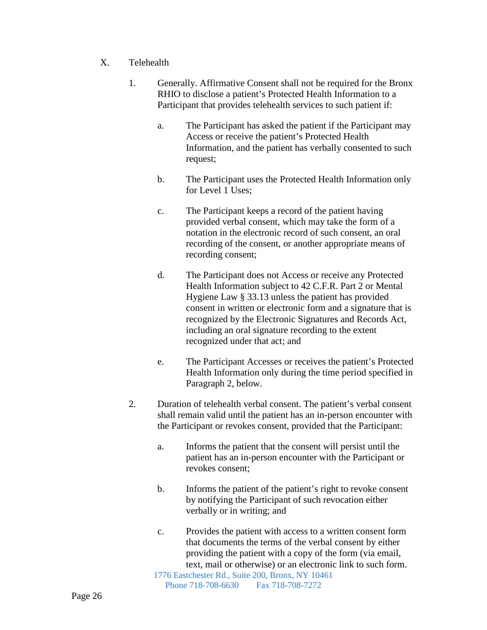## X. Telehealth

- 1. Generally. Affirmative Consent shall not be required for the Bronx RHIO to disclose a patient's Protected Health Information to a Participant that provides telehealth services to such patient if:
	- a. The Participant has asked the patient if the Participant may Access or receive the patient's Protected Health Information, and the patient has verbally consented to such request;
	- b. The Participant uses the Protected Health Information only for Level 1 Uses;
	- c. The Participant keeps a record of the patient having provided verbal consent, which may take the form of a notation in the electronic record of such consent, an oral recording of the consent, or another appropriate means of recording consent;
	- d. The Participant does not Access or receive any Protected Health Information subject to 42 C.F.R. Part 2 or Mental Hygiene Law § 33.13 unless the patient has provided consent in written or electronic form and a signature that is recognized by the Electronic Signatures and Records Act, including an oral signature recording to the extent recognized under that act; and
	- e. The Participant Accesses or receives the patient's Protected Health Information only during the time period specified in Paragraph 2, below.
- 2. Duration of telehealth verbal consent. The patient's verbal consent shall remain valid until the patient has an in-person encounter with the Participant or revokes consent, provided that the Participant:
	- a. Informs the patient that the consent will persist until the patient has an in-person encounter with the Participant or revokes consent;
	- b. Informs the patient of the patient's right to revoke consent by notifying the Participant of such revocation either verbally or in writing; and
	- c. Provides the patient with access to a written consent form that documents the terms of the verbal consent by either providing the patient with a copy of the form (via email, text, mail or otherwise) or an electronic link to such form.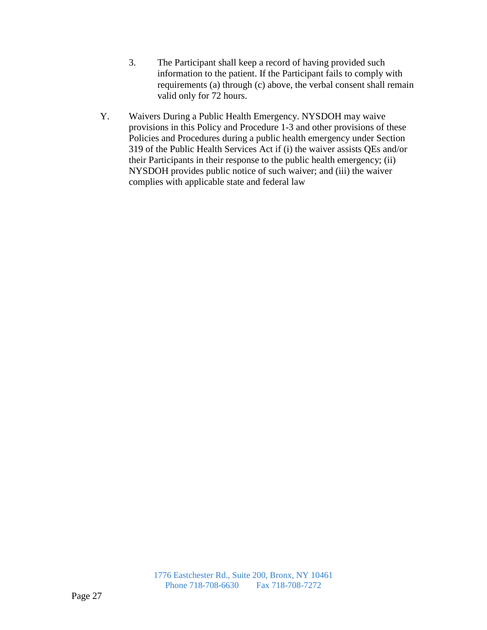- 3. The Participant shall keep a record of having provided such information to the patient. If the Participant fails to comply with requirements (a) through (c) above, the verbal consent shall remain valid only for 72 hours.
- Y. Waivers During a Public Health Emergency. NYSDOH may waive provisions in this Policy and Procedure 1-3 and other provisions of these Policies and Procedures during a public health emergency under Section 319 of the Public Health Services Act if (i) the waiver assists QEs and/or their Participants in their response to the public health emergency; (ii) NYSDOH provides public notice of such waiver; and (iii) the waiver complies with applicable state and federal law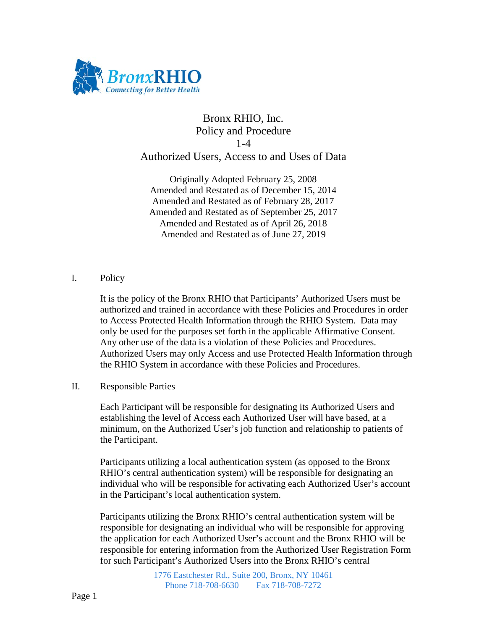

# Bronx RHIO, Inc. Policy and Procedure 1-4 Authorized Users, Access to and Uses of Data

Originally Adopted February 25, 2008 Amended and Restated as of December 15, 2014 Amended and Restated as of February 28, 2017 Amended and Restated as of September 25, 2017 Amended and Restated as of April 26, 2018 Amended and Restated as of June 27, 2019

# I. Policy

It is the policy of the Bronx RHIO that Participants' Authorized Users must be authorized and trained in accordance with these Policies and Procedures in order to Access Protected Health Information through the RHIO System. Data may only be used for the purposes set forth in the applicable Affirmative Consent. Any other use of the data is a violation of these Policies and Procedures. Authorized Users may only Access and use Protected Health Information through the RHIO System in accordance with these Policies and Procedures.

### II. Responsible Parties

Each Participant will be responsible for designating its Authorized Users and establishing the level of Access each Authorized User will have based, at a minimum, on the Authorized User's job function and relationship to patients of the Participant.

Participants utilizing a local authentication system (as opposed to the Bronx RHIO's central authentication system) will be responsible for designating an individual who will be responsible for activating each Authorized User's account in the Participant's local authentication system.

Participants utilizing the Bronx RHIO's central authentication system will be responsible for designating an individual who will be responsible for approving the application for each Authorized User's account and the Bronx RHIO will be responsible for entering information from the Authorized User Registration Form for such Participant's Authorized Users into the Bronx RHIO's central

> 1776 Eastchester Rd., Suite 200, Bronx, NY 10461 Phone 718-708-6630 Fax 718-708-7272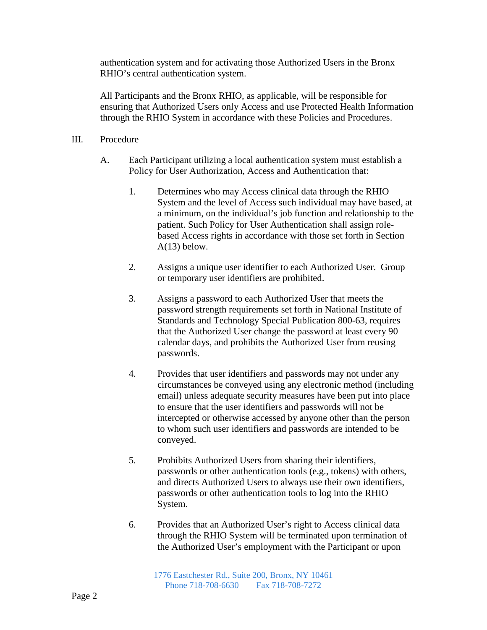authentication system and for activating those Authorized Users in the Bronx RHIO's central authentication system.

All Participants and the Bronx RHIO, as applicable, will be responsible for ensuring that Authorized Users only Access and use Protected Health Information through the RHIO System in accordance with these Policies and Procedures.

### III. Procedure

- A. Each Participant utilizing a local authentication system must establish a Policy for User Authorization, Access and Authentication that:
	- 1. Determines who may Access clinical data through the RHIO System and the level of Access such individual may have based, at a minimum, on the individual's job function and relationship to the patient. Such Policy for User Authentication shall assign rolebased Access rights in accordance with those set forth in Section  $A(13)$  below.
	- 2. Assigns a unique user identifier to each Authorized User. Group or temporary user identifiers are prohibited.
	- 3. Assigns a password to each Authorized User that meets the password strength requirements set forth in National Institute of Standards and Technology Special Publication 800-63, requires that the Authorized User change the password at least every 90 calendar days, and prohibits the Authorized User from reusing passwords.
	- 4. Provides that user identifiers and passwords may not under any circumstances be conveyed using any electronic method (including email) unless adequate security measures have been put into place to ensure that the user identifiers and passwords will not be intercepted or otherwise accessed by anyone other than the person to whom such user identifiers and passwords are intended to be conveyed.
	- 5. Prohibits Authorized Users from sharing their identifiers, passwords or other authentication tools (e.g., tokens) with others, and directs Authorized Users to always use their own identifiers, passwords or other authentication tools to log into the RHIO System.
	- 6. Provides that an Authorized User's right to Access clinical data through the RHIO System will be terminated upon termination of the Authorized User's employment with the Participant or upon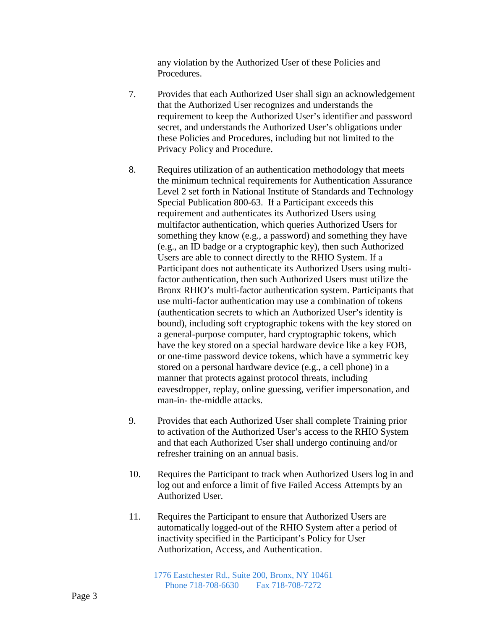any violation by the Authorized User of these Policies and Procedures.

- 7. Provides that each Authorized User shall sign an acknowledgement that the Authorized User recognizes and understands the requirement to keep the Authorized User's identifier and password secret, and understands the Authorized User's obligations under these Policies and Procedures, including but not limited to the Privacy Policy and Procedure.
- 8. Requires utilization of an authentication methodology that meets the minimum technical requirements for Authentication Assurance Level 2 set forth in National Institute of Standards and Technology Special Publication 800-63. If a Participant exceeds this requirement and authenticates its Authorized Users using multifactor authentication, which queries Authorized Users for something they know (e.g., a password) and something they have (e.g., an ID badge or a cryptographic key), then such Authorized Users are able to connect directly to the RHIO System. If a Participant does not authenticate its Authorized Users using multifactor authentication, then such Authorized Users must utilize the Bronx RHIO's multi-factor authentication system. Participants that use multi-factor authentication may use a combination of tokens (authentication secrets to which an Authorized User's identity is bound), including soft cryptographic tokens with the key stored on a general-purpose computer, hard cryptographic tokens, which have the key stored on a special hardware device like a key FOB, or one-time password device tokens, which have a symmetric key stored on a personal hardware device (e.g., a cell phone) in a manner that protects against protocol threats, including eavesdropper, replay, online guessing, verifier impersonation, and man-in- the-middle attacks.
- 9. Provides that each Authorized User shall complete Training prior to activation of the Authorized User's access to the RHIO System and that each Authorized User shall undergo continuing and/or refresher training on an annual basis.
- 10. Requires the Participant to track when Authorized Users log in and log out and enforce a limit of five Failed Access Attempts by an Authorized User.
- 11. Requires the Participant to ensure that Authorized Users are automatically logged-out of the RHIO System after a period of inactivity specified in the Participant's Policy for User Authorization, Access, and Authentication.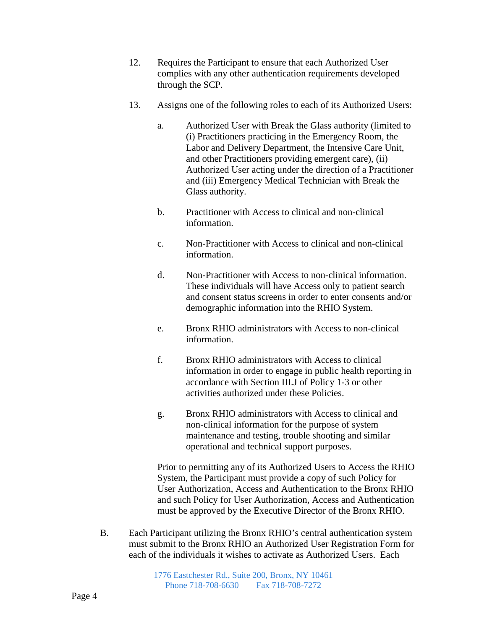- 12. Requires the Participant to ensure that each Authorized User complies with any other authentication requirements developed through the SCP.
- 13. Assigns one of the following roles to each of its Authorized Users:
	- a. Authorized User with Break the Glass authority (limited to (i) Practitioners practicing in the Emergency Room, the Labor and Delivery Department, the Intensive Care Unit, and other Practitioners providing emergent care), (ii) Authorized User acting under the direction of a Practitioner and (iii) Emergency Medical Technician with Break the Glass authority.
	- b. Practitioner with Access to clinical and non-clinical information.
	- c. Non-Practitioner with Access to clinical and non-clinical information.
	- d. Non-Practitioner with Access to non-clinical information. These individuals will have Access only to patient search and consent status screens in order to enter consents and/or demographic information into the RHIO System.
	- e. Bronx RHIO administrators with Access to non-clinical information.
	- f. Bronx RHIO administrators with Access to clinical information in order to engage in public health reporting in accordance with Section III.J of Policy 1-3 or other activities authorized under these Policies.
	- g. Bronx RHIO administrators with Access to clinical and non-clinical information for the purpose of system maintenance and testing, trouble shooting and similar operational and technical support purposes.

Prior to permitting any of its Authorized Users to Access the RHIO System, the Participant must provide a copy of such Policy for User Authorization, Access and Authentication to the Bronx RHIO and such Policy for User Authorization, Access and Authentication must be approved by the Executive Director of the Bronx RHIO.

B. Each Participant utilizing the Bronx RHIO's central authentication system must submit to the Bronx RHIO an Authorized User Registration Form for each of the individuals it wishes to activate as Authorized Users. Each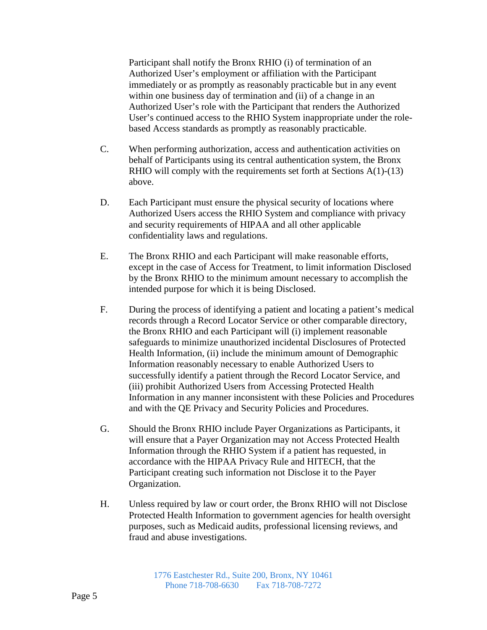Participant shall notify the Bronx RHIO (i) of termination of an Authorized User's employment or affiliation with the Participant immediately or as promptly as reasonably practicable but in any event within one business day of termination and (ii) of a change in an Authorized User's role with the Participant that renders the Authorized User's continued access to the RHIO System inappropriate under the rolebased Access standards as promptly as reasonably practicable.

- C. When performing authorization, access and authentication activities on behalf of Participants using its central authentication system, the Bronx RHIO will comply with the requirements set forth at Sections A(1)-(13) above.
- D. Each Participant must ensure the physical security of locations where Authorized Users access the RHIO System and compliance with privacy and security requirements of HIPAA and all other applicable confidentiality laws and regulations.
- E. The Bronx RHIO and each Participant will make reasonable efforts, except in the case of Access for Treatment, to limit information Disclosed by the Bronx RHIO to the minimum amount necessary to accomplish the intended purpose for which it is being Disclosed.
- F. During the process of identifying a patient and locating a patient's medical records through a Record Locator Service or other comparable directory, the Bronx RHIO and each Participant will (i) implement reasonable safeguards to minimize unauthorized incidental Disclosures of Protected Health Information, (ii) include the minimum amount of Demographic Information reasonably necessary to enable Authorized Users to successfully identify a patient through the Record Locator Service, and (iii) prohibit Authorized Users from Accessing Protected Health Information in any manner inconsistent with these Policies and Procedures and with the QE Privacy and Security Policies and Procedures.
- G. Should the Bronx RHIO include Payer Organizations as Participants, it will ensure that a Payer Organization may not Access Protected Health Information through the RHIO System if a patient has requested, in accordance with the HIPAA Privacy Rule and HITECH, that the Participant creating such information not Disclose it to the Payer Organization.
- H. Unless required by law or court order, the Bronx RHIO will not Disclose Protected Health Information to government agencies for health oversight purposes, such as Medicaid audits, professional licensing reviews, and fraud and abuse investigations.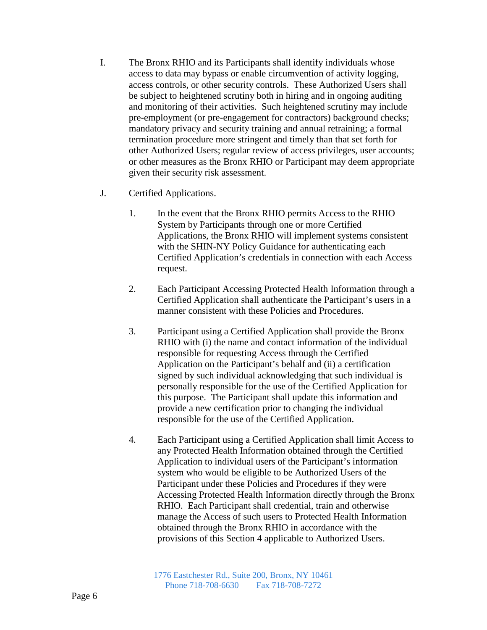- I. The Bronx RHIO and its Participants shall identify individuals whose access to data may bypass or enable circumvention of activity logging, access controls, or other security controls. These Authorized Users shall be subject to heightened scrutiny both in hiring and in ongoing auditing and monitoring of their activities. Such heightened scrutiny may include pre-employment (or pre-engagement for contractors) background checks; mandatory privacy and security training and annual retraining; a formal termination procedure more stringent and timely than that set forth for other Authorized Users; regular review of access privileges, user accounts; or other measures as the Bronx RHIO or Participant may deem appropriate given their security risk assessment.
- J. Certified Applications.
	- 1. In the event that the Bronx RHIO permits Access to the RHIO System by Participants through one or more Certified Applications, the Bronx RHIO will implement systems consistent with the SHIN-NY Policy Guidance for authenticating each Certified Application's credentials in connection with each Access request.
	- 2. Each Participant Accessing Protected Health Information through a Certified Application shall authenticate the Participant's users in a manner consistent with these Policies and Procedures.
	- 3. Participant using a Certified Application shall provide the Bronx RHIO with (i) the name and contact information of the individual responsible for requesting Access through the Certified Application on the Participant's behalf and (ii) a certification signed by such individual acknowledging that such individual is personally responsible for the use of the Certified Application for this purpose. The Participant shall update this information and provide a new certification prior to changing the individual responsible for the use of the Certified Application.
	- 4. Each Participant using a Certified Application shall limit Access to any Protected Health Information obtained through the Certified Application to individual users of the Participant's information system who would be eligible to be Authorized Users of the Participant under these Policies and Procedures if they were Accessing Protected Health Information directly through the Bronx RHIO. Each Participant shall credential, train and otherwise manage the Access of such users to Protected Health Information obtained through the Bronx RHIO in accordance with the provisions of this Section 4 applicable to Authorized Users.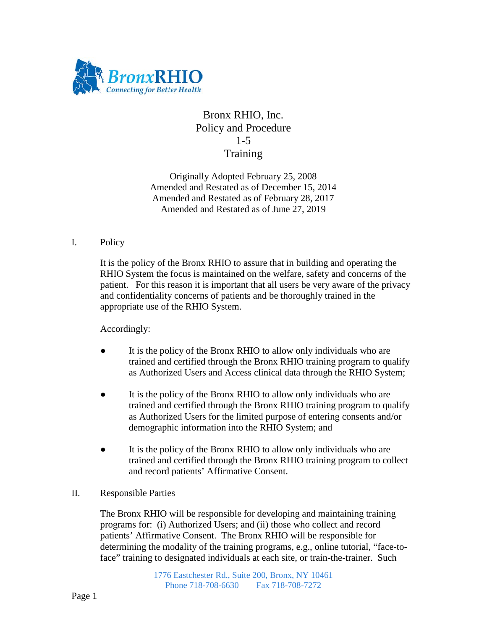

# Bronx RHIO, Inc. Policy and Procedure 1-5 **Training**

Originally Adopted February 25, 2008 Amended and Restated as of December 15, 2014 Amended and Restated as of February 28, 2017 Amended and Restated as of June 27, 2019

## I. Policy

It is the policy of the Bronx RHIO to assure that in building and operating the RHIO System the focus is maintained on the welfare, safety and concerns of the patient. For this reason it is important that all users be very aware of the privacy and confidentiality concerns of patients and be thoroughly trained in the appropriate use of the RHIO System.

# Accordingly:

- It is the policy of the Bronx RHIO to allow only individuals who are trained and certified through the Bronx RHIO training program to qualify as Authorized Users and Access clinical data through the RHIO System;
- It is the policy of the Bronx RHIO to allow only individuals who are trained and certified through the Bronx RHIO training program to qualify as Authorized Users for the limited purpose of entering consents and/or demographic information into the RHIO System; and
- It is the policy of the Bronx RHIO to allow only individuals who are trained and certified through the Bronx RHIO training program to collect and record patients' Affirmative Consent.

### II. Responsible Parties

The Bronx RHIO will be responsible for developing and maintaining training programs for: (i) Authorized Users; and (ii) those who collect and record patients' Affirmative Consent. The Bronx RHIO will be responsible for determining the modality of the training programs, e.g., online tutorial, "face-toface" training to designated individuals at each site, or train-the-trainer. Such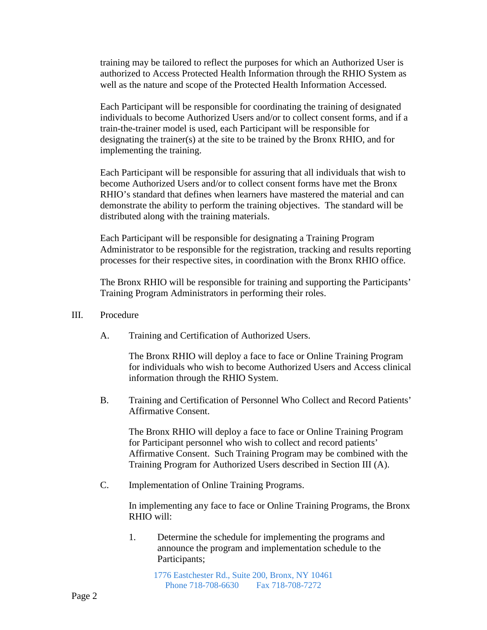training may be tailored to reflect the purposes for which an Authorized User is authorized to Access Protected Health Information through the RHIO System as well as the nature and scope of the Protected Health Information Accessed.

Each Participant will be responsible for coordinating the training of designated individuals to become Authorized Users and/or to collect consent forms, and if a train-the-trainer model is used, each Participant will be responsible for designating the trainer(s) at the site to be trained by the Bronx RHIO, and for implementing the training.

Each Participant will be responsible for assuring that all individuals that wish to become Authorized Users and/or to collect consent forms have met the Bronx RHIO's standard that defines when learners have mastered the material and can demonstrate the ability to perform the training objectives. The standard will be distributed along with the training materials.

Each Participant will be responsible for designating a Training Program Administrator to be responsible for the registration, tracking and results reporting processes for their respective sites, in coordination with the Bronx RHIO office.

The Bronx RHIO will be responsible for training and supporting the Participants' Training Program Administrators in performing their roles.

#### III. Procedure

A. Training and Certification of Authorized Users.

The Bronx RHIO will deploy a face to face or Online Training Program for individuals who wish to become Authorized Users and Access clinical information through the RHIO System.

B. Training and Certification of Personnel Who Collect and Record Patients' Affirmative Consent.

The Bronx RHIO will deploy a face to face or Online Training Program for Participant personnel who wish to collect and record patients' Affirmative Consent. Such Training Program may be combined with the Training Program for Authorized Users described in Section III (A).

C. Implementation of Online Training Programs.

In implementing any face to face or Online Training Programs, the Bronx RHIO will:

1. Determine the schedule for implementing the programs and announce the program and implementation schedule to the Participants;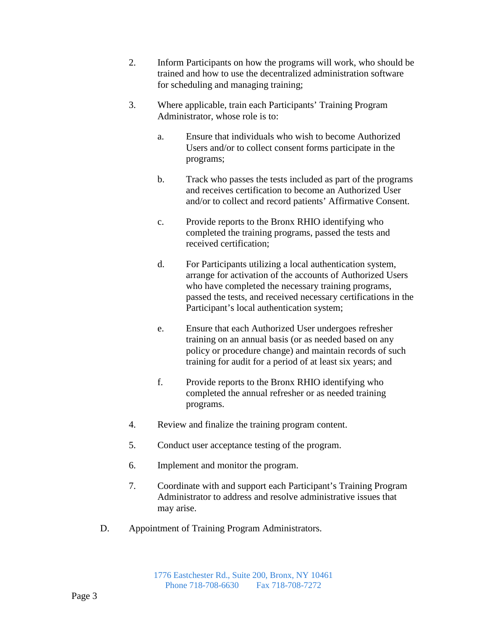- 2. Inform Participants on how the programs will work, who should be trained and how to use the decentralized administration software for scheduling and managing training;
- 3. Where applicable, train each Participants' Training Program Administrator, whose role is to:
	- a. Ensure that individuals who wish to become Authorized Users and/or to collect consent forms participate in the programs;
	- b. Track who passes the tests included as part of the programs and receives certification to become an Authorized User and/or to collect and record patients' Affirmative Consent.
	- c. Provide reports to the Bronx RHIO identifying who completed the training programs, passed the tests and received certification;
	- d. For Participants utilizing a local authentication system, arrange for activation of the accounts of Authorized Users who have completed the necessary training programs, passed the tests, and received necessary certifications in the Participant's local authentication system;
	- e. Ensure that each Authorized User undergoes refresher training on an annual basis (or as needed based on any policy or procedure change) and maintain records of such training for audit for a period of at least six years; and
	- f. Provide reports to the Bronx RHIO identifying who completed the annual refresher or as needed training programs.
- 4. Review and finalize the training program content.
- 5. Conduct user acceptance testing of the program.
- 6. Implement and monitor the program.
- 7. Coordinate with and support each Participant's Training Program Administrator to address and resolve administrative issues that may arise.
- D. Appointment of Training Program Administrators.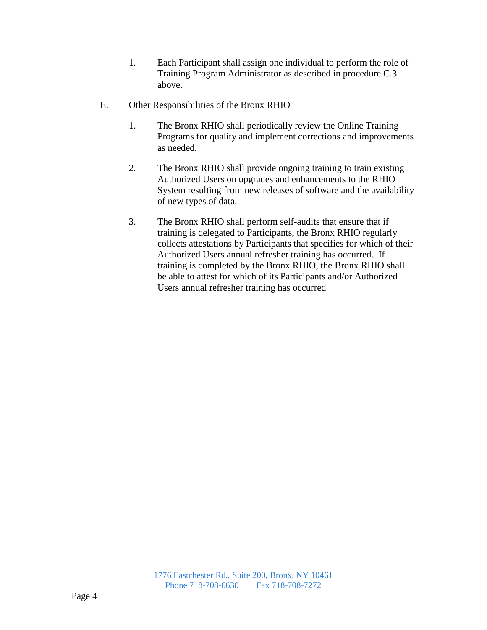- 1. Each Participant shall assign one individual to perform the role of Training Program Administrator as described in procedure C.3 above.
- E. Other Responsibilities of the Bronx RHIO
	- 1. The Bronx RHIO shall periodically review the Online Training Programs for quality and implement corrections and improvements as needed.
	- 2. The Bronx RHIO shall provide ongoing training to train existing Authorized Users on upgrades and enhancements to the RHIO System resulting from new releases of software and the availability of new types of data.
	- 3. The Bronx RHIO shall perform self-audits that ensure that if training is delegated to Participants, the Bronx RHIO regularly collects attestations by Participants that specifies for which of their Authorized Users annual refresher training has occurred. If training is completed by the Bronx RHIO, the Bronx RHIO shall be able to attest for which of its Participants and/or Authorized Users annual refresher training has occurred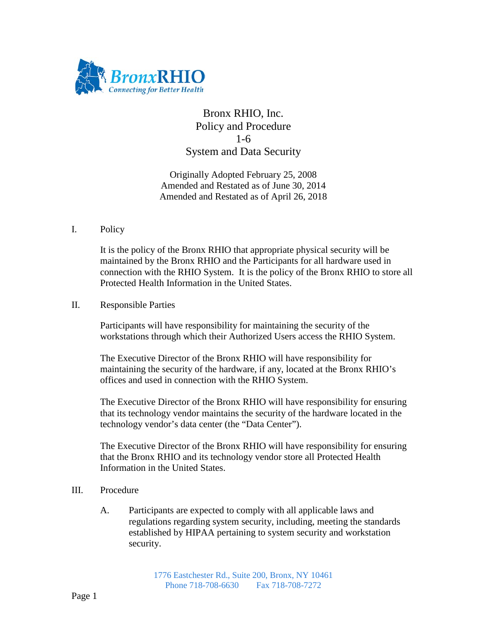

# Bronx RHIO, Inc. Policy and Procedure 1-6 System and Data Security

Originally Adopted February 25, 2008 Amended and Restated as of June 30, 2014 Amended and Restated as of April 26, 2018

## I. Policy

It is the policy of the Bronx RHIO that appropriate physical security will be maintained by the Bronx RHIO and the Participants for all hardware used in connection with the RHIO System. It is the policy of the Bronx RHIO to store all Protected Health Information in the United States.

## II. Responsible Parties

Participants will have responsibility for maintaining the security of the workstations through which their Authorized Users access the RHIO System.

The Executive Director of the Bronx RHIO will have responsibility for maintaining the security of the hardware, if any, located at the Bronx RHIO's offices and used in connection with the RHIO System.

The Executive Director of the Bronx RHIO will have responsibility for ensuring that its technology vendor maintains the security of the hardware located in the technology vendor's data center (the "Data Center").

The Executive Director of the Bronx RHIO will have responsibility for ensuring that the Bronx RHIO and its technology vendor store all Protected Health Information in the United States.

# III. Procedure

A. Participants are expected to comply with all applicable laws and regulations regarding system security, including, meeting the standards established by HIPAA pertaining to system security and workstation security.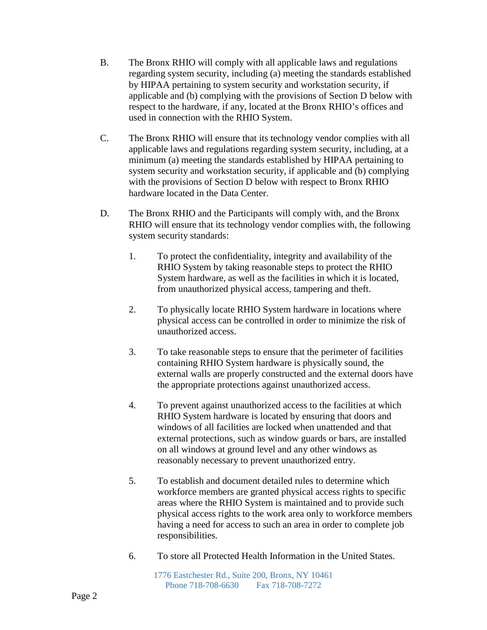- B. The Bronx RHIO will comply with all applicable laws and regulations regarding system security, including (a) meeting the standards established by HIPAA pertaining to system security and workstation security, if applicable and (b) complying with the provisions of Section D below with respect to the hardware, if any, located at the Bronx RHIO's offices and used in connection with the RHIO System.
- C. The Bronx RHIO will ensure that its technology vendor complies with all applicable laws and regulations regarding system security, including, at a minimum (a) meeting the standards established by HIPAA pertaining to system security and workstation security, if applicable and (b) complying with the provisions of Section D below with respect to Bronx RHIO hardware located in the Data Center.
- D. The Bronx RHIO and the Participants will comply with, and the Bronx RHIO will ensure that its technology vendor complies with, the following system security standards:
	- 1. To protect the confidentiality, integrity and availability of the RHIO System by taking reasonable steps to protect the RHIO System hardware, as well as the facilities in which it is located, from unauthorized physical access, tampering and theft.
	- 2. To physically locate RHIO System hardware in locations where physical access can be controlled in order to minimize the risk of unauthorized access.
	- 3. To take reasonable steps to ensure that the perimeter of facilities containing RHIO System hardware is physically sound, the external walls are properly constructed and the external doors have the appropriate protections against unauthorized access.
	- 4. To prevent against unauthorized access to the facilities at which RHIO System hardware is located by ensuring that doors and windows of all facilities are locked when unattended and that external protections, such as window guards or bars, are installed on all windows at ground level and any other windows as reasonably necessary to prevent unauthorized entry.
	- 5. To establish and document detailed rules to determine which workforce members are granted physical access rights to specific areas where the RHIO System is maintained and to provide such physical access rights to the work area only to workforce members having a need for access to such an area in order to complete job responsibilities.
	- 6. To store all Protected Health Information in the United States.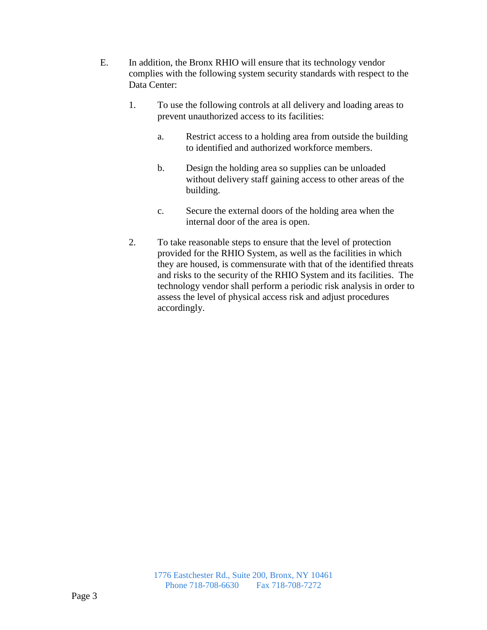- E. In addition, the Bronx RHIO will ensure that its technology vendor complies with the following system security standards with respect to the Data Center:
	- 1. To use the following controls at all delivery and loading areas to prevent unauthorized access to its facilities:
		- a. Restrict access to a holding area from outside the building to identified and authorized workforce members.
		- b. Design the holding area so supplies can be unloaded without delivery staff gaining access to other areas of the building.
		- c. Secure the external doors of the holding area when the internal door of the area is open.
	- 2. To take reasonable steps to ensure that the level of protection provided for the RHIO System, as well as the facilities in which they are housed, is commensurate with that of the identified threats and risks to the security of the RHIO System and its facilities. The technology vendor shall perform a periodic risk analysis in order to assess the level of physical access risk and adjust procedures accordingly.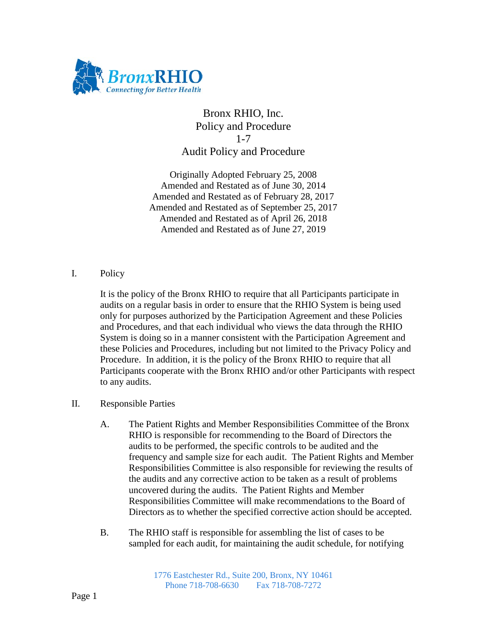

# Bronx RHIO, Inc. Policy and Procedure 1-7 Audit Policy and Procedure

Originally Adopted February 25, 2008 Amended and Restated as of June 30, 2014 Amended and Restated as of February 28, 2017 Amended and Restated as of September 25, 2017 Amended and Restated as of April 26, 2018 Amended and Restated as of June 27, 2019

# I. Policy

It is the policy of the Bronx RHIO to require that all Participants participate in audits on a regular basis in order to ensure that the RHIO System is being used only for purposes authorized by the Participation Agreement and these Policies and Procedures, and that each individual who views the data through the RHIO System is doing so in a manner consistent with the Participation Agreement and these Policies and Procedures, including but not limited to the Privacy Policy and Procedure. In addition, it is the policy of the Bronx RHIO to require that all Participants cooperate with the Bronx RHIO and/or other Participants with respect to any audits.

### II. Responsible Parties

- A. The Patient Rights and Member Responsibilities Committee of the Bronx RHIO is responsible for recommending to the Board of Directors the audits to be performed, the specific controls to be audited and the frequency and sample size for each audit. The Patient Rights and Member Responsibilities Committee is also responsible for reviewing the results of the audits and any corrective action to be taken as a result of problems uncovered during the audits. The Patient Rights and Member Responsibilities Committee will make recommendations to the Board of Directors as to whether the specified corrective action should be accepted.
- B. The RHIO staff is responsible for assembling the list of cases to be sampled for each audit, for maintaining the audit schedule, for notifying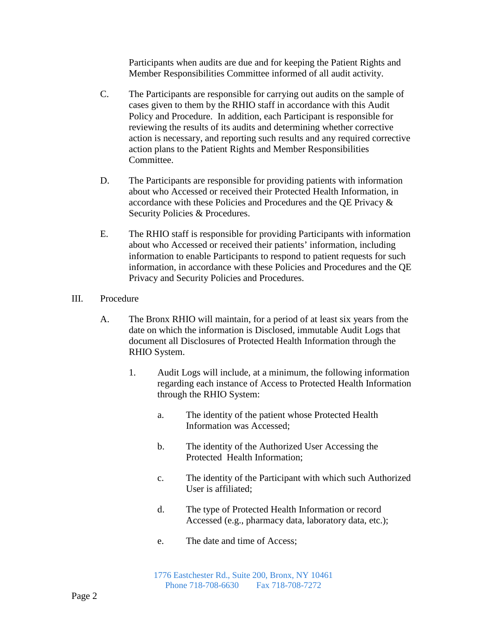Participants when audits are due and for keeping the Patient Rights and Member Responsibilities Committee informed of all audit activity.

- C. The Participants are responsible for carrying out audits on the sample of cases given to them by the RHIO staff in accordance with this Audit Policy and Procedure. In addition, each Participant is responsible for reviewing the results of its audits and determining whether corrective action is necessary, and reporting such results and any required corrective action plans to the Patient Rights and Member Responsibilities Committee.
- D. The Participants are responsible for providing patients with information about who Accessed or received their Protected Health Information, in accordance with these Policies and Procedures and the QE Privacy & Security Policies & Procedures.
- E. The RHIO staff is responsible for providing Participants with information about who Accessed or received their patients' information, including information to enable Participants to respond to patient requests for such information, in accordance with these Policies and Procedures and the QE Privacy and Security Policies and Procedures.

### III. Procedure

- A. The Bronx RHIO will maintain, for a period of at least six years from the date on which the information is Disclosed, immutable Audit Logs that document all Disclosures of Protected Health Information through the RHIO System.
	- 1. Audit Logs will include, at a minimum, the following information regarding each instance of Access to Protected Health Information through the RHIO System:
		- a. The identity of the patient whose Protected Health Information was Accessed;
		- b. The identity of the Authorized User Accessing the Protected Health Information;
		- c. The identity of the Participant with which such Authorized User is affiliated;
		- d. The type of Protected Health Information or record Accessed (e.g., pharmacy data, laboratory data, etc.);
		- e. The date and time of Access;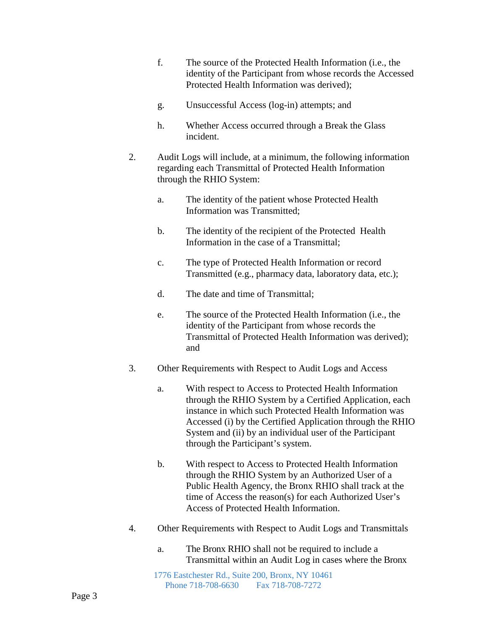- f. The source of the Protected Health Information (i.e., the identity of the Participant from whose records the Accessed Protected Health Information was derived);
- g. Unsuccessful Access (log-in) attempts; and
- h. Whether Access occurred through a Break the Glass incident.
- 2. Audit Logs will include, at a minimum, the following information regarding each Transmittal of Protected Health Information through the RHIO System:
	- a. The identity of the patient whose Protected Health Information was Transmitted;
	- b. The identity of the recipient of the Protected Health Information in the case of a Transmittal;
	- c. The type of Protected Health Information or record Transmitted (e.g., pharmacy data, laboratory data, etc.);
	- d. The date and time of Transmittal;
	- e. The source of the Protected Health Information (i.e., the identity of the Participant from whose records the Transmittal of Protected Health Information was derived); and
- 3. Other Requirements with Respect to Audit Logs and Access
	- a. With respect to Access to Protected Health Information through the RHIO System by a Certified Application, each instance in which such Protected Health Information was Accessed (i) by the Certified Application through the RHIO System and (ii) by an individual user of the Participant through the Participant's system.
	- b. With respect to Access to Protected Health Information through the RHIO System by an Authorized User of a Public Health Agency, the Bronx RHIO shall track at the time of Access the reason(s) for each Authorized User's Access of Protected Health Information.
- 4. Other Requirements with Respect to Audit Logs and Transmittals
	- a. The Bronx RHIO shall not be required to include a Transmittal within an Audit Log in cases where the Bronx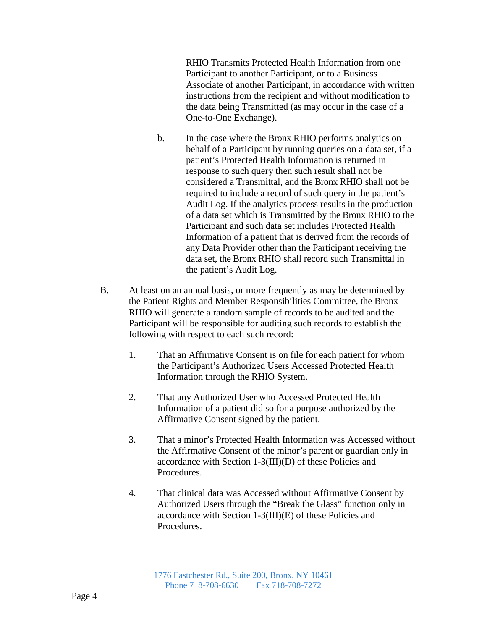RHIO Transmits Protected Health Information from one Participant to another Participant, or to a Business Associate of another Participant, in accordance with written instructions from the recipient and without modification to the data being Transmitted (as may occur in the case of a One-to-One Exchange).

- b. In the case where the Bronx RHIO performs analytics on behalf of a Participant by running queries on a data set, if a patient's Protected Health Information is returned in response to such query then such result shall not be considered a Transmittal, and the Bronx RHIO shall not be required to include a record of such query in the patient's Audit Log. If the analytics process results in the production of a data set which is Transmitted by the Bronx RHIO to the Participant and such data set includes Protected Health Information of a patient that is derived from the records of any Data Provider other than the Participant receiving the data set, the Bronx RHIO shall record such Transmittal in the patient's Audit Log.
- B. At least on an annual basis, or more frequently as may be determined by the Patient Rights and Member Responsibilities Committee, the Bronx RHIO will generate a random sample of records to be audited and the Participant will be responsible for auditing such records to establish the following with respect to each such record:
	- 1. That an Affirmative Consent is on file for each patient for whom the Participant's Authorized Users Accessed Protected Health Information through the RHIO System.
	- 2. That any Authorized User who Accessed Protected Health Information of a patient did so for a purpose authorized by the Affirmative Consent signed by the patient.
	- 3. That a minor's Protected Health Information was Accessed without the Affirmative Consent of the minor's parent or guardian only in accordance with Section 1-3(III)(D) of these Policies and Procedures.
	- 4. That clinical data was Accessed without Affirmative Consent by Authorized Users through the "Break the Glass" function only in accordance with Section 1-3(III)(E) of these Policies and Procedures.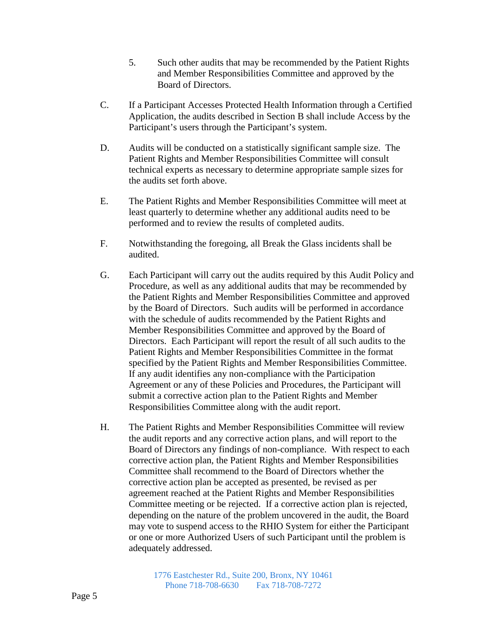- 5. Such other audits that may be recommended by the Patient Rights and Member Responsibilities Committee and approved by the Board of Directors.
- C. If a Participant Accesses Protected Health Information through a Certified Application, the audits described in Section B shall include Access by the Participant's users through the Participant's system.
- D. Audits will be conducted on a statistically significant sample size. The Patient Rights and Member Responsibilities Committee will consult technical experts as necessary to determine appropriate sample sizes for the audits set forth above.
- E. The Patient Rights and Member Responsibilities Committee will meet at least quarterly to determine whether any additional audits need to be performed and to review the results of completed audits.
- F. Notwithstanding the foregoing, all Break the Glass incidents shall be audited.
- G. Each Participant will carry out the audits required by this Audit Policy and Procedure, as well as any additional audits that may be recommended by the Patient Rights and Member Responsibilities Committee and approved by the Board of Directors. Such audits will be performed in accordance with the schedule of audits recommended by the Patient Rights and Member Responsibilities Committee and approved by the Board of Directors. Each Participant will report the result of all such audits to the Patient Rights and Member Responsibilities Committee in the format specified by the Patient Rights and Member Responsibilities Committee. If any audit identifies any non-compliance with the Participation Agreement or any of these Policies and Procedures, the Participant will submit a corrective action plan to the Patient Rights and Member Responsibilities Committee along with the audit report.
- H. The Patient Rights and Member Responsibilities Committee will review the audit reports and any corrective action plans, and will report to the Board of Directors any findings of non-compliance. With respect to each corrective action plan, the Patient Rights and Member Responsibilities Committee shall recommend to the Board of Directors whether the corrective action plan be accepted as presented, be revised as per agreement reached at the Patient Rights and Member Responsibilities Committee meeting or be rejected. If a corrective action plan is rejected, depending on the nature of the problem uncovered in the audit, the Board may vote to suspend access to the RHIO System for either the Participant or one or more Authorized Users of such Participant until the problem is adequately addressed.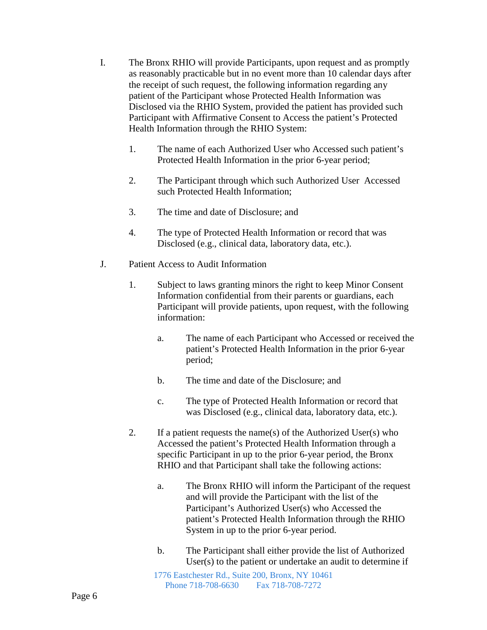- I. The Bronx RHIO will provide Participants, upon request and as promptly as reasonably practicable but in no event more than 10 calendar days after the receipt of such request, the following information regarding any patient of the Participant whose Protected Health Information was Disclosed via the RHIO System, provided the patient has provided such Participant with Affirmative Consent to Access the patient's Protected Health Information through the RHIO System:
	- 1. The name of each Authorized User who Accessed such patient's Protected Health Information in the prior 6-year period;
	- 2. The Participant through which such Authorized User Accessed such Protected Health Information;
	- 3. The time and date of Disclosure; and
	- 4. The type of Protected Health Information or record that was Disclosed (e.g., clinical data, laboratory data, etc.).
- J. Patient Access to Audit Information
	- 1. Subject to laws granting minors the right to keep Minor Consent Information confidential from their parents or guardians, each Participant will provide patients, upon request, with the following information:
		- a. The name of each Participant who Accessed or received the patient's Protected Health Information in the prior 6-year period;
		- b. The time and date of the Disclosure; and
		- c. The type of Protected Health Information or record that was Disclosed (e.g., clinical data, laboratory data, etc.).
	- 2. If a patient requests the name(s) of the Authorized User(s) who Accessed the patient's Protected Health Information through a specific Participant in up to the prior 6-year period, the Bronx RHIO and that Participant shall take the following actions:
		- a. The Bronx RHIO will inform the Participant of the request and will provide the Participant with the list of the Participant's Authorized User(s) who Accessed the patient's Protected Health Information through the RHIO System in up to the prior 6-year period.
		- b. The Participant shall either provide the list of Authorized User(s) to the patient or undertake an audit to determine if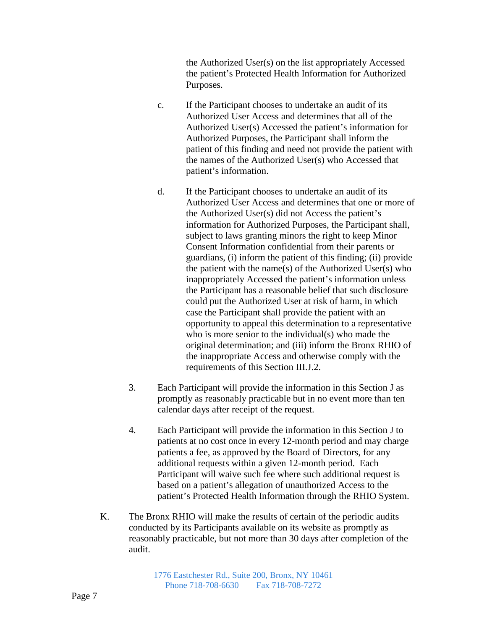the Authorized User(s) on the list appropriately Accessed the patient's Protected Health Information for Authorized Purposes.

- c. If the Participant chooses to undertake an audit of its Authorized User Access and determines that all of the Authorized User(s) Accessed the patient's information for Authorized Purposes, the Participant shall inform the patient of this finding and need not provide the patient with the names of the Authorized User(s) who Accessed that patient's information.
- d. If the Participant chooses to undertake an audit of its Authorized User Access and determines that one or more of the Authorized User(s) did not Access the patient's information for Authorized Purposes, the Participant shall, subject to laws granting minors the right to keep Minor Consent Information confidential from their parents or guardians, (i) inform the patient of this finding; (ii) provide the patient with the name(s) of the Authorized User(s) who inappropriately Accessed the patient's information unless the Participant has a reasonable belief that such disclosure could put the Authorized User at risk of harm, in which case the Participant shall provide the patient with an opportunity to appeal this determination to a representative who is more senior to the individual(s) who made the original determination; and (iii) inform the Bronx RHIO of the inappropriate Access and otherwise comply with the requirements of this Section III.J.2.
- 3. Each Participant will provide the information in this Section J as promptly as reasonably practicable but in no event more than ten calendar days after receipt of the request.
- 4. Each Participant will provide the information in this Section J to patients at no cost once in every 12-month period and may charge patients a fee, as approved by the Board of Directors, for any additional requests within a given 12-month period. Each Participant will waive such fee where such additional request is based on a patient's allegation of unauthorized Access to the patient's Protected Health Information through the RHIO System.
- K. The Bronx RHIO will make the results of certain of the periodic audits conducted by its Participants available on its website as promptly as reasonably practicable, but not more than 30 days after completion of the audit.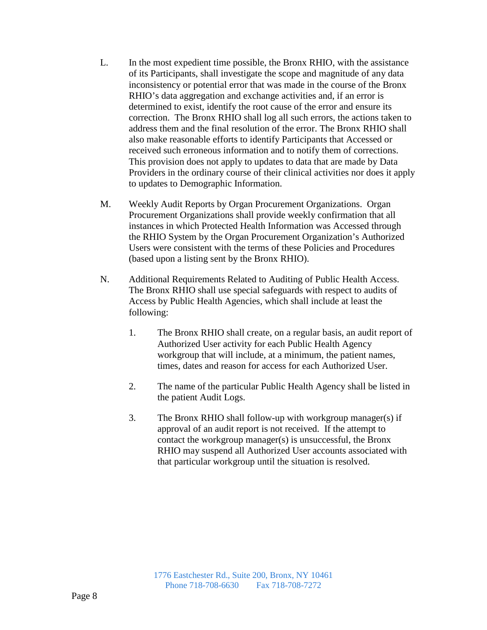- L. In the most expedient time possible, the Bronx RHIO, with the assistance of its Participants, shall investigate the scope and magnitude of any data inconsistency or potential error that was made in the course of the Bronx RHIO's data aggregation and exchange activities and, if an error is determined to exist, identify the root cause of the error and ensure its correction. The Bronx RHIO shall log all such errors, the actions taken to address them and the final resolution of the error. The Bronx RHIO shall also make reasonable efforts to identify Participants that Accessed or received such erroneous information and to notify them of corrections. This provision does not apply to updates to data that are made by Data Providers in the ordinary course of their clinical activities nor does it apply to updates to Demographic Information.
- M. Weekly Audit Reports by Organ Procurement Organizations. Organ Procurement Organizations shall provide weekly confirmation that all instances in which Protected Health Information was Accessed through the RHIO System by the Organ Procurement Organization's Authorized Users were consistent with the terms of these Policies and Procedures (based upon a listing sent by the Bronx RHIO).
- N. Additional Requirements Related to Auditing of Public Health Access. The Bronx RHIO shall use special safeguards with respect to audits of Access by Public Health Agencies, which shall include at least the following:
	- 1. The Bronx RHIO shall create, on a regular basis, an audit report of Authorized User activity for each Public Health Agency workgroup that will include, at a minimum, the patient names, times, dates and reason for access for each Authorized User.
	- 2. The name of the particular Public Health Agency shall be listed in the patient Audit Logs.
	- 3. The Bronx RHIO shall follow-up with workgroup manager(s) if approval of an audit report is not received. If the attempt to contact the workgroup manager(s) is unsuccessful, the Bronx RHIO may suspend all Authorized User accounts associated with that particular workgroup until the situation is resolved.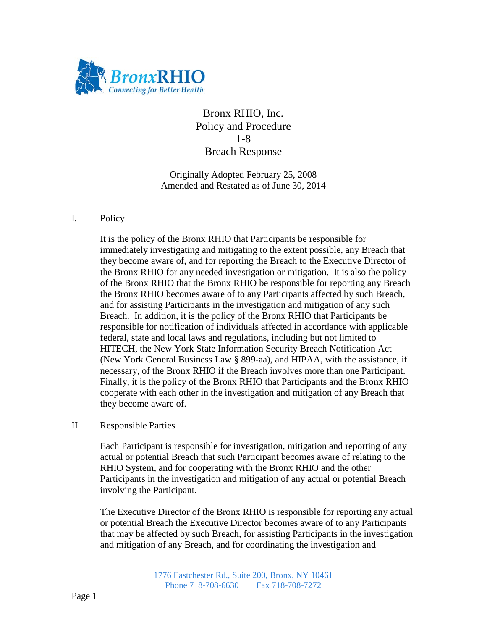

Bronx RHIO, Inc. Policy and Procedure 1-8 Breach Response

Originally Adopted February 25, 2008 Amended and Restated as of June 30, 2014

#### I. Policy

It is the policy of the Bronx RHIO that Participants be responsible for immediately investigating and mitigating to the extent possible, any Breach that they become aware of, and for reporting the Breach to the Executive Director of the Bronx RHIO for any needed investigation or mitigation. It is also the policy of the Bronx RHIO that the Bronx RHIO be responsible for reporting any Breach the Bronx RHIO becomes aware of to any Participants affected by such Breach, and for assisting Participants in the investigation and mitigation of any such Breach. In addition, it is the policy of the Bronx RHIO that Participants be responsible for notification of individuals affected in accordance with applicable federal, state and local laws and regulations, including but not limited to HITECH, the New York State Information Security Breach Notification Act (New York General Business Law § 899-aa), and HIPAA, with the assistance, if necessary, of the Bronx RHIO if the Breach involves more than one Participant. Finally, it is the policy of the Bronx RHIO that Participants and the Bronx RHIO cooperate with each other in the investigation and mitigation of any Breach that they become aware of.

II. Responsible Parties

Each Participant is responsible for investigation, mitigation and reporting of any actual or potential Breach that such Participant becomes aware of relating to the RHIO System, and for cooperating with the Bronx RHIO and the other Participants in the investigation and mitigation of any actual or potential Breach involving the Participant.

The Executive Director of the Bronx RHIO is responsible for reporting any actual or potential Breach the Executive Director becomes aware of to any Participants that may be affected by such Breach, for assisting Participants in the investigation and mitigation of any Breach, and for coordinating the investigation and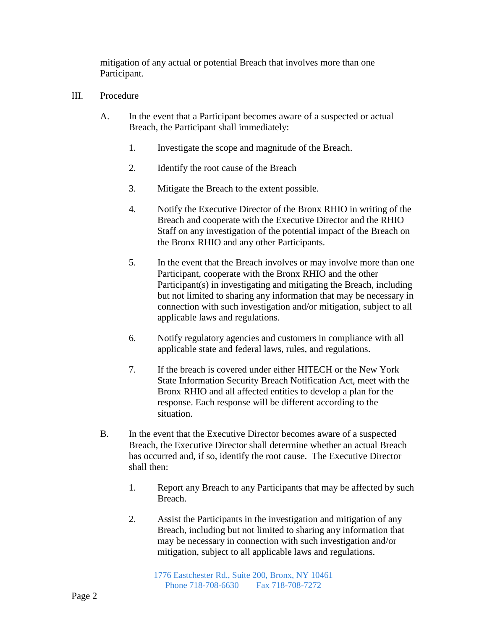mitigation of any actual or potential Breach that involves more than one Participant.

- III. Procedure
	- A. In the event that a Participant becomes aware of a suspected or actual Breach, the Participant shall immediately:
		- 1. Investigate the scope and magnitude of the Breach.
		- 2. Identify the root cause of the Breach
		- 3. Mitigate the Breach to the extent possible.
		- 4. Notify the Executive Director of the Bronx RHIO in writing of the Breach and cooperate with the Executive Director and the RHIO Staff on any investigation of the potential impact of the Breach on the Bronx RHIO and any other Participants.
		- 5. In the event that the Breach involves or may involve more than one Participant, cooperate with the Bronx RHIO and the other Participant(s) in investigating and mitigating the Breach, including but not limited to sharing any information that may be necessary in connection with such investigation and/or mitigation, subject to all applicable laws and regulations.
		- 6. Notify regulatory agencies and customers in compliance with all applicable state and federal laws, rules, and regulations.
		- 7. If the breach is covered under either HITECH or the New York State Information Security Breach Notification Act, meet with the Bronx RHIO and all affected entities to develop a plan for the response. Each response will be different according to the situation.
	- B. In the event that the Executive Director becomes aware of a suspected Breach, the Executive Director shall determine whether an actual Breach has occurred and, if so, identify the root cause. The Executive Director shall then:
		- 1. Report any Breach to any Participants that may be affected by such Breach.
		- 2. Assist the Participants in the investigation and mitigation of any Breach, including but not limited to sharing any information that may be necessary in connection with such investigation and/or mitigation, subject to all applicable laws and regulations.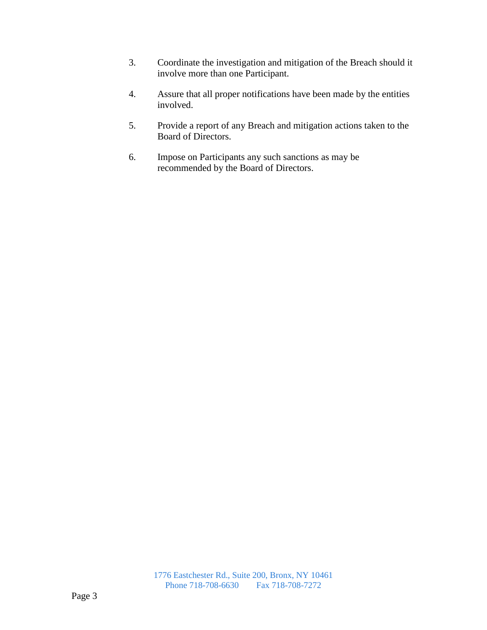- 3. Coordinate the investigation and mitigation of the Breach should it involve more than one Participant.
- 4. Assure that all proper notifications have been made by the entities involved.
- 5. Provide a report of any Breach and mitigation actions taken to the Board of Directors.
- 6. Impose on Participants any such sanctions as may be recommended by the Board of Directors.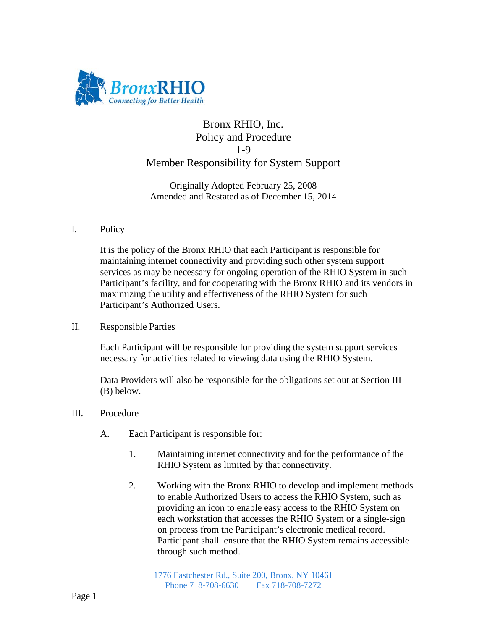

# Bronx RHIO, Inc. Policy and Procedure 1-9 Member Responsibility for System Support

Originally Adopted February 25, 2008 Amended and Restated as of December 15, 2014

## I. Policy

It is the policy of the Bronx RHIO that each Participant is responsible for maintaining internet connectivity and providing such other system support services as may be necessary for ongoing operation of the RHIO System in such Participant's facility, and for cooperating with the Bronx RHIO and its vendors in maximizing the utility and effectiveness of the RHIO System for such Participant's Authorized Users.

II. Responsible Parties

Each Participant will be responsible for providing the system support services necessary for activities related to viewing data using the RHIO System.

Data Providers will also be responsible for the obligations set out at Section III (B) below.

- III. Procedure
	- A. Each Participant is responsible for:
		- 1. Maintaining internet connectivity and for the performance of the RHIO System as limited by that connectivity.
		- 2. Working with the Bronx RHIO to develop and implement methods to enable Authorized Users to access the RHIO System, such as providing an icon to enable easy access to the RHIO System on each workstation that accesses the RHIO System or a single-sign on process from the Participant's electronic medical record. Participant shall ensure that the RHIO System remains accessible through such method.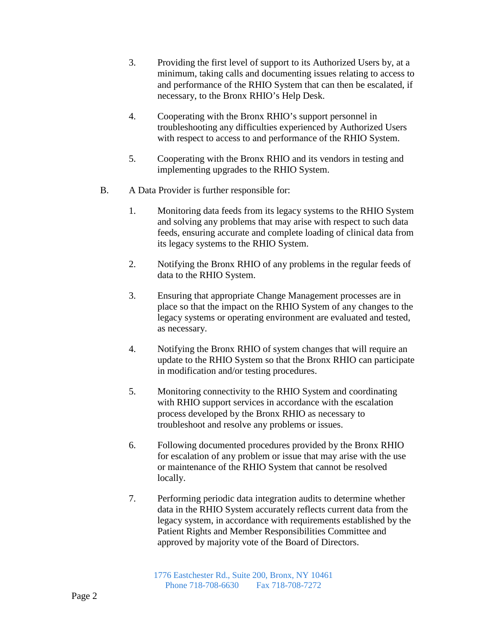- 3. Providing the first level of support to its Authorized Users by, at a minimum, taking calls and documenting issues relating to access to and performance of the RHIO System that can then be escalated, if necessary, to the Bronx RHIO's Help Desk.
- 4. Cooperating with the Bronx RHIO's support personnel in troubleshooting any difficulties experienced by Authorized Users with respect to access to and performance of the RHIO System.
- 5. Cooperating with the Bronx RHIO and its vendors in testing and implementing upgrades to the RHIO System.
- B. A Data Provider is further responsible for:
	- 1. Monitoring data feeds from its legacy systems to the RHIO System and solving any problems that may arise with respect to such data feeds, ensuring accurate and complete loading of clinical data from its legacy systems to the RHIO System.
	- 2. Notifying the Bronx RHIO of any problems in the regular feeds of data to the RHIO System.
	- 3. Ensuring that appropriate Change Management processes are in place so that the impact on the RHIO System of any changes to the legacy systems or operating environment are evaluated and tested, as necessary.
	- 4. Notifying the Bronx RHIO of system changes that will require an update to the RHIO System so that the Bronx RHIO can participate in modification and/or testing procedures.
	- 5. Monitoring connectivity to the RHIO System and coordinating with RHIO support services in accordance with the escalation process developed by the Bronx RHIO as necessary to troubleshoot and resolve any problems or issues.
	- 6. Following documented procedures provided by the Bronx RHIO for escalation of any problem or issue that may arise with the use or maintenance of the RHIO System that cannot be resolved locally.
	- 7. Performing periodic data integration audits to determine whether data in the RHIO System accurately reflects current data from the legacy system, in accordance with requirements established by the Patient Rights and Member Responsibilities Committee and approved by majority vote of the Board of Directors.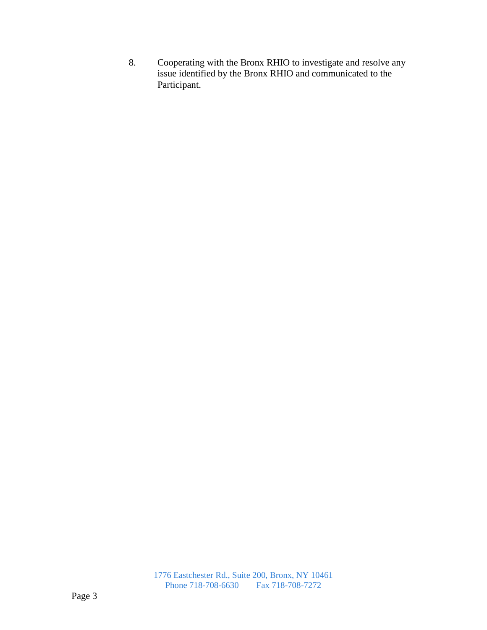8. Cooperating with the Bronx RHIO to investigate and resolve any issue identified by the Bronx RHIO and communicated to the Participant.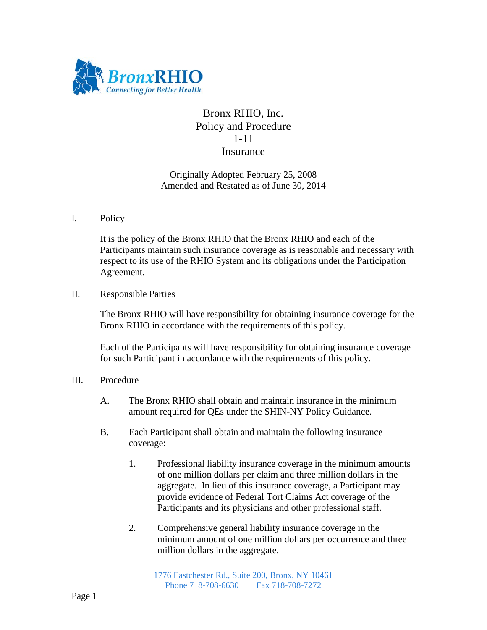

# Bronx RHIO, Inc. Policy and Procedure 1-11 Insurance

Originally Adopted February 25, 2008 Amended and Restated as of June 30, 2014

### I. Policy

It is the policy of the Bronx RHIO that the Bronx RHIO and each of the Participants maintain such insurance coverage as is reasonable and necessary with respect to its use of the RHIO System and its obligations under the Participation Agreement.

### II. Responsible Parties

The Bronx RHIO will have responsibility for obtaining insurance coverage for the Bronx RHIO in accordance with the requirements of this policy.

Each of the Participants will have responsibility for obtaining insurance coverage for such Participant in accordance with the requirements of this policy.

### III. Procedure

- A. The Bronx RHIO shall obtain and maintain insurance in the minimum amount required for QEs under the SHIN-NY Policy Guidance.
- B. Each Participant shall obtain and maintain the following insurance coverage:
	- 1. Professional liability insurance coverage in the minimum amounts of one million dollars per claim and three million dollars in the aggregate. In lieu of this insurance coverage, a Participant may provide evidence of Federal Tort Claims Act coverage of the Participants and its physicians and other professional staff.
	- 2. Comprehensive general liability insurance coverage in the minimum amount of one million dollars per occurrence and three million dollars in the aggregate.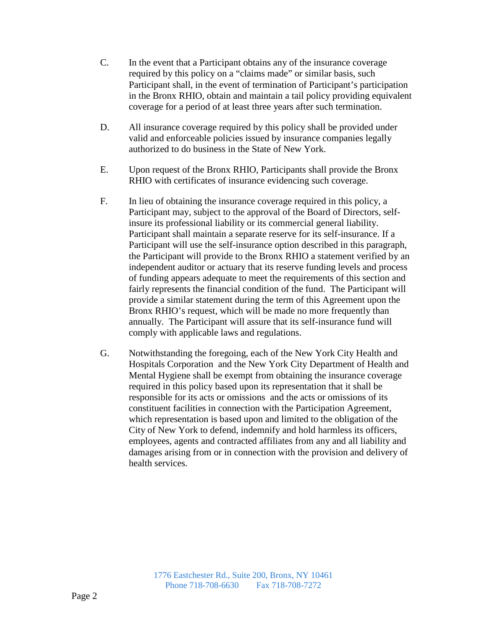- C. In the event that a Participant obtains any of the insurance coverage required by this policy on a "claims made" or similar basis, such Participant shall, in the event of termination of Participant's participation in the Bronx RHIO, obtain and maintain a tail policy providing equivalent coverage for a period of at least three years after such termination.
- D. All insurance coverage required by this policy shall be provided under valid and enforceable policies issued by insurance companies legally authorized to do business in the State of New York.
- E. Upon request of the Bronx RHIO, Participants shall provide the Bronx RHIO with certificates of insurance evidencing such coverage.
- F. In lieu of obtaining the insurance coverage required in this policy, a Participant may, subject to the approval of the Board of Directors, selfinsure its professional liability or its commercial general liability. Participant shall maintain a separate reserve for its self-insurance. If a Participant will use the self-insurance option described in this paragraph, the Participant will provide to the Bronx RHIO a statement verified by an independent auditor or actuary that its reserve funding levels and process of funding appears adequate to meet the requirements of this section and fairly represents the financial condition of the fund. The Participant will provide a similar statement during the term of this Agreement upon the Bronx RHIO's request, which will be made no more frequently than annually. The Participant will assure that its self-insurance fund will comply with applicable laws and regulations.
- G. Notwithstanding the foregoing, each of the New York City Health and Hospitals Corporation and the New York City Department of Health and Mental Hygiene shall be exempt from obtaining the insurance coverage required in this policy based upon its representation that it shall be responsible for its acts or omissions and the acts or omissions of its constituent facilities in connection with the Participation Agreement, which representation is based upon and limited to the obligation of the City of New York to defend, indemnify and hold harmless its officers, employees, agents and contracted affiliates from any and all liability and damages arising from or in connection with the provision and delivery of health services.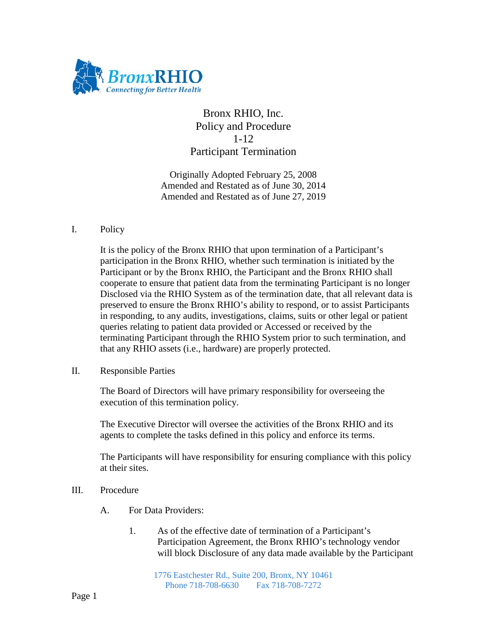

Bronx RHIO, Inc. Policy and Procedure 1-12 Participant Termination

Originally Adopted February 25, 2008 Amended and Restated as of June 30, 2014 Amended and Restated as of June 27, 2019

#### I. Policy

It is the policy of the Bronx RHIO that upon termination of a Participant's participation in the Bronx RHIO, whether such termination is initiated by the Participant or by the Bronx RHIO, the Participant and the Bronx RHIO shall cooperate to ensure that patient data from the terminating Participant is no longer Disclosed via the RHIO System as of the termination date, that all relevant data is preserved to ensure the Bronx RHIO's ability to respond, or to assist Participants in responding, to any audits, investigations, claims, suits or other legal or patient queries relating to patient data provided or Accessed or received by the terminating Participant through the RHIO System prior to such termination, and that any RHIO assets (i.e., hardware) are properly protected.

II. Responsible Parties

The Board of Directors will have primary responsibility for overseeing the execution of this termination policy.

The Executive Director will oversee the activities of the Bronx RHIO and its agents to complete the tasks defined in this policy and enforce its terms.

The Participants will have responsibility for ensuring compliance with this policy at their sites.

- III. Procedure
	- A. For Data Providers:
		- 1. As of the effective date of termination of a Participant's Participation Agreement, the Bronx RHIO's technology vendor will block Disclosure of any data made available by the Participant

1776 Eastchester Rd., Suite 200, Bronx, NY 10461 Phone 718-708-6630 Fax 718-708-7272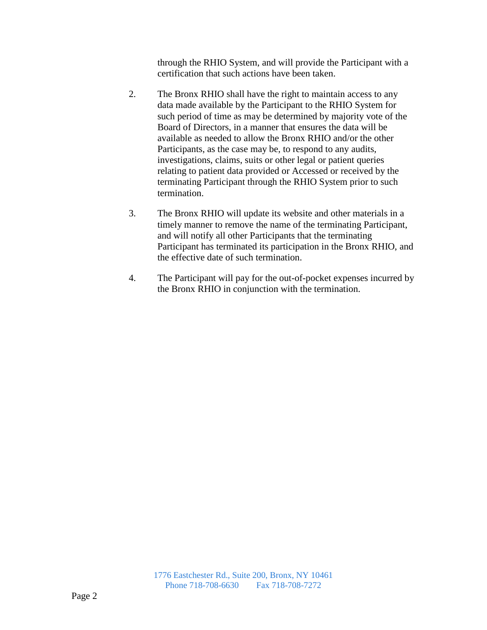through the RHIO System, and will provide the Participant with a certification that such actions have been taken.

- 2. The Bronx RHIO shall have the right to maintain access to any data made available by the Participant to the RHIO System for such period of time as may be determined by majority vote of the Board of Directors, in a manner that ensures the data will be available as needed to allow the Bronx RHIO and/or the other Participants, as the case may be, to respond to any audits, investigations, claims, suits or other legal or patient queries relating to patient data provided or Accessed or received by the terminating Participant through the RHIO System prior to such termination.
- 3. The Bronx RHIO will update its website and other materials in a timely manner to remove the name of the terminating Participant, and will notify all other Participants that the terminating Participant has terminated its participation in the Bronx RHIO, and the effective date of such termination.
- 4. The Participant will pay for the out-of-pocket expenses incurred by the Bronx RHIO in conjunction with the termination.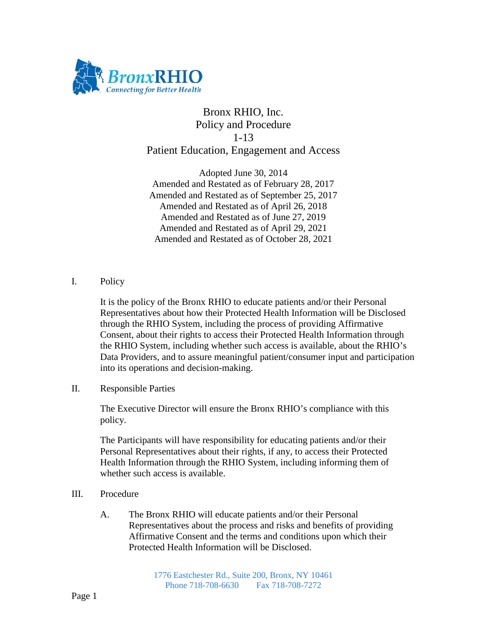

# Bronx RHIO, Inc. Policy and Procedure 1-13 Patient Education, Engagement and Access

Adopted June 30, 2014 Amended and Restated as of February 28, 2017 Amended and Restated as of September 25, 2017 Amended and Restated as of April 26, 2018 Amended and Restated as of June 27, 2019 Amended and Restated as of April 29, 2021 Amended and Restated as of October 28, 2021

### I. Policy

It is the policy of the Bronx RHIO to educate patients and/or their Personal Representatives about how their Protected Health Information will be Disclosed through the RHIO System, including the process of providing Affirmative Consent, about their rights to access their Protected Health Information through the RHIO System, including whether such access is available, about the RHIO's Data Providers, and to assure meaningful patient/consumer input and participation into its operations and decision-making.

II. Responsible Parties

The Executive Director will ensure the Bronx RHIO's compliance with this policy.

The Participants will have responsibility for educating patients and/or their Personal Representatives about their rights, if any, to access their Protected Health Information through the RHIO System, including informing them of whether such access is available.

- III. Procedure
	- A. The Bronx RHIO will educate patients and/or their Personal Representatives about the process and risks and benefits of providing Affirmative Consent and the terms and conditions upon which their Protected Health Information will be Disclosed.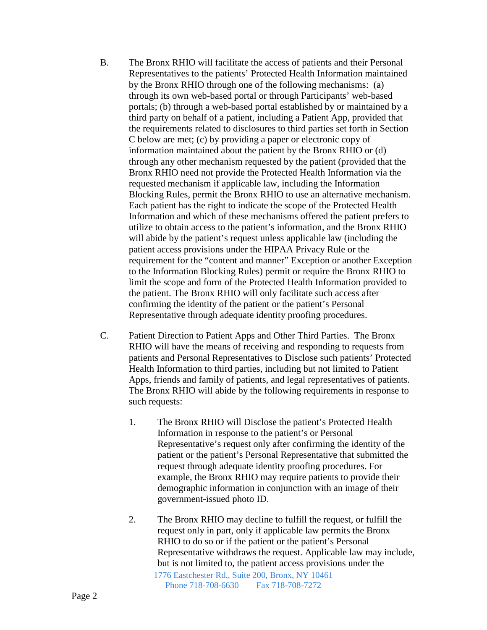- B. The Bronx RHIO will facilitate the access of patients and their Personal Representatives to the patients' Protected Health Information maintained by the Bronx RHIO through one of the following mechanisms: (a) through its own web-based portal or through Participants' web-based portals; (b) through a web-based portal established by or maintained by a third party on behalf of a patient, including a Patient App, provided that the requirements related to disclosures to third parties set forth in Section C below are met; (c) by providing a paper or electronic copy of information maintained about the patient by the Bronx RHIO or (d) through any other mechanism requested by the patient (provided that the Bronx RHIO need not provide the Protected Health Information via the requested mechanism if applicable law, including the Information Blocking Rules, permit the Bronx RHIO to use an alternative mechanism. Each patient has the right to indicate the scope of the Protected Health Information and which of these mechanisms offered the patient prefers to utilize to obtain access to the patient's information, and the Bronx RHIO will abide by the patient's request unless applicable law (including the patient access provisions under the HIPAA Privacy Rule or the requirement for the "content and manner" Exception or another Exception to the Information Blocking Rules) permit or require the Bronx RHIO to limit the scope and form of the Protected Health Information provided to the patient. The Bronx RHIO will only facilitate such access after confirming the identity of the patient or the patient's Personal Representative through adequate identity proofing procedures.
- C. Patient Direction to Patient Apps and Other Third Parties. The Bronx RHIO will have the means of receiving and responding to requests from patients and Personal Representatives to Disclose such patients' Protected Health Information to third parties, including but not limited to Patient Apps, friends and family of patients, and legal representatives of patients. The Bronx RHIO will abide by the following requirements in response to such requests:
	- 1. The Bronx RHIO will Disclose the patient's Protected Health Information in response to the patient's or Personal Representative's request only after confirming the identity of the patient or the patient's Personal Representative that submitted the request through adequate identity proofing procedures. For example, the Bronx RHIO may require patients to provide their demographic information in conjunction with an image of their government-issued photo ID.
	- 1776 Eastchester Rd., Suite 200, Bronx, NY 10461 2. The Bronx RHIO may decline to fulfill the request, or fulfill the request only in part, only if applicable law permits the Bronx RHIO to do so or if the patient or the patient's Personal Representative withdraws the request. Applicable law may include, but is not limited to, the patient access provisions under the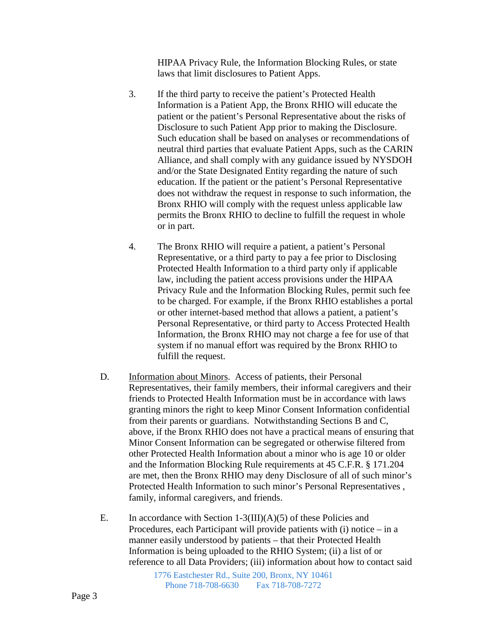HIPAA Privacy Rule, the Information Blocking Rules, or state laws that limit disclosures to Patient Apps.

- 3. If the third party to receive the patient's Protected Health Information is a Patient App, the Bronx RHIO will educate the patient or the patient's Personal Representative about the risks of Disclosure to such Patient App prior to making the Disclosure. Such education shall be based on analyses or recommendations of neutral third parties that evaluate Patient Apps, such as the CARIN Alliance, and shall comply with any guidance issued by NYSDOH and/or the State Designated Entity regarding the nature of such education. If the patient or the patient's Personal Representative does not withdraw the request in response to such information, the Bronx RHIO will comply with the request unless applicable law permits the Bronx RHIO to decline to fulfill the request in whole or in part.
- 4. The Bronx RHIO will require a patient, a patient's Personal Representative, or a third party to pay a fee prior to Disclosing Protected Health Information to a third party only if applicable law, including the patient access provisions under the HIPAA Privacy Rule and the Information Blocking Rules, permit such fee to be charged. For example, if the Bronx RHIO establishes a portal or other internet-based method that allows a patient, a patient's Personal Representative, or third party to Access Protected Health Information, the Bronx RHIO may not charge a fee for use of that system if no manual effort was required by the Bronx RHIO to fulfill the request.
- D. Information about Minors. Access of patients, their Personal Representatives, their family members, their informal caregivers and their friends to Protected Health Information must be in accordance with laws granting minors the right to keep Minor Consent Information confidential from their parents or guardians. Notwithstanding Sections B and C, above, if the Bronx RHIO does not have a practical means of ensuring that Minor Consent Information can be segregated or otherwise filtered from other Protected Health Information about a minor who is age 10 or older and the Information Blocking Rule requirements at 45 C.F.R. § 171.204 are met, then the Bronx RHIO may deny Disclosure of all of such minor's Protected Health Information to such minor's Personal Representatives , family, informal caregivers, and friends.
- E. In accordance with Section  $1-3(III)(A)(5)$  of these Policies and Procedures, each Participant will provide patients with (i) notice – in a manner easily understood by patients – that their Protected Health Information is being uploaded to the RHIO System; (ii) a list of or reference to all Data Providers; (iii) information about how to contact said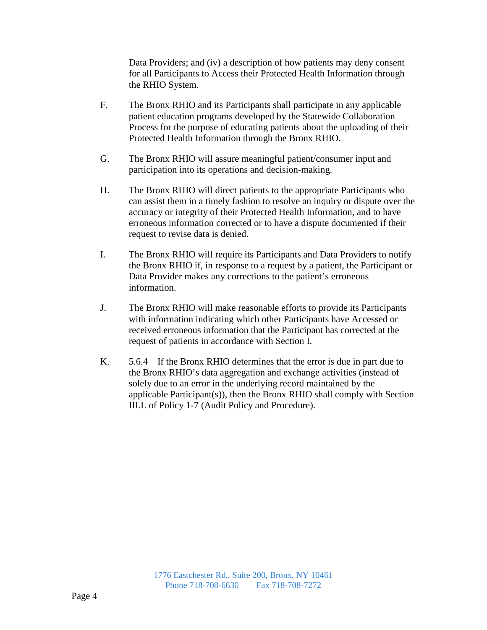Data Providers; and (iv) a description of how patients may deny consent for all Participants to Access their Protected Health Information through the RHIO System.

- F. The Bronx RHIO and its Participants shall participate in any applicable patient education programs developed by the Statewide Collaboration Process for the purpose of educating patients about the uploading of their Protected Health Information through the Bronx RHIO.
- G. The Bronx RHIO will assure meaningful patient/consumer input and participation into its operations and decision-making.
- H. The Bronx RHIO will direct patients to the appropriate Participants who can assist them in a timely fashion to resolve an inquiry or dispute over the accuracy or integrity of their Protected Health Information, and to have erroneous information corrected or to have a dispute documented if their request to revise data is denied.
- I. The Bronx RHIO will require its Participants and Data Providers to notify the Bronx RHIO if, in response to a request by a patient, the Participant or Data Provider makes any corrections to the patient's erroneous information.
- J. The Bronx RHIO will make reasonable efforts to provide its Participants with information indicating which other Participants have Accessed or received erroneous information that the Participant has corrected at the request of patients in accordance with Section I.
- K. 5.6.4 If the Bronx RHIO determines that the error is due in part due to the Bronx RHIO's data aggregation and exchange activities (instead of solely due to an error in the underlying record maintained by the applicable Participant(s)), then the Bronx RHIO shall comply with Section III.L of Policy 1-7 (Audit Policy and Procedure).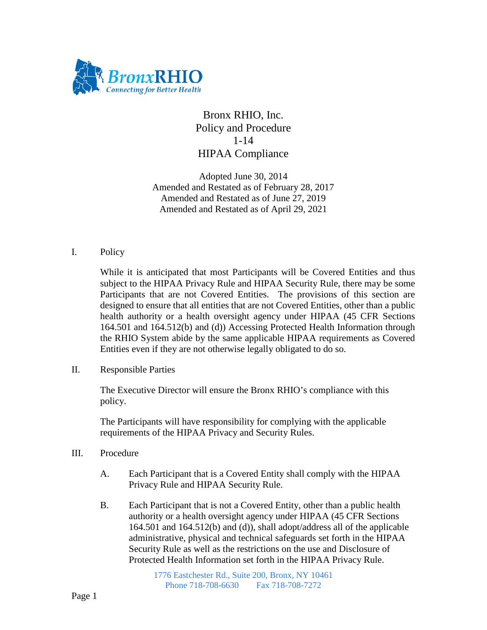

## Bronx RHIO, Inc. Policy and Procedure 1-14 HIPAA Compliance

Adopted June 30, 2014 Amended and Restated as of February 28, 2017 Amended and Restated as of June 27, 2019 Amended and Restated as of April 29, 2021

### I. Policy

While it is anticipated that most Participants will be Covered Entities and thus subject to the HIPAA Privacy Rule and HIPAA Security Rule, there may be some Participants that are not Covered Entities. The provisions of this section are designed to ensure that all entities that are not Covered Entities, other than a public health authority or a health oversight agency under HIPAA (45 CFR Sections 164.501 and 164.512(b) and (d)) Accessing Protected Health Information through the RHIO System abide by the same applicable HIPAA requirements as Covered Entities even if they are not otherwise legally obligated to do so.

II. Responsible Parties

The Executive Director will ensure the Bronx RHIO's compliance with this policy.

The Participants will have responsibility for complying with the applicable requirements of the HIPAA Privacy and Security Rules.

- III. Procedure
	- A. Each Participant that is a Covered Entity shall comply with the HIPAA Privacy Rule and HIPAA Security Rule.
	- B. Each Participant that is not a Covered Entity, other than a public health authority or a health oversight agency under HIPAA (45 CFR Sections 164.501 and 164.512(b) and (d)), shall adopt/address all of the applicable administrative, physical and technical safeguards set forth in the HIPAA Security Rule as well as the restrictions on the use and Disclosure of Protected Health Information set forth in the HIPAA Privacy Rule.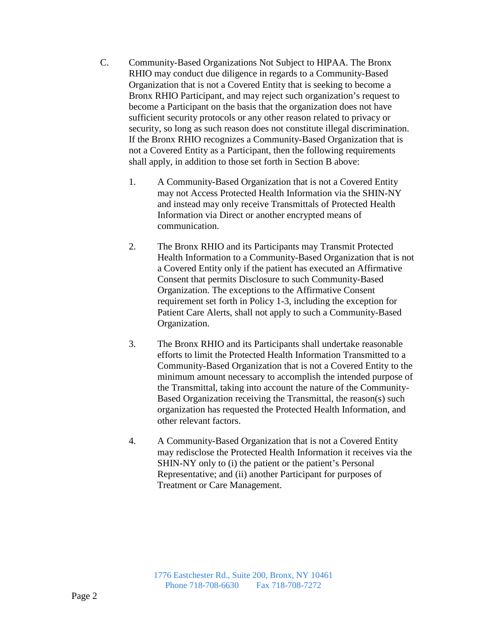- C. Community-Based Organizations Not Subject to HIPAA. The Bronx RHIO may conduct due diligence in regards to a Community-Based Organization that is not a Covered Entity that is seeking to become a Bronx RHIO Participant, and may reject such organization's request to become a Participant on the basis that the organization does not have sufficient security protocols or any other reason related to privacy or security, so long as such reason does not constitute illegal discrimination. If the Bronx RHIO recognizes a Community-Based Organization that is not a Covered Entity as a Participant, then the following requirements shall apply, in addition to those set forth in Section B above:
	- 1. A Community-Based Organization that is not a Covered Entity may not Access Protected Health Information via the SHIN-NY and instead may only receive Transmittals of Protected Health Information via Direct or another encrypted means of communication.
	- 2. The Bronx RHIO and its Participants may Transmit Protected Health Information to a Community-Based Organization that is not a Covered Entity only if the patient has executed an Affirmative Consent that permits Disclosure to such Community-Based Organization. The exceptions to the Affirmative Consent requirement set forth in Policy 1-3, including the exception for Patient Care Alerts, shall not apply to such a Community-Based Organization.
	- 3. The Bronx RHIO and its Participants shall undertake reasonable efforts to limit the Protected Health Information Transmitted to a Community-Based Organization that is not a Covered Entity to the minimum amount necessary to accomplish the intended purpose of the Transmittal, taking into account the nature of the Community-Based Organization receiving the Transmittal, the reason(s) such organization has requested the Protected Health Information, and other relevant factors.
	- 4. A Community-Based Organization that is not a Covered Entity may redisclose the Protected Health Information it receives via the SHIN-NY only to (i) the patient or the patient's Personal Representative; and (ii) another Participant for purposes of Treatment or Care Management.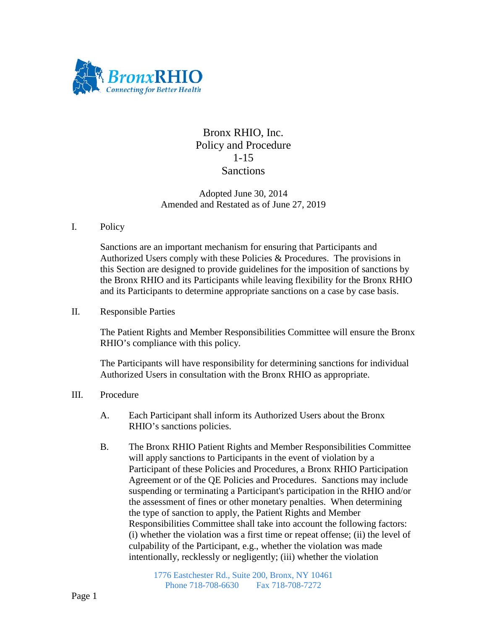

## Bronx RHIO, Inc. Policy and Procedure 1-15 **Sanctions**

### Adopted June 30, 2014 Amended and Restated as of June 27, 2019

#### I. Policy

Sanctions are an important mechanism for ensuring that Participants and Authorized Users comply with these Policies & Procedures. The provisions in this Section are designed to provide guidelines for the imposition of sanctions by the Bronx RHIO and its Participants while leaving flexibility for the Bronx RHIO and its Participants to determine appropriate sanctions on a case by case basis.

### II. Responsible Parties

The Patient Rights and Member Responsibilities Committee will ensure the Bronx RHIO's compliance with this policy.

The Participants will have responsibility for determining sanctions for individual Authorized Users in consultation with the Bronx RHIO as appropriate.

- III. Procedure
	- A. Each Participant shall inform its Authorized Users about the Bronx RHIO's sanctions policies.
	- B. The Bronx RHIO Patient Rights and Member Responsibilities Committee will apply sanctions to Participants in the event of violation by a Participant of these Policies and Procedures, a Bronx RHIO Participation Agreement or of the QE Policies and Procedures. Sanctions may include suspending or terminating a Participant's participation in the RHIO and/or the assessment of fines or other monetary penalties. When determining the type of sanction to apply, the Patient Rights and Member Responsibilities Committee shall take into account the following factors: (i) whether the violation was a first time or repeat offense; (ii) the level of culpability of the Participant, e.g., whether the violation was made intentionally, recklessly or negligently; (iii) whether the violation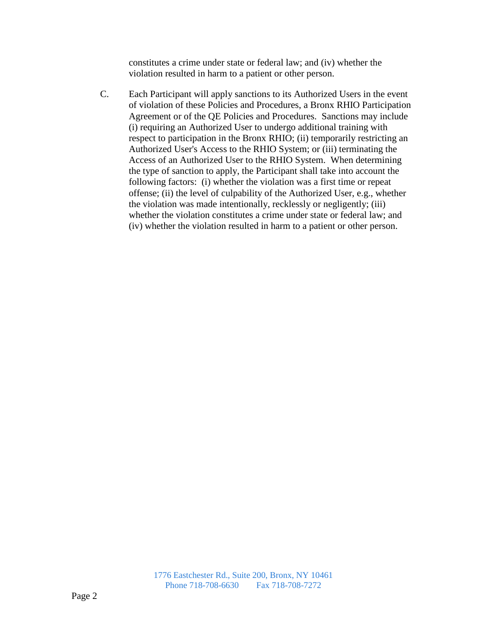constitutes a crime under state or federal law; and (iv) whether the violation resulted in harm to a patient or other person.

C. Each Participant will apply sanctions to its Authorized Users in the event of violation of these Policies and Procedures, a Bronx RHIO Participation Agreement or of the QE Policies and Procedures. Sanctions may include (i) requiring an Authorized User to undergo additional training with respect to participation in the Bronx RHIO; (ii) temporarily restricting an Authorized User's Access to the RHIO System; or (iii) terminating the Access of an Authorized User to the RHIO System. When determining the type of sanction to apply, the Participant shall take into account the following factors: (i) whether the violation was a first time or repeat offense; (ii) the level of culpability of the Authorized User, e.g., whether the violation was made intentionally, recklessly or negligently; (iii) whether the violation constitutes a crime under state or federal law; and (iv) whether the violation resulted in harm to a patient or other person.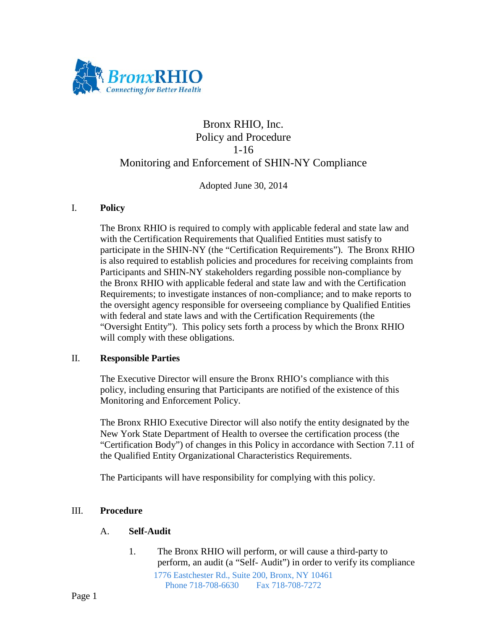

# Bronx RHIO, Inc. Policy and Procedure 1-16 Monitoring and Enforcement of SHIN-NY Compliance

Adopted June 30, 2014

#### I. **Policy**

The Bronx RHIO is required to comply with applicable federal and state law and with the Certification Requirements that Qualified Entities must satisfy to participate in the SHIN-NY (the "Certification Requirements"). The Bronx RHIO is also required to establish policies and procedures for receiving complaints from Participants and SHIN-NY stakeholders regarding possible non-compliance by the Bronx RHIO with applicable federal and state law and with the Certification Requirements; to investigate instances of non-compliance; and to make reports to the oversight agency responsible for overseeing compliance by Qualified Entities with federal and state laws and with the Certification Requirements (the "Oversight Entity"). This policy sets forth a process by which the Bronx RHIO will comply with these obligations.

#### II. **Responsible Parties**

The Executive Director will ensure the Bronx RHIO's compliance with this policy, including ensuring that Participants are notified of the existence of this Monitoring and Enforcement Policy.

The Bronx RHIO Executive Director will also notify the entity designated by the New York State Department of Health to oversee the certification process (the "Certification Body") of changes in this Policy in accordance with Section 7.11 of the Qualified Entity Organizational Characteristics Requirements.

The Participants will have responsibility for complying with this policy.

### III. **Procedure**

### A. **Self-Audit**

1776 Eastchester Rd., Suite 200, Bronx, NY 10461 Phone 718-708-6630 Fax 718-708-7272 1. The Bronx RHIO will perform, or will cause a third-party to perform, an audit (a "Self- Audit") in order to verify its compliance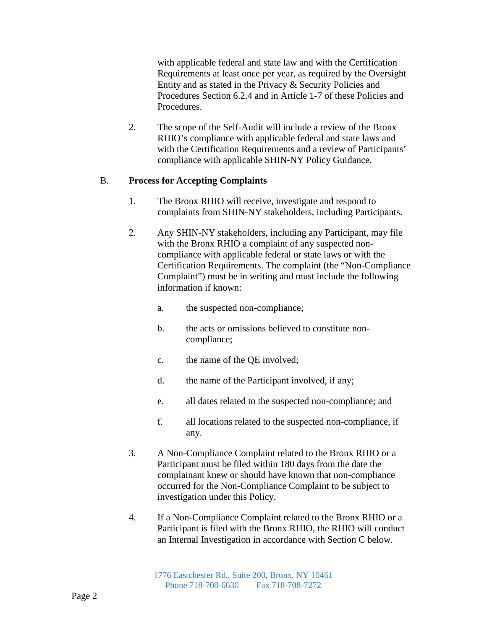with applicable federal and state law and with the Certification Requirements at least once per year, as required by the Oversight Entity and as stated in the Privacy & Security Policies and Procedures Section 6.2.4 and in Article 1-7 of these Policies and Procedures.

2. The scope of the Self-Audit will include a review of the Bronx RHIO's compliance with applicable federal and state laws and with the Certification Requirements and a review of Participants' compliance with applicable SHIN-NY Policy Guidance.

### B. **Process for Accepting Complaints**

- 1. The Bronx RHIO will receive, investigate and respond to complaints from SHIN-NY stakeholders, including Participants.
- 2. Any SHIN-NY stakeholders, including any Participant, may file with the Bronx RHIO a complaint of any suspected noncompliance with applicable federal or state laws or with the Certification Requirements. The complaint (the "Non-Compliance Complaint") must be in writing and must include the following information if known:
	- a. the suspected non-compliance;
	- b. the acts or omissions believed to constitute noncompliance;
	- c. the name of the QE involved;
	- d. the name of the Participant involved, if any;
	- e. all dates related to the suspected non-compliance; and
	- f. all locations related to the suspected non-compliance, if any.
- 3. A Non-Compliance Complaint related to the Bronx RHIO or a Participant must be filed within 180 days from the date the complainant knew or should have known that non-compliance occurred for the Non-Compliance Complaint to be subject to investigation under this Policy.
- 4. If a Non-Compliance Complaint related to the Bronx RHIO or a Participant is filed with the Bronx RHIO, the RHIO will conduct an Internal Investigation in accordance with Section C below.